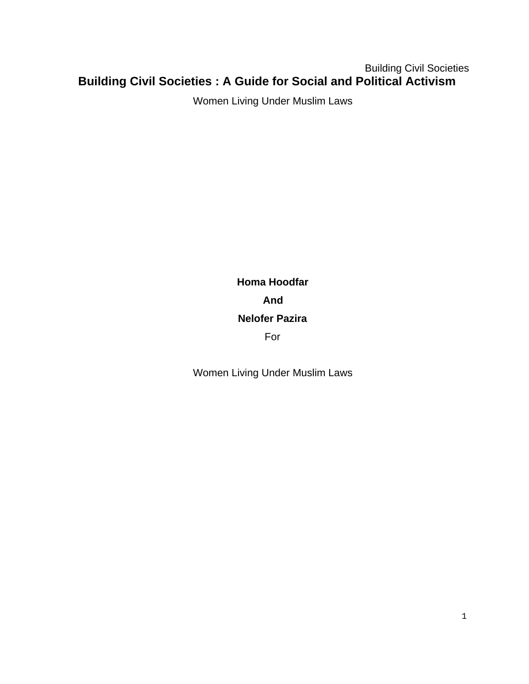## Building Civil Societies **Building Civil Societies : A Guide for Social and Political Activism**

Women Living Under Muslim Laws

**Homa Hoodfar And Nelofer Pazira** For

Women Living Under Muslim Laws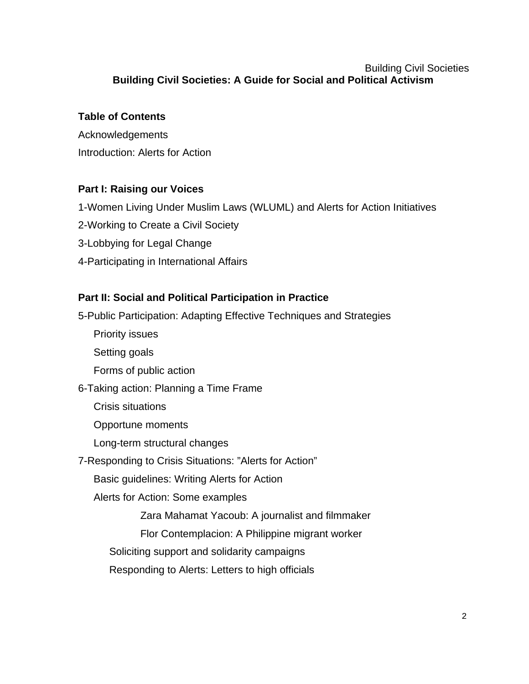### Building Civil Societies **Building Civil Societies: A Guide for Social and Political Activism**

### **Table of Contents**

Acknowledgements Introduction: Alerts for Action

## **Part I: Raising our Voices**

- 1-Women Living Under Muslim Laws (WLUML) and Alerts for Action Initiatives
- 2-Working to Create a Civil Society
- 3-Lobbying for Legal Change
- 4-Participating in International Affairs

### **Part II: Social and Political Participation in Practice**

5-Public Participation: Adapting Effective Techniques and Strategies Priority issues Setting goals Forms of public action 6-Taking action: Planning a Time Frame Crisis situations Opportune moments Long-term structural changes 7-Responding to Crisis Situations: "Alerts for Action" Basic guidelines: Writing Alerts for Action Alerts for Action: Some examples Zara Mahamat Yacoub: A journalist and filmmaker Flor Contemplacion: A Philippine migrant worker Soliciting support and solidarity campaigns Responding to Alerts: Letters to high officials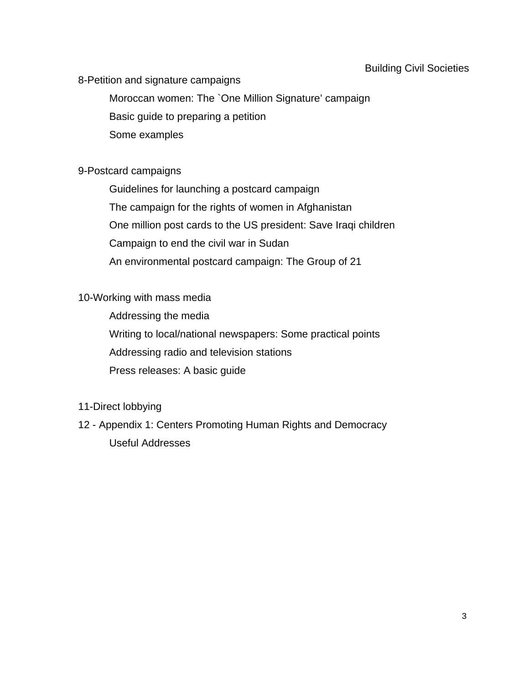#### Building Civil Societies

#### 8-Petition and signature campaigns

Moroccan women: The `One Million Signature' campaign

Basic guide to preparing a petition

Some examples

#### 9-Postcard campaigns

Guidelines for launching a postcard campaign The campaign for the rights of women in Afghanistan One million post cards to the US president: Save Iraqi children Campaign to end the civil war in Sudan An environmental postcard campaign: The Group of 21

#### 10-Working with mass media

Addressing the media Writing to local/national newspapers: Some practical points Addressing radio and television stations Press releases: A basic guide

### 11-Direct lobbying

12 - Appendix 1: Centers Promoting Human Rights and Democracy Useful Addresses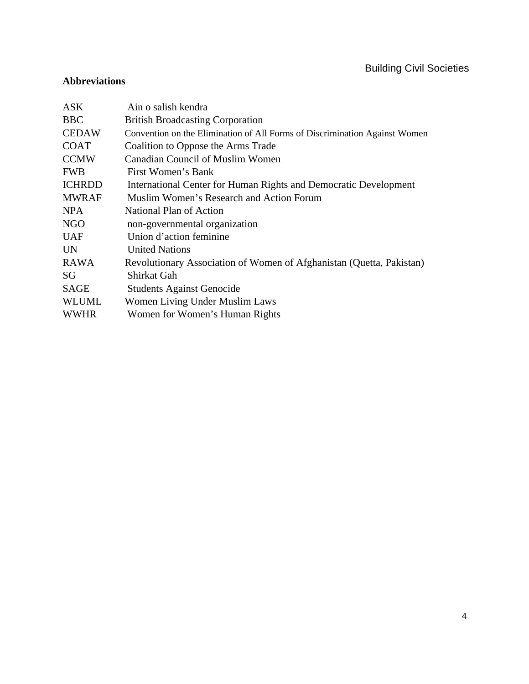## Building Civil Societies

#### **Abbreviations**

| ASK.          | Ain o salish kendra                                                        |
|---------------|----------------------------------------------------------------------------|
| <b>BBC</b>    | <b>British Broadcasting Corporation</b>                                    |
| <b>CEDAW</b>  | Convention on the Elimination of All Forms of Discrimination Against Women |
| <b>COAT</b>   | Coalition to Oppose the Arms Trade                                         |
| <b>CCMW</b>   | Canadian Council of Muslim Women                                           |
| <b>FWB</b>    | First Women's Bank                                                         |
| <b>ICHRDD</b> | International Center for Human Rights and Democratic Development           |
| <b>MWRAF</b>  | Muslim Women's Research and Action Forum                                   |
| <b>NPA</b>    | National Plan of Action                                                    |
| NGO           | non-governmental organization                                              |
| <b>UAF</b>    | Union d'action feminine                                                    |
| <b>UN</b>     | <b>United Nations</b>                                                      |
| <b>RAWA</b>   | Revolutionary Association of Women of Afghanistan (Quetta, Pakistan)       |
| SG            | Shirkat Gah                                                                |
| <b>SAGE</b>   | <b>Students Against Genocide</b>                                           |
| <b>WLUML</b>  | Women Living Under Muslim Laws                                             |
| <b>WWHR</b>   | Women for Women's Human Rights                                             |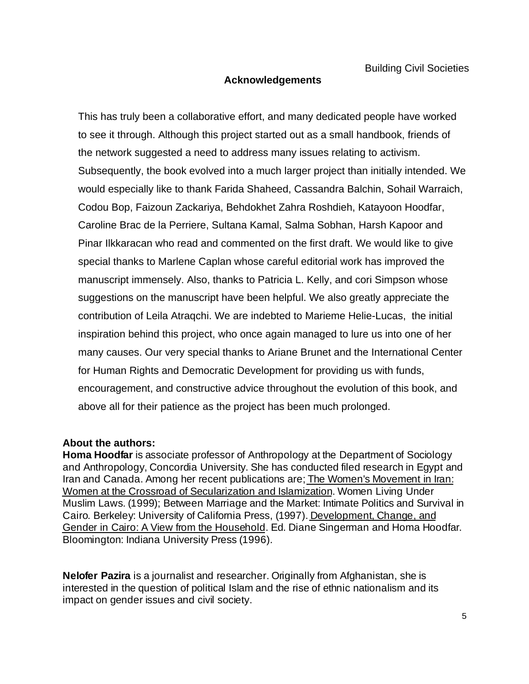#### **Acknowledgements**

This has truly been a collaborative effort, and many dedicated people have worked to see it through. Although this project started out as a small handbook, friends of the network suggested a need to address many issues relating to activism. Subsequently, the book evolved into a much larger project than initially intended. We would especially like to thank Farida Shaheed, Cassandra Balchin, Sohail Warraich, Codou Bop, Faizoun Zackariya, Behdokhet Zahra Roshdieh, Katayoon Hoodfar, Caroline Brac de la Perriere, Sultana Kamal, Salma Sobhan, Harsh Kapoor and Pinar Ilkkaracan who read and commented on the first draft. We would like to give special thanks to Marlene Caplan whose careful editorial work has improved the manuscript immensely. Also, thanks to Patricia L. Kelly, and cori Simpson whose suggestions on the manuscript have been helpful. We also greatly appreciate the contribution of Leila Atraqchi. We are indebted to Marieme Helie-Lucas, the initial inspiration behind this project, who once again managed to lure us into one of her many causes. Our very special thanks to Ariane Brunet and the International Center for Human Rights and Democratic Development for providing us with funds, encouragement, and constructive advice throughout the evolution of this book, and above all for their patience as the project has been much prolonged.

#### **About the authors:**

**Homa Hoodfar** is associate professor of Anthropology at the Department of Sociology and Anthropology, Concordia University. She has conducted filed research in Egypt and Iran and Canada. Among her recent publications are; The Women's Movement in Iran: Women at the Crossroad of Secularization and Islamization. Women Living Under Muslim Laws. (1999); Between Marriage and the Market: Intimate Politics and Survival in Cairo. Berkeley: University of California Press, (1997). Development, Change, and Gender in Cairo: A View from the Household. Ed. Diane Singerman and Homa Hoodfar. Bloomington: Indiana University Press (1996).

**Nelofer Pazira** is a journalist and researcher. Originally from Afghanistan, she is interested in the question of political Islam and the rise of ethnic nationalism and its impact on gender issues and civil society.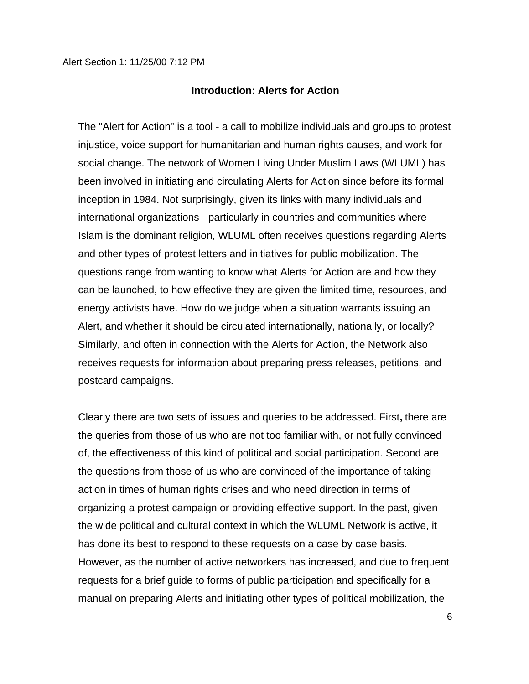#### **Introduction: Alerts for Action**

The "Alert for Action" is a tool - a call to mobilize individuals and groups to protest injustice, voice support for humanitarian and human rights causes, and work for social change. The network of Women Living Under Muslim Laws (WLUML) has been involved in initiating and circulating Alerts for Action since before its formal inception in 1984. Not surprisingly, given its links with many individuals and international organizations - particularly in countries and communities where Islam is the dominant religion, WLUML often receives questions regarding Alerts and other types of protest letters and initiatives for public mobilization. The questions range from wanting to know what Alerts for Action are and how they can be launched, to how effective they are given the limited time, resources, and energy activists have. How do we judge when a situation warrants issuing an Alert, and whether it should be circulated internationally, nationally, or locally? Similarly, and often in connection with the Alerts for Action, the Network also receives requests for information about preparing press releases, petitions, and postcard campaigns.

Clearly there are two sets of issues and queries to be addressed. First**,** there are the queries from those of us who are not too familiar with, or not fully convinced of, the effectiveness of this kind of political and social participation. Second are the questions from those of us who are convinced of the importance of taking action in times of human rights crises and who need direction in terms of organizing a protest campaign or providing effective support. In the past, given the wide political and cultural context in which the WLUML Network is active, it has done its best to respond to these requests on a case by case basis. However, as the number of active networkers has increased, and due to frequent requests for a brief guide to forms of public participation and specifically for a manual on preparing Alerts and initiating other types of political mobilization, the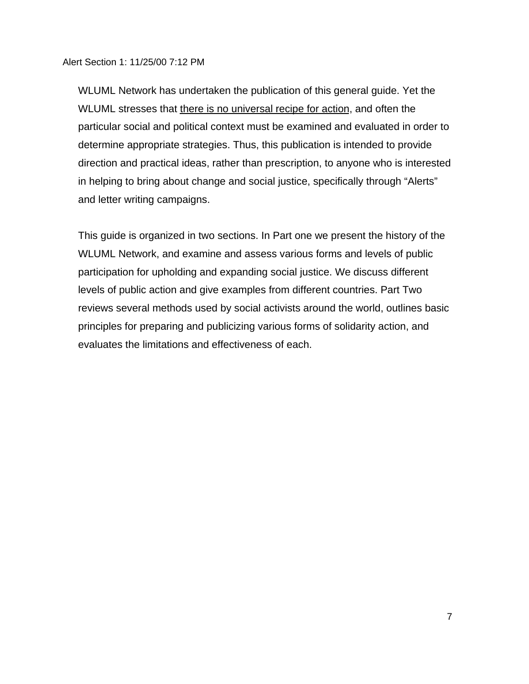WLUML Network has undertaken the publication of this general guide. Yet the WLUML stresses that there is no universal recipe for action, and often the particular social and political context must be examined and evaluated in order to determine appropriate strategies. Thus, this publication is intended to provide direction and practical ideas, rather than prescription, to anyone who is interested in helping to bring about change and social justice, specifically through "Alerts" and letter writing campaigns.

This guide is organized in two sections. In Part one we present the history of the WLUML Network, and examine and assess various forms and levels of public participation for upholding and expanding social justice. We discuss different levels of public action and give examples from different countries. Part Two reviews several methods used by social activists around the world, outlines basic principles for preparing and publicizing various forms of solidarity action, and evaluates the limitations and effectiveness of each.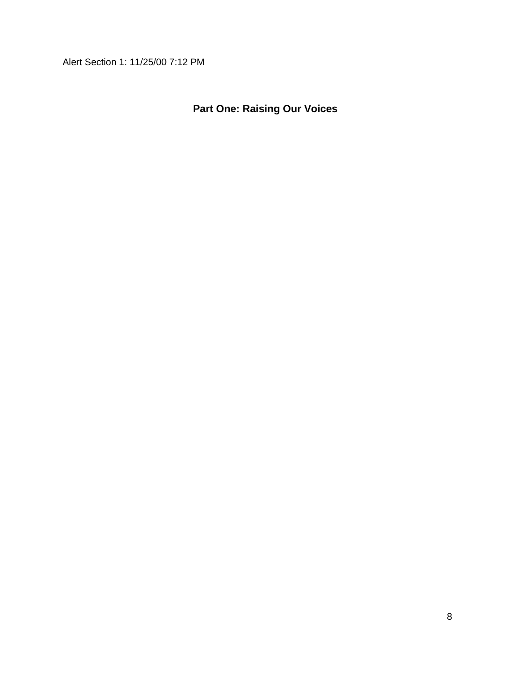# **Part One: Raising Our Voices**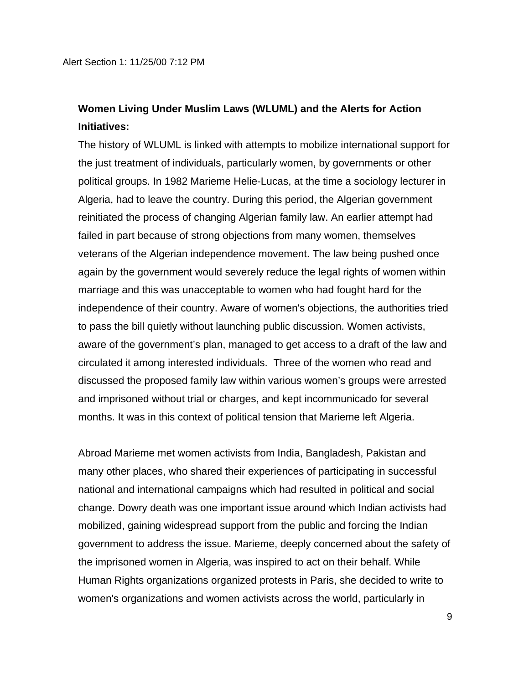## **Women Living Under Muslim Laws (WLUML) and the Alerts for Action Initiatives:**

The history of WLUML is linked with attempts to mobilize international support for the just treatment of individuals, particularly women, by governments or other political groups. In 1982 Marieme Helie-Lucas, at the time a sociology lecturer in Algeria, had to leave the country. During this period, the Algerian government reinitiated the process of changing Algerian family law. An earlier attempt had failed in part because of strong objections from many women, themselves veterans of the Algerian independence movement. The law being pushed once again by the government would severely reduce the legal rights of women within marriage and this was unacceptable to women who had fought hard for the independence of their country. Aware of women's objections, the authorities tried to pass the bill quietly without launching public discussion. Women activists, aware of the government's plan, managed to get access to a draft of the law and circulated it among interested individuals.Three of the women who read and discussed the proposed family law within various women's groups were arrested and imprisoned without trial or charges, and kept incommunicado for several months. It was in this context of political tension that Marieme left Algeria.

Abroad Marieme met women activists from India, Bangladesh, Pakistan and many other places, who shared their experiences of participating in successful national and international campaigns which had resulted in political and social change. Dowry death was one important issue around which Indian activists had mobilized, gaining widespread support from the public and forcing the Indian government to address the issue. Marieme, deeply concerned about the safety of the imprisoned women in Algeria, was inspired to act on their behalf. While Human Rights organizations organized protests in Paris, she decided to write to women's organizations and women activists across the world, particularly in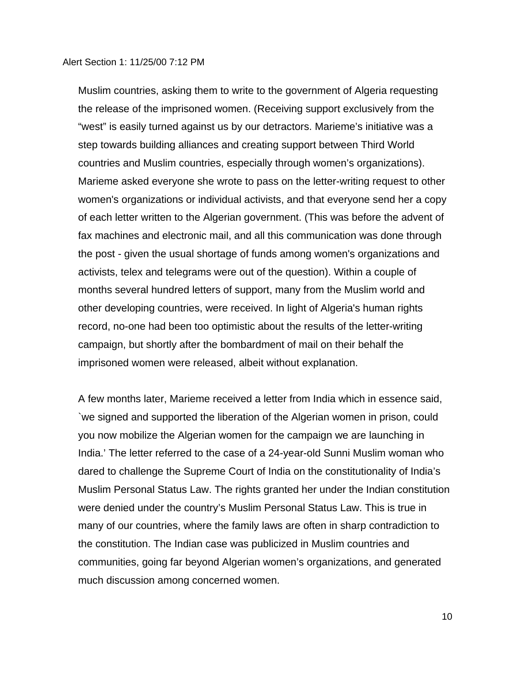Muslim countries, asking them to write to the government of Algeria requesting the release of the imprisoned women. (Receiving support exclusively from the "west" is easily turned against us by our detractors. Marieme's initiative was a step towards building alliances and creating support between Third World countries and Muslim countries, especially through women's organizations). Marieme asked everyone she wrote to pass on the letter-writing request to other women's organizations or individual activists, and that everyone send her a copy of each letter written to the Algerian government. (This was before the advent of fax machines and electronic mail, and all this communication was done through the post - given the usual shortage of funds among women's organizations and activists, telex and telegrams were out of the question). Within a couple of months several hundred letters of support, many from the Muslim world and other developing countries, were received. In light of Algeria's human rights record, no-one had been too optimistic about the results of the letter-writing campaign, but shortly after the bombardment of mail on their behalf the imprisoned women were released, albeit without explanation.

A few months later, Marieme received a letter from India which in essence said, `we signed and supported the liberation of the Algerian women in prison, could you now mobilize the Algerian women for the campaign we are launching in India.' The letter referred to the case of a 24-year-old Sunni Muslim woman who dared to challenge the Supreme Court of India on the constitutionality of India's Muslim Personal Status Law. The rights granted her under the Indian constitution were denied under the country's Muslim Personal Status Law. This is true in many of our countries, where the family laws are often in sharp contradiction to the constitution. The Indian case was publicized in Muslim countries and communities, going far beyond Algerian women's organizations, and generated much discussion among concerned women.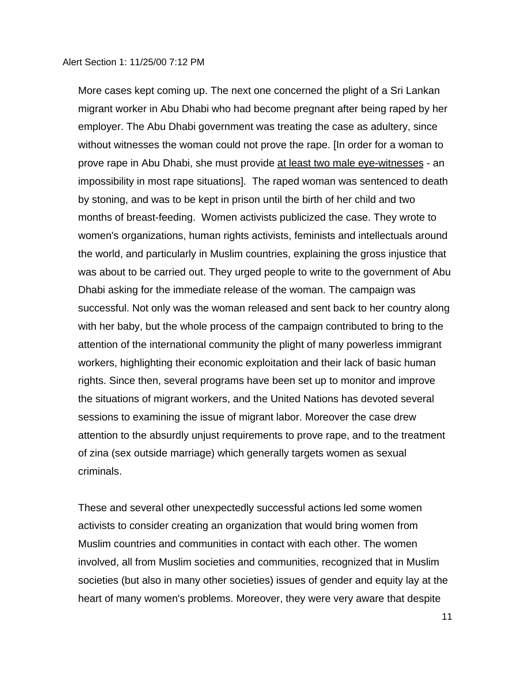More cases kept coming up. The next one concerned the plight of a Sri Lankan migrant worker in Abu Dhabi who had become pregnant after being raped by her employer. The Abu Dhabi government was treating the case as adultery, since without witnesses the woman could not prove the rape. [In order for a woman to prove rape in Abu Dhabi, she must provide at least two male eye-witnesses - an impossibility in most rape situations]. The raped woman was sentenced to death by stoning, and was to be kept in prison until the birth of her child and two months of breast-feeding. Women activists publicized the case. They wrote to women's organizations, human rights activists, feminists and intellectuals around the world, and particularly in Muslim countries, explaining the gross injustice that was about to be carried out. They urged people to write to the government of Abu Dhabi asking for the immediate release of the woman. The campaign was successful. Not only was the woman released and sent back to her country along with her baby, but the whole process of the campaign contributed to bring to the attention of the international community the plight of many powerless immigrant workers, highlighting their economic exploitation and their lack of basic human rights. Since then, several programs have been set up to monitor and improve the situations of migrant workers, and the United Nations has devoted several sessions to examining the issue of migrant labor. Moreover the case drew attention to the absurdly unjust requirements to prove rape, and to the treatment of zina (sex outside marriage) which generally targets women as sexual criminals.

These and several other unexpectedly successful actions led some women activists to consider creating an organization that would bring women from Muslim countries and communities in contact with each other. The women involved, all from Muslim societies and communities, recognized that in Muslim societies (but also in many other societies) issues of gender and equity lay at the heart of many women's problems. Moreover, they were very aware that despite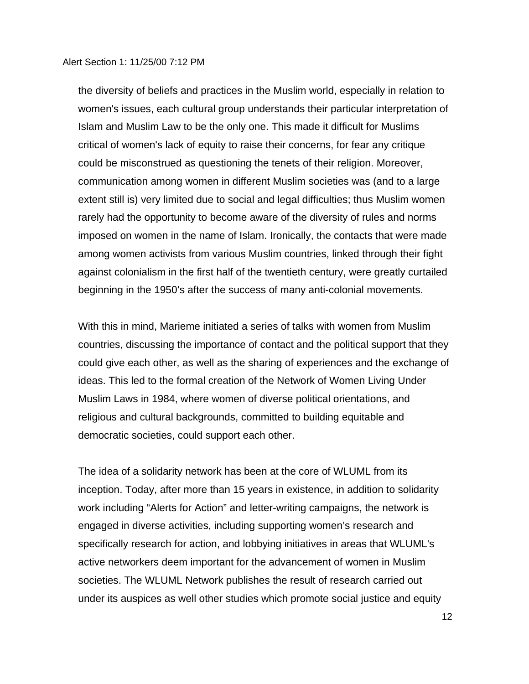the diversity of beliefs and practices in the Muslim world, especially in relation to women's issues, each cultural group understands their particular interpretation of Islam and Muslim Law to be the only one. This made it difficult for Muslims critical of women's lack of equity to raise their concerns, for fear any critique could be misconstrued as questioning the tenets of their religion. Moreover, communication among women in different Muslim societies was (and to a large extent still is) very limited due to social and legal difficulties; thus Muslim women rarely had the opportunity to become aware of the diversity of rules and norms imposed on women in the name of Islam. Ironically, the contacts that were made among women activists from various Muslim countries, linked through their fight against colonialism in the first half of the twentieth century, were greatly curtailed beginning in the 1950's after the success of many anti-colonial movements.

With this in mind, Marieme initiated a series of talks with women from Muslim countries, discussing the importance of contact and the political support that they could give each other, as well as the sharing of experiences and the exchange of ideas. This led to the formal creation of the Network of Women Living Under Muslim Laws in 1984, where women of diverse political orientations, and religious and cultural backgrounds, committed to building equitable and democratic societies, could support each other.

The idea of a solidarity network has been at the core of WLUML from its inception. Today, after more than 15 years in existence, in addition to solidarity work including "Alerts for Action" and letter-writing campaigns, the network is engaged in diverse activities, including supporting women's research and specifically research for action, and lobbying initiatives in areas that WLUML's active networkers deem important for the advancement of women in Muslim societies. The WLUML Network publishes the result of research carried out under its auspices as well other studies which promote social justice and equity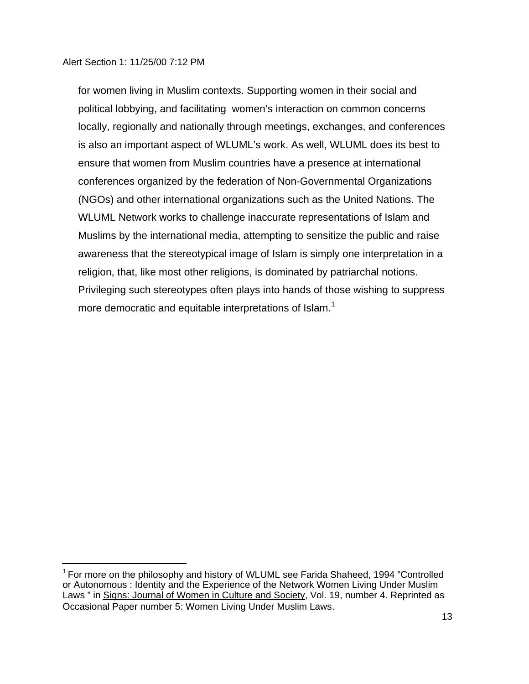i<br>L

for women living in Muslim contexts. Supporting women in their social and political lobbying, and facilitating women's interaction on common concerns locally, regionally and nationally through meetings, exchanges, and conferences is also an important aspect of WLUML's work. As well, WLUML does its best to ensure that women from Muslim countries have a presence at international conferences organized by the federation of Non-Governmental Organizations (NGOs) and other international organizations such as the United Nations. The WLUML Network works to challenge inaccurate representations of Islam and Muslims by the international media, attempting to sensitize the public and raise awareness that the stereotypical image of Islam is simply one interpretation in a religion, that, like most other religions, is dominated by patriarchal notions. Privileging such stereotypes often plays into hands of those wishing to suppress more democratic and equitable interpretations of Islam.<sup>1</sup>

<sup>&</sup>lt;sup>1</sup> For more on the philosophy and history of WLUML see Farida Shaheed, 1994 "Controlled or Autonomous : Identity and the Experience of the Network Women Living Under Muslim Laws " in Signs: Journal of Women in Culture and Society, Vol. 19, number 4. Reprinted as Occasional Paper number 5: Women Living Under Muslim Laws.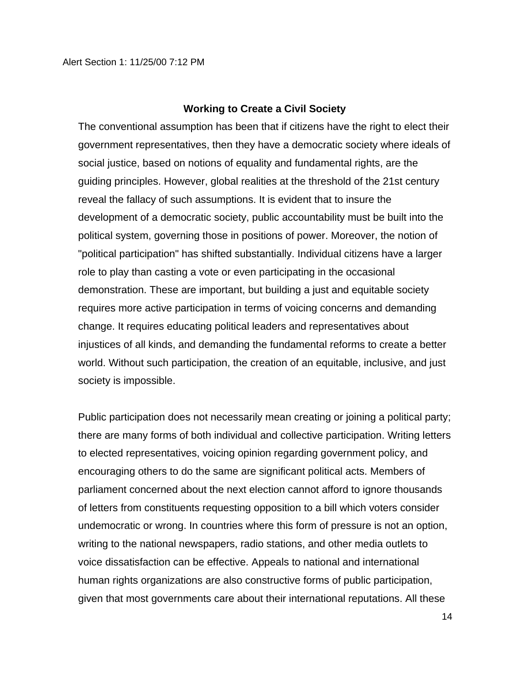#### **Working to Create a Civil Society**

The conventional assumption has been that if citizens have the right to elect their government representatives, then they have a democratic society where ideals of social justice, based on notions of equality and fundamental rights, are the guiding principles. However, global realities at the threshold of the 21st century reveal the fallacy of such assumptions. It is evident that to insure the development of a democratic society, public accountability must be built into the political system, governing those in positions of power. Moreover, the notion of "political participation" has shifted substantially. Individual citizens have a larger role to play than casting a vote or even participating in the occasional demonstration. These are important, but building a just and equitable society requires more active participation in terms of voicing concerns and demanding change. It requires educating political leaders and representatives about injustices of all kinds, and demanding the fundamental reforms to create a better world. Without such participation, the creation of an equitable, inclusive, and just society is impossible.

Public participation does not necessarily mean creating or joining a political party; there are many forms of both individual and collective participation. Writing letters to elected representatives, voicing opinion regarding government policy, and encouraging others to do the same are significant political acts. Members of parliament concerned about the next election cannot afford to ignore thousands of letters from constituents requesting opposition to a bill which voters consider undemocratic or wrong. In countries where this form of pressure is not an option, writing to the national newspapers, radio stations, and other media outlets to voice dissatisfaction can be effective. Appeals to national and international human rights organizations are also constructive forms of public participation, given that most governments care about their international reputations. All these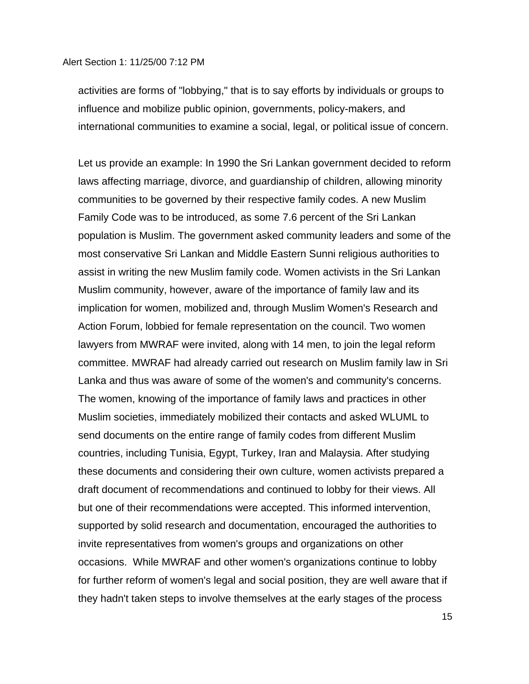activities are forms of "lobbying," that is to say efforts by individuals or groups to influence and mobilize public opinion, governments, policy-makers, and international communities to examine a social, legal, or political issue of concern.

Let us provide an example: In 1990 the Sri Lankan government decided to reform laws affecting marriage, divorce, and guardianship of children, allowing minority communities to be governed by their respective family codes. A new Muslim Family Code was to be introduced, as some 7.6 percent of the Sri Lankan population is Muslim. The government asked community leaders and some of the most conservative Sri Lankan and Middle Eastern Sunni religious authorities to assist in writing the new Muslim family code. Women activists in the Sri Lankan Muslim community, however, aware of the importance of family law and its implication for women, mobilized and, through Muslim Women's Research and Action Forum, lobbied for female representation on the council. Two women lawyers from MWRAF were invited, along with 14 men, to join the legal reform committee. MWRAF had already carried out research on Muslim family law in Sri Lanka and thus was aware of some of the women's and community's concerns. The women, knowing of the importance of family laws and practices in other Muslim societies, immediately mobilized their contacts and asked WLUML to send documents on the entire range of family codes from different Muslim countries, including Tunisia, Egypt, Turkey, Iran and Malaysia. After studying these documents and considering their own culture, women activists prepared a draft document of recommendations and continued to lobby for their views. All but one of their recommendations were accepted. This informed intervention, supported by solid research and documentation, encouraged the authorities to invite representatives from women's groups and organizations on other occasions. While MWRAF and other women's organizations continue to lobby for further reform of women's legal and social position, they are well aware that if they hadn't taken steps to involve themselves at the early stages of the process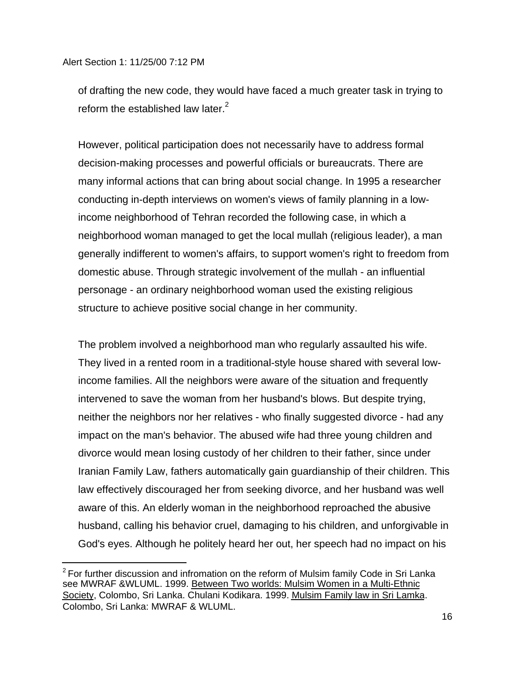i<br>L

of drafting the new code, they would have faced a much greater task in trying to reform the established law later. $2$ 

However, political participation does not necessarily have to address formal decision-making processes and powerful officials or bureaucrats. There are many informal actions that can bring about social change. In 1995 a researcher conducting in-depth interviews on women's views of family planning in a lowincome neighborhood of Tehran recorded the following case, in which a neighborhood woman managed to get the local mullah (religious leader), a man generally indifferent to women's affairs, to support women's right to freedom from domestic abuse. Through strategic involvement of the mullah - an influential personage - an ordinary neighborhood woman used the existing religious structure to achieve positive social change in her community.

The problem involved a neighborhood man who regularly assaulted his wife. They lived in a rented room in a traditional-style house shared with several lowincome families. All the neighbors were aware of the situation and frequently intervened to save the woman from her husband's blows. But despite trying, neither the neighbors nor her relatives - who finally suggested divorce - had any impact on the man's behavior. The abused wife had three young children and divorce would mean losing custody of her children to their father, since under Iranian Family Law, fathers automatically gain guardianship of their children. This law effectively discouraged her from seeking divorce, and her husband was well aware of this. An elderly woman in the neighborhood reproached the abusive husband, calling his behavior cruel, damaging to his children, and unforgivable in God's eyes. Although he politely heard her out, her speech had no impact on his

 $2$  For further discussion and infromation on the reform of Mulsim family Code in Sri Lanka see MWRAF &WLUML. 1999. Between Two worlds: Mulsim Women in a Multi-Ethnic Society, Colombo, Sri Lanka. Chulani Kodikara. 1999. Mulsim Family law in Sri Lamka. Colombo, Sri Lanka: MWRAF & WLUML.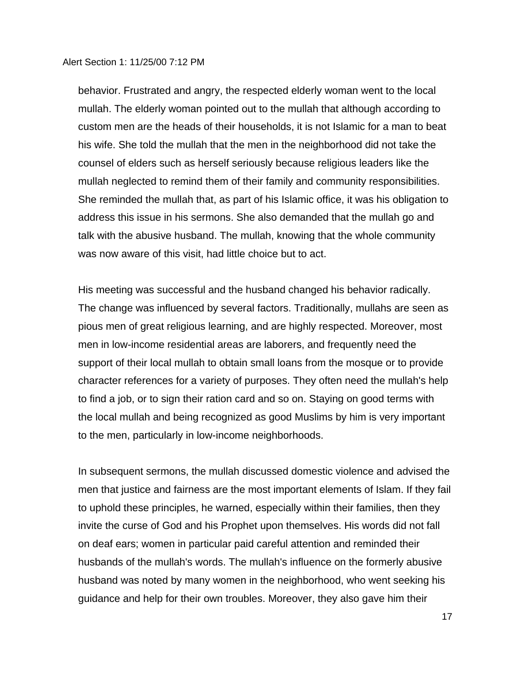behavior. Frustrated and angry, the respected elderly woman went to the local mullah. The elderly woman pointed out to the mullah that although according to custom men are the heads of their households, it is not Islamic for a man to beat his wife. She told the mullah that the men in the neighborhood did not take the counsel of elders such as herself seriously because religious leaders like the mullah neglected to remind them of their family and community responsibilities. She reminded the mullah that, as part of his Islamic office, it was his obligation to address this issue in his sermons. She also demanded that the mullah go and talk with the abusive husband. The mullah, knowing that the whole community was now aware of this visit, had little choice but to act.

His meeting was successful and the husband changed his behavior radically. The change was influenced by several factors. Traditionally, mullahs are seen as pious men of great religious learning, and are highly respected. Moreover, most men in low-income residential areas are laborers, and frequently need the support of their local mullah to obtain small loans from the mosque or to provide character references for a variety of purposes. They often need the mullah's help to find a job, or to sign their ration card and so on. Staying on good terms with the local mullah and being recognized as good Muslims by him is very important to the men, particularly in low-income neighborhoods.

In subsequent sermons, the mullah discussed domestic violence and advised the men that justice and fairness are the most important elements of Islam. If they fail to uphold these principles, he warned, especially within their families, then they invite the curse of God and his Prophet upon themselves. His words did not fall on deaf ears; women in particular paid careful attention and reminded their husbands of the mullah's words. The mullah's influence on the formerly abusive husband was noted by many women in the neighborhood, who went seeking his guidance and help for their own troubles. Moreover, they also gave him their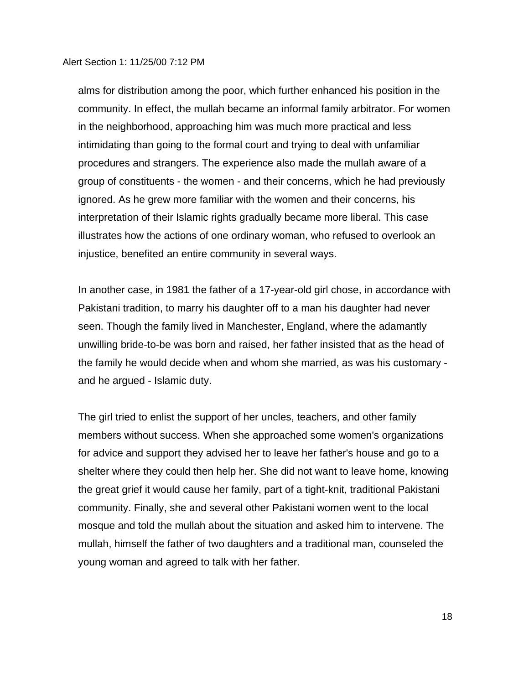alms for distribution among the poor, which further enhanced his position in the community. In effect, the mullah became an informal family arbitrator. For women in the neighborhood, approaching him was much more practical and less intimidating than going to the formal court and trying to deal with unfamiliar procedures and strangers. The experience also made the mullah aware of a group of constituents - the women - and their concerns, which he had previously ignored. As he grew more familiar with the women and their concerns, his interpretation of their Islamic rights gradually became more liberal. This case illustrates how the actions of one ordinary woman, who refused to overlook an injustice, benefited an entire community in several ways.

In another case, in 1981 the father of a 17-year-old girl chose, in accordance with Pakistani tradition, to marry his daughter off to a man his daughter had never seen. Though the family lived in Manchester, England, where the adamantly unwilling bride-to-be was born and raised, her father insisted that as the head of the family he would decide when and whom she married, as was his customary and he argued - Islamic duty.

The girl tried to enlist the support of her uncles, teachers, and other family members without success. When she approached some women's organizations for advice and support they advised her to leave her father's house and go to a shelter where they could then help her. She did not want to leave home, knowing the great grief it would cause her family, part of a tight-knit, traditional Pakistani community. Finally, she and several other Pakistani women went to the local mosque and told the mullah about the situation and asked him to intervene. The mullah, himself the father of two daughters and a traditional man, counseled the young woman and agreed to talk with her father.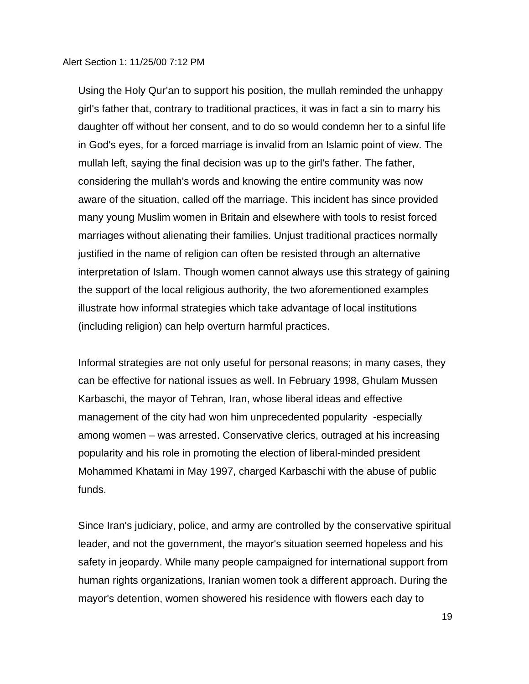Using the Holy Qur'an to support his position, the mullah reminded the unhappy girl's father that, contrary to traditional practices, it was in fact a sin to marry his daughter off without her consent, and to do so would condemn her to a sinful life in God's eyes, for a forced marriage is invalid from an Islamic point of view. The mullah left, saying the final decision was up to the girl's father. The father, considering the mullah's words and knowing the entire community was now aware of the situation, called off the marriage. This incident has since provided many young Muslim women in Britain and elsewhere with tools to resist forced marriages without alienating their families. Unjust traditional practices normally justified in the name of religion can often be resisted through an alternative interpretation of Islam. Though women cannot always use this strategy of gaining the support of the local religious authority, the two aforementioned examples illustrate how informal strategies which take advantage of local institutions (including religion) can help overturn harmful practices.

Informal strategies are not only useful for personal reasons; in many cases, they can be effective for national issues as well. In February 1998, Ghulam Mussen Karbaschi, the mayor of Tehran, Iran, whose liberal ideas and effective management of the city had won him unprecedented popularity -especially among women – was arrested. Conservative clerics, outraged at his increasing popularity and his role in promoting the election of liberal-minded president Mohammed Khatami in May 1997, charged Karbaschi with the abuse of public funds.

Since Iran's judiciary, police, and army are controlled by the conservative spiritual leader, and not the government, the mayor's situation seemed hopeless and his safety in jeopardy. While many people campaigned for international support from human rights organizations, Iranian women took a different approach. During the mayor's detention, women showered his residence with flowers each day to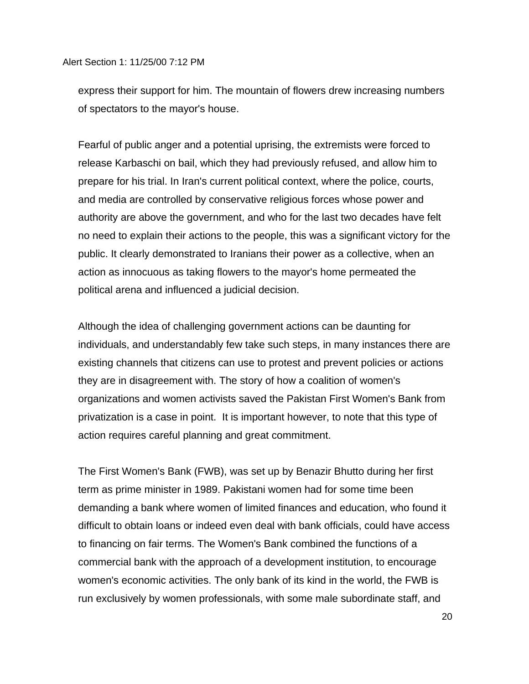express their support for him. The mountain of flowers drew increasing numbers of spectators to the mayor's house.

Fearful of public anger and a potential uprising, the extremists were forced to release Karbaschi on bail, which they had previously refused, and allow him to prepare for his trial. In Iran's current political context, where the police, courts, and media are controlled by conservative religious forces whose power and authority are above the government, and who for the last two decades have felt no need to explain their actions to the people, this was a significant victory for the public. It clearly demonstrated to Iranians their power as a collective, when an action as innocuous as taking flowers to the mayor's home permeated the political arena and influenced a judicial decision.

Although the idea of challenging government actions can be daunting for individuals, and understandably few take such steps, in many instances there are existing channels that citizens can use to protest and prevent policies or actions they are in disagreement with. The story of how a coalition of women's organizations and women activists saved the Pakistan First Women's Bank from privatization is a case in point. It is important however, to note that this type of action requires careful planning and great commitment.

The First Women's Bank (FWB), was set up by Benazir Bhutto during her first term as prime minister in 1989. Pakistani women had for some time been demanding a bank where women of limited finances and education, who found it difficult to obtain loans or indeed even deal with bank officials, could have access to financing on fair terms. The Women's Bank combined the functions of a commercial bank with the approach of a development institution, to encourage women's economic activities. The only bank of its kind in the world, the FWB is run exclusively by women professionals, with some male subordinate staff, and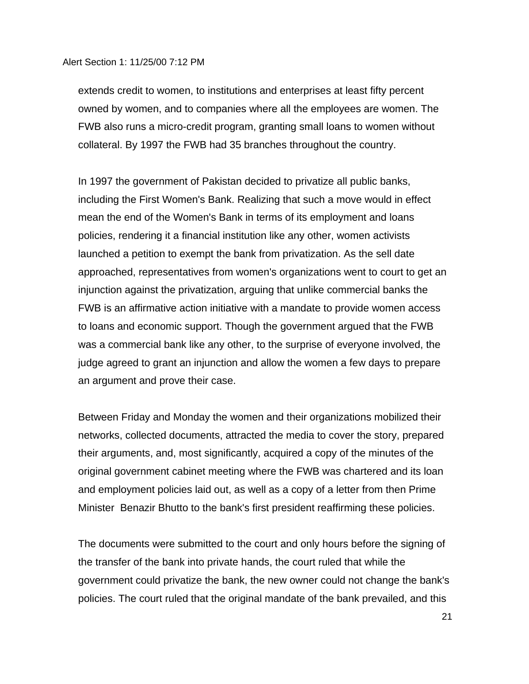extends credit to women, to institutions and enterprises at least fifty percent owned by women, and to companies where all the employees are women. The FWB also runs a micro-credit program, granting small loans to women without collateral. By 1997 the FWB had 35 branches throughout the country.

In 1997 the government of Pakistan decided to privatize all public banks, including the First Women's Bank. Realizing that such a move would in effect mean the end of the Women's Bank in terms of its employment and loans policies, rendering it a financial institution like any other, women activists launched a petition to exempt the bank from privatization. As the sell date approached, representatives from women's organizations went to court to get an injunction against the privatization, arguing that unlike commercial banks the FWB is an affirmative action initiative with a mandate to provide women access to loans and economic support. Though the government argued that the FWB was a commercial bank like any other, to the surprise of everyone involved, the judge agreed to grant an injunction and allow the women a few days to prepare an argument and prove their case.

Between Friday and Monday the women and their organizations mobilized their networks, collected documents, attracted the media to cover the story, prepared their arguments, and, most significantly, acquired a copy of the minutes of the original government cabinet meeting where the FWB was chartered and its loan and employment policies laid out, as well as a copy of a letter from then Prime Minister Benazir Bhutto to the bank's first president reaffirming these policies.

The documents were submitted to the court and only hours before the signing of the transfer of the bank into private hands, the court ruled that while the government could privatize the bank, the new owner could not change the bank's policies. The court ruled that the original mandate of the bank prevailed, and this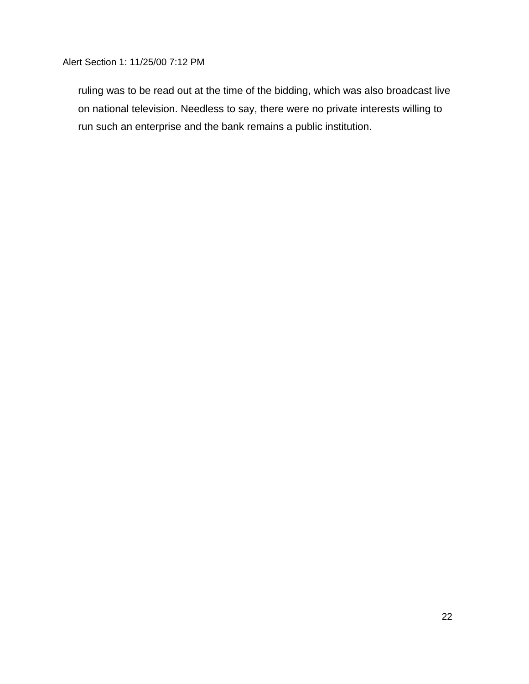ruling was to be read out at the time of the bidding, which was also broadcast live on national television. Needless to say, there were no private interests willing to run such an enterprise and the bank remains a public institution.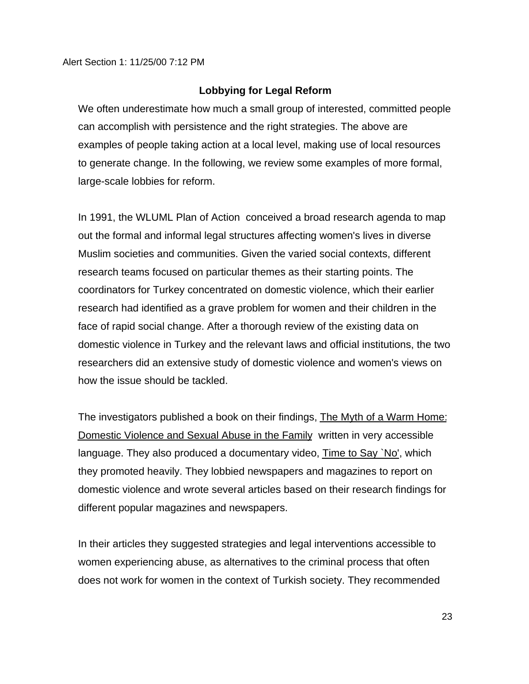#### **Lobbying for Legal Reform**

We often underestimate how much a small group of interested, committed people can accomplish with persistence and the right strategies. The above are examples of people taking action at a local level, making use of local resources to generate change. In the following, we review some examples of more formal, large-scale lobbies for reform.

In 1991, the WLUML Plan of Action conceived a broad research agenda to map out the formal and informal legal structures affecting women's lives in diverse Muslim societies and communities. Given the varied social contexts, different research teams focused on particular themes as their starting points. The coordinators for Turkey concentrated on domestic violence, which their earlier research had identified as a grave problem for women and their children in the face of rapid social change. After a thorough review of the existing data on domestic violence in Turkey and the relevant laws and official institutions, the two researchers did an extensive study of domestic violence and women's views on how the issue should be tackled.

The investigators published a book on their findings, The Myth of a Warm Home: Domestic Violence and Sexual Abuse in the Family written in very accessible language. They also produced a documentary video, Time to Say `No', which they promoted heavily. They lobbied newspapers and magazines to report on domestic violence and wrote several articles based on their research findings for different popular magazines and newspapers.

In their articles they suggested strategies and legal interventions accessible to women experiencing abuse, as alternatives to the criminal process that often does not work for women in the context of Turkish society. They recommended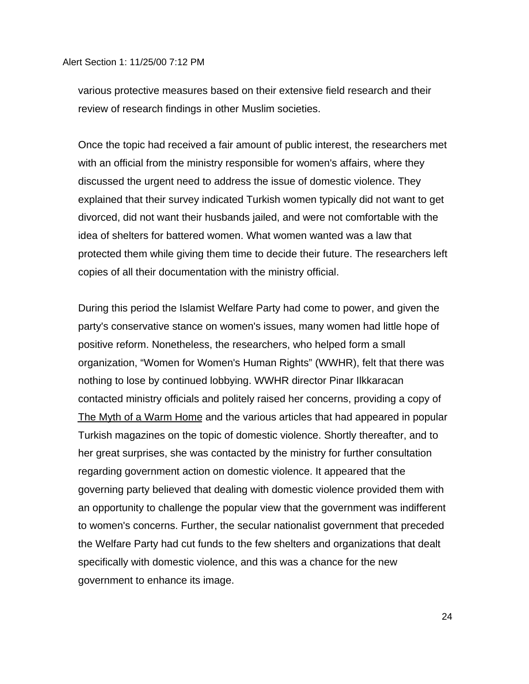various protective measures based on their extensive field research and their review of research findings in other Muslim societies.

Once the topic had received a fair amount of public interest, the researchers met with an official from the ministry responsible for women's affairs, where they discussed the urgent need to address the issue of domestic violence. They explained that their survey indicated Turkish women typically did not want to get divorced, did not want their husbands jailed, and were not comfortable with the idea of shelters for battered women. What women wanted was a law that protected them while giving them time to decide their future. The researchers left copies of all their documentation with the ministry official.

During this period the Islamist Welfare Party had come to power, and given the party's conservative stance on women's issues, many women had little hope of positive reform. Nonetheless, the researchers, who helped form a small organization, "Women for Women's Human Rights" (WWHR), felt that there was nothing to lose by continued lobbying. WWHR director Pinar Ilkkaracan contacted ministry officials and politely raised her concerns, providing a copy of The Myth of a Warm Home and the various articles that had appeared in popular Turkish magazines on the topic of domestic violence. Shortly thereafter, and to her great surprises, she was contacted by the ministry for further consultation regarding government action on domestic violence. It appeared that the governing party believed that dealing with domestic violence provided them with an opportunity to challenge the popular view that the government was indifferent to women's concerns. Further, the secular nationalist government that preceded the Welfare Party had cut funds to the few shelters and organizations that dealt specifically with domestic violence, and this was a chance for the new government to enhance its image.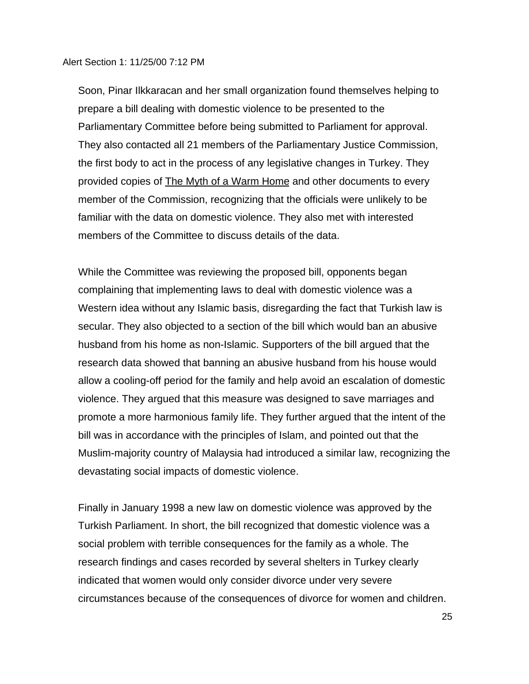Soon, Pinar Ilkkaracan and her small organization found themselves helping to prepare a bill dealing with domestic violence to be presented to the Parliamentary Committee before being submitted to Parliament for approval. They also contacted all 21 members of the Parliamentary Justice Commission, the first body to act in the process of any legislative changes in Turkey. They provided copies of The Myth of a Warm Home and other documents to every member of the Commission, recognizing that the officials were unlikely to be familiar with the data on domestic violence. They also met with interested members of the Committee to discuss details of the data.

While the Committee was reviewing the proposed bill, opponents began complaining that implementing laws to deal with domestic violence was a Western idea without any Islamic basis, disregarding the fact that Turkish law is secular. They also objected to a section of the bill which would ban an abusive husband from his home as non-Islamic. Supporters of the bill argued that the research data showed that banning an abusive husband from his house would allow a cooling-off period for the family and help avoid an escalation of domestic violence. They argued that this measure was designed to save marriages and promote a more harmonious family life. They further argued that the intent of the bill was in accordance with the principles of Islam, and pointed out that the Muslim-majority country of Malaysia had introduced a similar law, recognizing the devastating social impacts of domestic violence.

Finally in January 1998 a new law on domestic violence was approved by the Turkish Parliament. In short, the bill recognized that domestic violence was a social problem with terrible consequences for the family as a whole. The research findings and cases recorded by several shelters in Turkey clearly indicated that women would only consider divorce under very severe circumstances because of the consequences of divorce for women and children.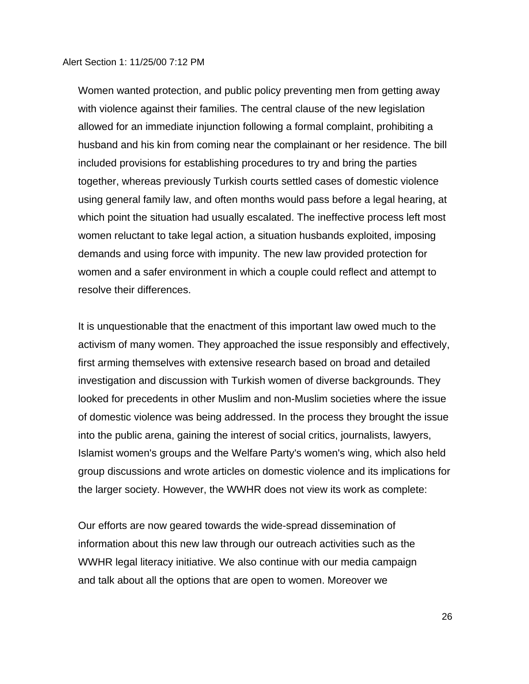Women wanted protection, and public policy preventing men from getting away with violence against their families. The central clause of the new legislation allowed for an immediate injunction following a formal complaint, prohibiting a husband and his kin from coming near the complainant or her residence. The bill included provisions for establishing procedures to try and bring the parties together, whereas previously Turkish courts settled cases of domestic violence using general family law, and often months would pass before a legal hearing, at which point the situation had usually escalated. The ineffective process left most women reluctant to take legal action, a situation husbands exploited, imposing demands and using force with impunity. The new law provided protection for women and a safer environment in which a couple could reflect and attempt to resolve their differences.

It is unquestionable that the enactment of this important law owed much to the activism of many women. They approached the issue responsibly and effectively, first arming themselves with extensive research based on broad and detailed investigation and discussion with Turkish women of diverse backgrounds. They looked for precedents in other Muslim and non-Muslim societies where the issue of domestic violence was being addressed. In the process they brought the issue into the public arena, gaining the interest of social critics, journalists, lawyers, Islamist women's groups and the Welfare Party's women's wing, which also held group discussions and wrote articles on domestic violence and its implications for the larger society. However, the WWHR does not view its work as complete:

Our efforts are now geared towards the wide-spread dissemination of information about this new law through our outreach activities such as the WWHR legal literacy initiative. We also continue with our media campaign and talk about all the options that are open to women. Moreover we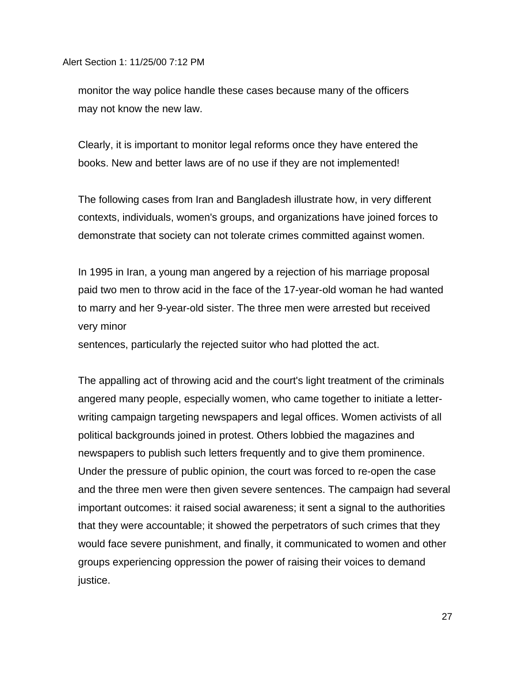monitor the way police handle these cases because many of the officers may not know the new law.

Clearly, it is important to monitor legal reforms once they have entered the books. New and better laws are of no use if they are not implemented!

The following cases from Iran and Bangladesh illustrate how, in very different contexts, individuals, women's groups, and organizations have joined forces to demonstrate that society can not tolerate crimes committed against women.

In 1995 in Iran, a young man angered by a rejection of his marriage proposal paid two men to throw acid in the face of the 17-year-old woman he had wanted to marry and her 9-year-old sister. The three men were arrested but received very minor

sentences, particularly the rejected suitor who had plotted the act.

The appalling act of throwing acid and the court's light treatment of the criminals angered many people, especially women, who came together to initiate a letterwriting campaign targeting newspapers and legal offices. Women activists of all political backgrounds joined in protest. Others lobbied the magazines and newspapers to publish such letters frequently and to give them prominence. Under the pressure of public opinion, the court was forced to re-open the case and the three men were then given severe sentences. The campaign had several important outcomes: it raised social awareness; it sent a signal to the authorities that they were accountable; it showed the perpetrators of such crimes that they would face severe punishment, and finally, it communicated to women and other groups experiencing oppression the power of raising their voices to demand justice.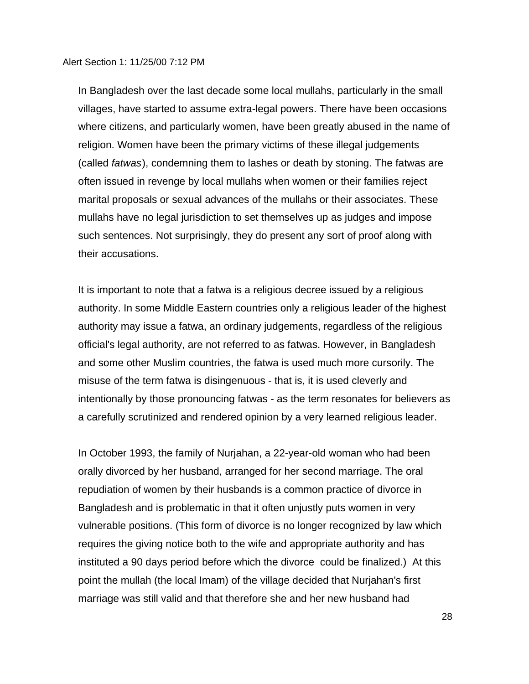In Bangladesh over the last decade some local mullahs, particularly in the small villages, have started to assume extra-legal powers. There have been occasions where citizens, and particularly women, have been greatly abused in the name of religion. Women have been the primary victims of these illegal judgements (called *fatwas*), condemning them to lashes or death by stoning. The fatwas are often issued in revenge by local mullahs when women or their families reject marital proposals or sexual advances of the mullahs or their associates. These mullahs have no legal jurisdiction to set themselves up as judges and impose such sentences. Not surprisingly, they do present any sort of proof along with their accusations.

It is important to note that a fatwa is a religious decree issued by a religious authority. In some Middle Eastern countries only a religious leader of the highest authority may issue a fatwa, an ordinary judgements, regardless of the religious official's legal authority, are not referred to as fatwas. However, in Bangladesh and some other Muslim countries, the fatwa is used much more cursorily. The misuse of the term fatwa is disingenuous - that is, it is used cleverly and intentionally by those pronouncing fatwas - as the term resonates for believers as a carefully scrutinized and rendered opinion by a very learned religious leader.

In October 1993, the family of Nurjahan, a 22-year-old woman who had been orally divorced by her husband, arranged for her second marriage. The oral repudiation of women by their husbands is a common practice of divorce in Bangladesh and is problematic in that it often unjustly puts women in very vulnerable positions. (This form of divorce is no longer recognized by law which requires the giving notice both to the wife and appropriate authority and has instituted a 90 days period before which the divorce could be finalized.) At this point the mullah (the local Imam) of the village decided that Nurjahan's first marriage was still valid and that therefore she and her new husband had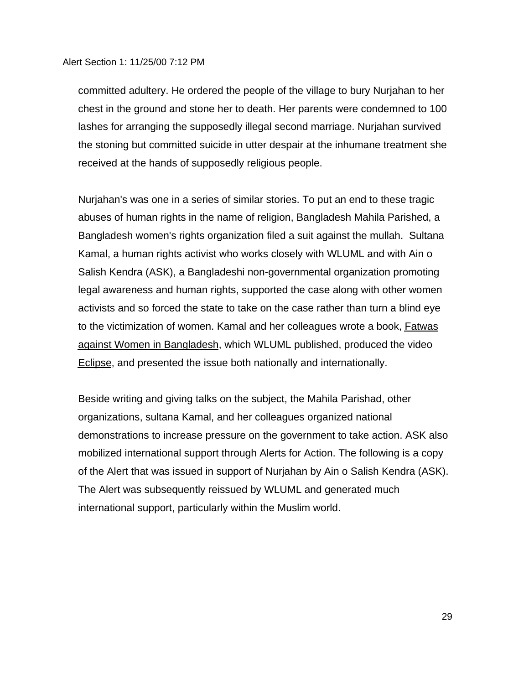committed adultery. He ordered the people of the village to bury Nurjahan to her chest in the ground and stone her to death. Her parents were condemned to 100 lashes for arranging the supposedly illegal second marriage. Nurjahan survived the stoning but committed suicide in utter despair at the inhumane treatment she received at the hands of supposedly religious people.

Nurjahan's was one in a series of similar stories. To put an end to these tragic abuses of human rights in the name of religion, Bangladesh Mahila Parished, a Bangladesh women's rights organization filed a suit against the mullah. Sultana Kamal, a human rights activist who works closely with WLUML and with Ain o Salish Kendra (ASK), a Bangladeshi non-governmental organization promoting legal awareness and human rights, supported the case along with other women activists and so forced the state to take on the case rather than turn a blind eye to the victimization of women. Kamal and her colleagues wrote a book, Fatwas against Women in Bangladesh, which WLUML published, produced the video Eclipse, and presented the issue both nationally and internationally.

Beside writing and giving talks on the subject, the Mahila Parishad, other organizations, sultana Kamal, and her colleagues organized national demonstrations to increase pressure on the government to take action. ASK also mobilized international support through Alerts for Action. The following is a copy of the Alert that was issued in support of Nurjahan by Ain o Salish Kendra (ASK). The Alert was subsequently reissued by WLUML and generated much international support, particularly within the Muslim world.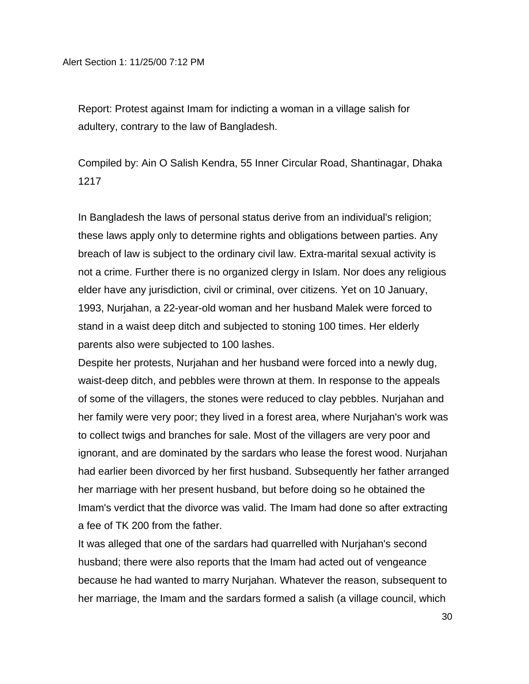Report: Protest against Imam for indicting a woman in a village salish for adultery, contrary to the law of Bangladesh.

Compiled by: Ain O Salish Kendra, 55 Inner Circular Road, Shantinagar, Dhaka 1217

In Bangladesh the laws of personal status derive from an individual's religion; these laws apply only to determine rights and obligations between parties. Any breach of law is subject to the ordinary civil law. Extra-marital sexual activity is not a crime. Further there is no organized clergy in Islam. Nor does any religious elder have any jurisdiction, civil or criminal, over citizens. Yet on 10 January, 1993, Nurjahan, a 22-year-old woman and her husband Malek were forced to stand in a waist deep ditch and subjected to stoning 100 times. Her elderly parents also were subjected to 100 lashes.

Despite her protests, Nurjahan and her husband were forced into a newly dug, waist-deep ditch, and pebbles were thrown at them. In response to the appeals of some of the villagers, the stones were reduced to clay pebbles. Nurjahan and her family were very poor; they lived in a forest area, where Nurjahan's work was to collect twigs and branches for sale. Most of the villagers are very poor and ignorant, and are dominated by the sardars who lease the forest wood. Nurjahan had earlier been divorced by her first husband. Subsequently her father arranged her marriage with her present husband, but before doing so he obtained the Imam's verdict that the divorce was valid. The Imam had done so after extracting a fee of TK 200 from the father.

It was alleged that one of the sardars had quarrelled with Nurjahan's second husband; there were also reports that the Imam had acted out of vengeance because he had wanted to marry Nurjahan. Whatever the reason, subsequent to her marriage, the Imam and the sardars formed a salish (a village council, which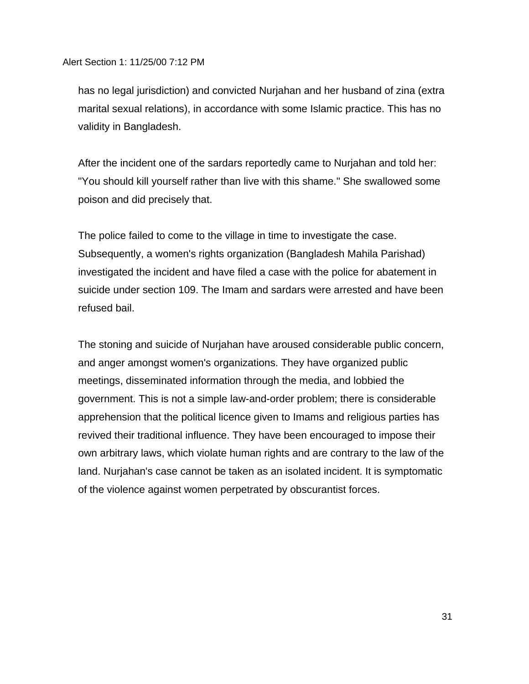has no legal jurisdiction) and convicted Nurjahan and her husband of zina (extra marital sexual relations), in accordance with some Islamic practice. This has no validity in Bangladesh.

After the incident one of the sardars reportedly came to Nurjahan and told her: "You should kill yourself rather than live with this shame." She swallowed some poison and did precisely that.

The police failed to come to the village in time to investigate the case. Subsequently, a women's rights organization (Bangladesh Mahila Parishad) investigated the incident and have filed a case with the police for abatement in suicide under section 109. The Imam and sardars were arrested and have been refused bail.

The stoning and suicide of Nurjahan have aroused considerable public concern, and anger amongst women's organizations. They have organized public meetings, disseminated information through the media, and lobbied the government. This is not a simple law-and-order problem; there is considerable apprehension that the political licence given to Imams and religious parties has revived their traditional influence. They have been encouraged to impose their own arbitrary laws, which violate human rights and are contrary to the law of the land. Nurjahan's case cannot be taken as an isolated incident. It is symptomatic of the violence against women perpetrated by obscurantist forces.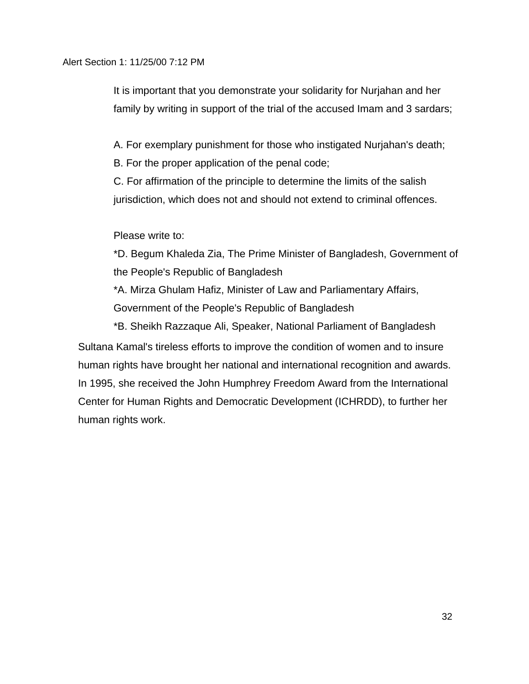It is important that you demonstrate your solidarity for Nurjahan and her family by writing in support of the trial of the accused Imam and 3 sardars;

A. For exemplary punishment for those who instigated Nurjahan's death;

B. For the proper application of the penal code;

C. For affirmation of the principle to determine the limits of the salish jurisdiction, which does not and should not extend to criminal offences.

Please write to:

\*D. Begum Khaleda Zia, The Prime Minister of Bangladesh, Government of the People's Republic of Bangladesh

\*A. Mirza Ghulam Hafiz, Minister of Law and Parliamentary Affairs, Government of the People's Republic of Bangladesh

\*B. Sheikh Razzaque Ali, Speaker, National Parliament of Bangladesh Sultana Kamal's tireless efforts to improve the condition of women and to insure human rights have brought her national and international recognition and awards. In 1995, she received the John Humphrey Freedom Award from the International Center for Human Rights and Democratic Development (ICHRDD), to further her human rights work.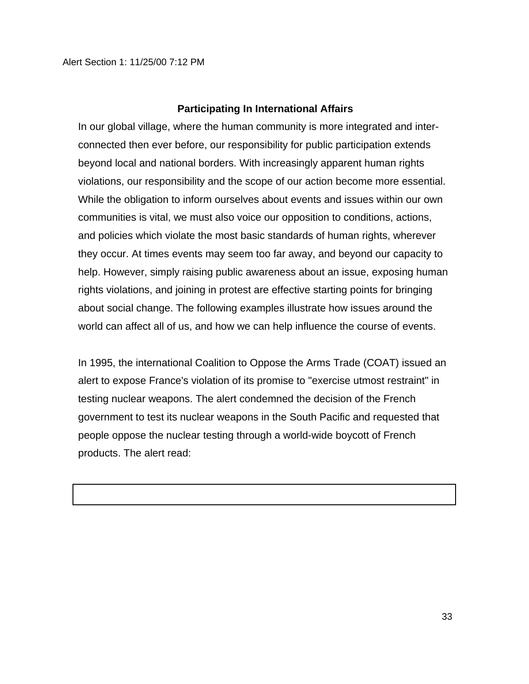#### **Participating In International Affairs**

In our global village, where the human community is more integrated and interconnected then ever before, our responsibility for public participation extends beyond local and national borders. With increasingly apparent human rights violations, our responsibility and the scope of our action become more essential. While the obligation to inform ourselves about events and issues within our own communities is vital, we must also voice our opposition to conditions, actions, and policies which violate the most basic standards of human rights, wherever they occur. At times events may seem too far away, and beyond our capacity to help. However, simply raising public awareness about an issue, exposing human rights violations, and joining in protest are effective starting points for bringing about social change. The following examples illustrate how issues around the world can affect all of us, and how we can help influence the course of events.

In 1995, the international Coalition to Oppose the Arms Trade (COAT) issued an alert to expose France's violation of its promise to "exercise utmost restraint" in testing nuclear weapons. The alert condemned the decision of the French government to test its nuclear weapons in the South Pacific and requested that people oppose the nuclear testing through a world-wide boycott of French products. The alert read: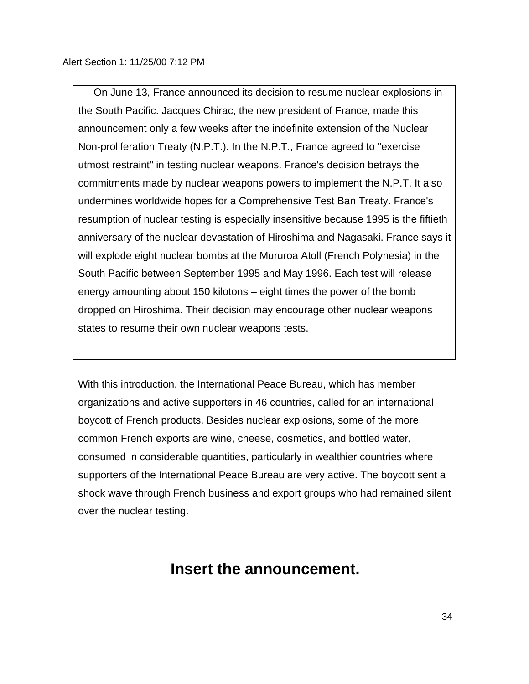On June 13, France announced its decision to resume nuclear explosions in the South Pacific. Jacques Chirac, the new president of France, made this announcement only a few weeks after the indefinite extension of the Nuclear Non-proliferation Treaty (N.P.T.). In the N.P.T., France agreed to "exercise utmost restraint" in testing nuclear weapons. France's decision betrays the commitments made by nuclear weapons powers to implement the N.P.T. It also undermines worldwide hopes for a Comprehensive Test Ban Treaty. France's resumption of nuclear testing is especially insensitive because 1995 is the fiftieth anniversary of the nuclear devastation of Hiroshima and Nagasaki. France says it will explode eight nuclear bombs at the Mururoa Atoll (French Polynesia) in the South Pacific between September 1995 and May 1996. Each test will release energy amounting about 150 kilotons – eight times the power of the bomb dropped on Hiroshima. Their decision may encourage other nuclear weapons states to resume their own nuclear weapons tests.

With this introduction, the International Peace Bureau, which has member organizations and active supporters in 46 countries, called for an international boycott of French products. Besides nuclear explosions, some of the more common French exports are wine, cheese, cosmetics, and bottled water, consumed in considerable quantities, particularly in wealthier countries where supporters of the International Peace Bureau are very active. The boycott sent a shock wave through French business and export groups who had remained silent over the nuclear testing.

# **Insert the announcement.**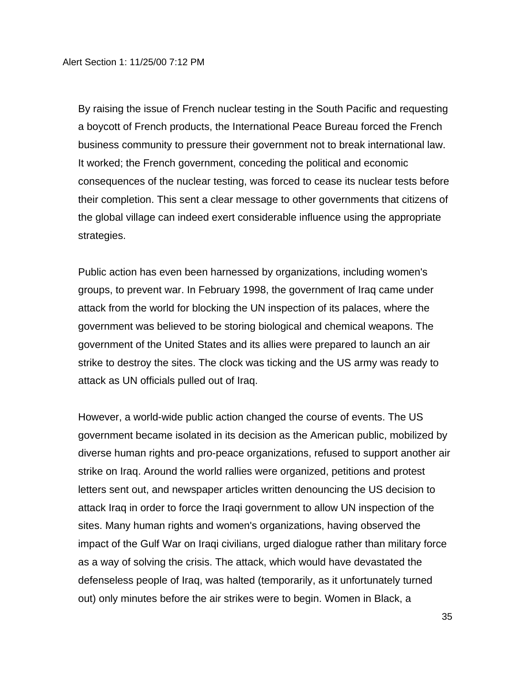By raising the issue of French nuclear testing in the South Pacific and requesting a boycott of French products, the International Peace Bureau forced the French business community to pressure their government not to break international law. It worked; the French government, conceding the political and economic consequences of the nuclear testing, was forced to cease its nuclear tests before their completion. This sent a clear message to other governments that citizens of the global village can indeed exert considerable influence using the appropriate strategies.

Public action has even been harnessed by organizations, including women's groups, to prevent war. In February 1998, the government of Iraq came under attack from the world for blocking the UN inspection of its palaces, where the government was believed to be storing biological and chemical weapons. The government of the United States and its allies were prepared to launch an air strike to destroy the sites. The clock was ticking and the US army was ready to attack as UN officials pulled out of Iraq.

However, a world-wide public action changed the course of events. The US government became isolated in its decision as the American public, mobilized by diverse human rights and pro-peace organizations, refused to support another air strike on Iraq. Around the world rallies were organized, petitions and protest letters sent out, and newspaper articles written denouncing the US decision to attack Iraq in order to force the Iraqi government to allow UN inspection of the sites. Many human rights and women's organizations, having observed the impact of the Gulf War on Iraqi civilians, urged dialogue rather than military force as a way of solving the crisis. The attack, which would have devastated the defenseless people of Iraq, was halted (temporarily, as it unfortunately turned out) only minutes before the air strikes were to begin. Women in Black, a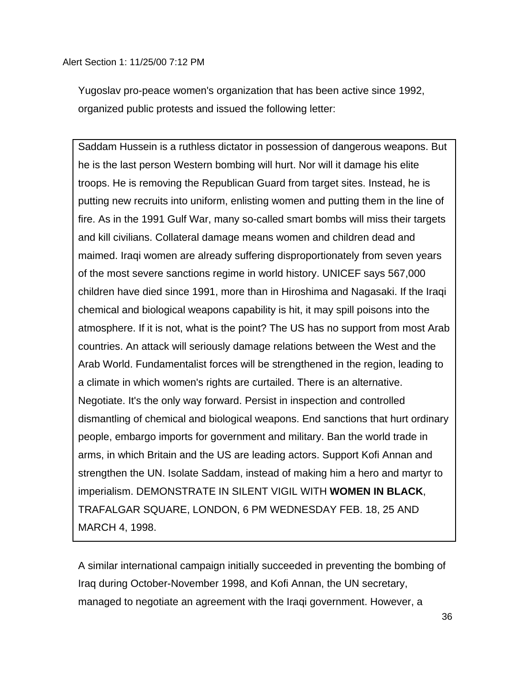Yugoslav pro-peace women's organization that has been active since 1992, organized public protests and issued the following letter:

Saddam Hussein is a ruthless dictator in possession of dangerous weapons. But he is the last person Western bombing will hurt. Nor will it damage his elite troops. He is removing the Republican Guard from target sites. Instead, he is putting new recruits into uniform, enlisting women and putting them in the line of fire. As in the 1991 Gulf War, many so-called smart bombs will miss their targets and kill civilians. Collateral damage means women and children dead and maimed. Iraqi women are already suffering disproportionately from seven years of the most severe sanctions regime in world history. UNICEF says 567,000 children have died since 1991, more than in Hiroshima and Nagasaki. If the Iraqi chemical and biological weapons capability is hit, it may spill poisons into the atmosphere. If it is not, what is the point? The US has no support from most Arab countries. An attack will seriously damage relations between the West and the Arab World. Fundamentalist forces will be strengthened in the region, leading to a climate in which women's rights are curtailed. There is an alternative. Negotiate. It's the only way forward. Persist in inspection and controlled dismantling of chemical and biological weapons. End sanctions that hurt ordinary people, embargo imports for government and military. Ban the world trade in arms, in which Britain and the US are leading actors. Support Kofi Annan and strengthen the UN. Isolate Saddam, instead of making him a hero and martyr to imperialism. DEMONSTRATE IN SILENT VIGIL WITH **WOMEN IN BLACK**, TRAFALGAR SQUARE, LONDON, 6 PM WEDNESDAY FEB. 18, 25 AND MARCH 4, 1998.

A similar international campaign initially succeeded in preventing the bombing of Iraq during October-November 1998, and Kofi Annan, the UN secretary, managed to negotiate an agreement with the Iraqi government. However, a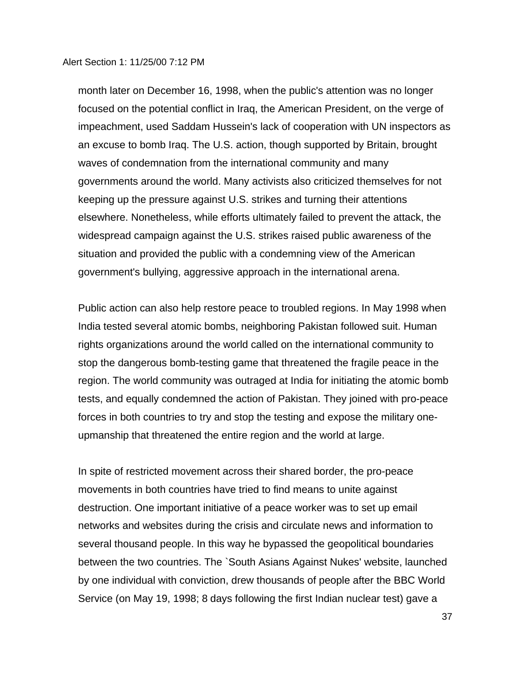month later on December 16, 1998, when the public's attention was no longer focused on the potential conflict in Iraq, the American President, on the verge of impeachment, used Saddam Hussein's lack of cooperation with UN inspectors as an excuse to bomb Iraq. The U.S. action, though supported by Britain, brought waves of condemnation from the international community and many governments around the world. Many activists also criticized themselves for not keeping up the pressure against U.S. strikes and turning their attentions elsewhere. Nonetheless, while efforts ultimately failed to prevent the attack, the widespread campaign against the U.S. strikes raised public awareness of the situation and provided the public with a condemning view of the American government's bullying, aggressive approach in the international arena.

Public action can also help restore peace to troubled regions. In May 1998 when India tested several atomic bombs, neighboring Pakistan followed suit. Human rights organizations around the world called on the international community to stop the dangerous bomb-testing game that threatened the fragile peace in the region. The world community was outraged at India for initiating the atomic bomb tests, and equally condemned the action of Pakistan. They joined with pro-peace forces in both countries to try and stop the testing and expose the military oneupmanship that threatened the entire region and the world at large.

In spite of restricted movement across their shared border, the pro-peace movements in both countries have tried to find means to unite against destruction. One important initiative of a peace worker was to set up email networks and websites during the crisis and circulate news and information to several thousand people. In this way he bypassed the geopolitical boundaries between the two countries. The `South Asians Against Nukes' website, launched by one individual with conviction, drew thousands of people after the BBC World Service (on May 19, 1998; 8 days following the first Indian nuclear test) gave a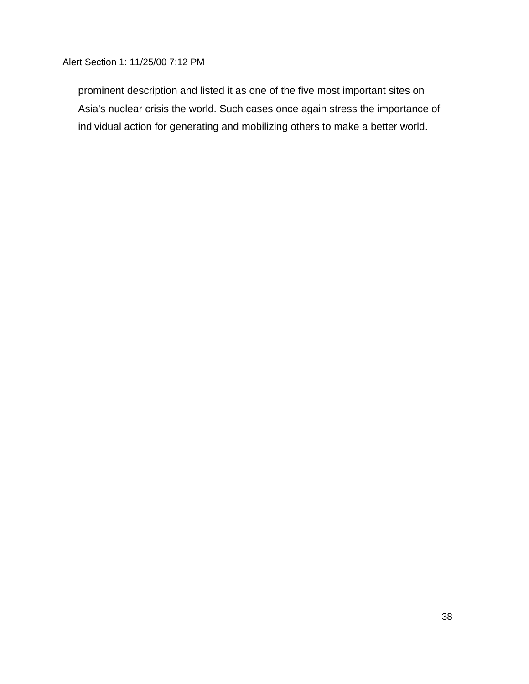prominent description and listed it as one of the five most important sites on Asia's nuclear crisis the world. Such cases once again stress the importance of individual action for generating and mobilizing others to make a better world.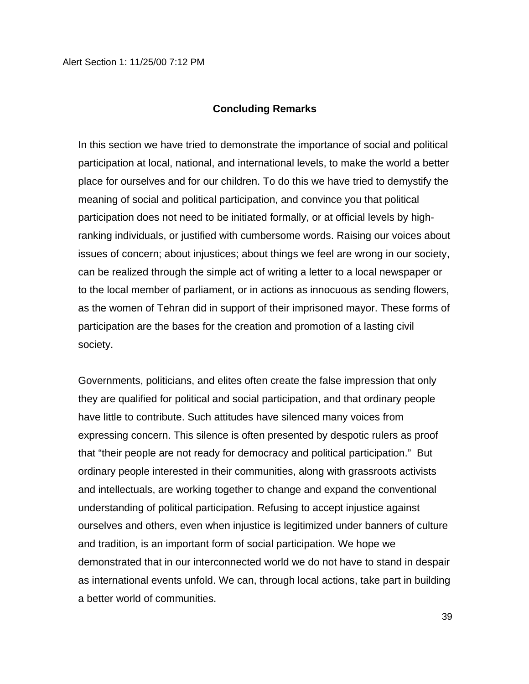#### **Concluding Remarks**

In this section we have tried to demonstrate the importance of social and political participation at local, national, and international levels, to make the world a better place for ourselves and for our children. To do this we have tried to demystify the meaning of social and political participation, and convince you that political participation does not need to be initiated formally, or at official levels by highranking individuals, or justified with cumbersome words. Raising our voices about issues of concern; about injustices; about things we feel are wrong in our society, can be realized through the simple act of writing a letter to a local newspaper or to the local member of parliament, or in actions as innocuous as sending flowers, as the women of Tehran did in support of their imprisoned mayor. These forms of participation are the bases for the creation and promotion of a lasting civil society.

Governments, politicians, and elites often create the false impression that only they are qualified for political and social participation, and that ordinary people have little to contribute. Such attitudes have silenced many voices from expressing concern. This silence is often presented by despotic rulers as proof that "their people are not ready for democracy and political participation." But ordinary people interested in their communities, along with grassroots activists and intellectuals, are working together to change and expand the conventional understanding of political participation. Refusing to accept injustice against ourselves and others, even when injustice is legitimized under banners of culture and tradition, is an important form of social participation. We hope we demonstrated that in our interconnected world we do not have to stand in despair as international events unfold. We can, through local actions, take part in building a better world of communities.

39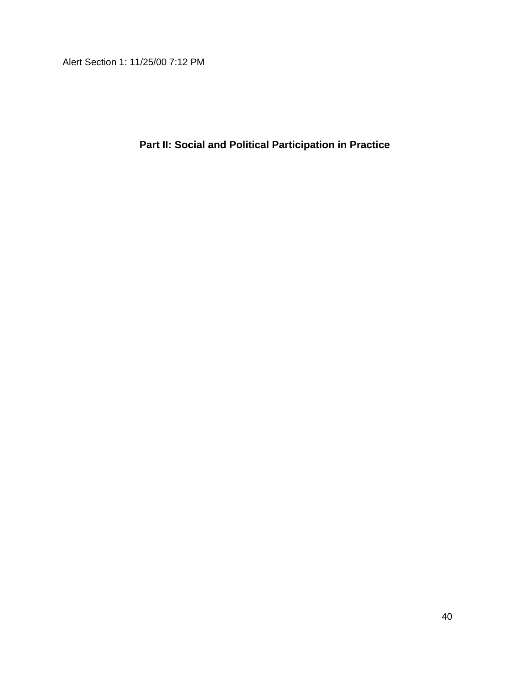**Part II: Social and Political Participation in Practice**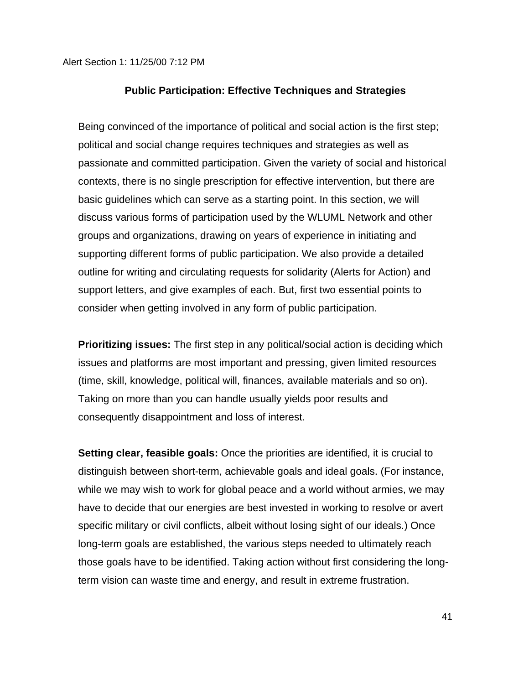#### **Public Participation: Effective Techniques and Strategies**

Being convinced of the importance of political and social action is the first step; political and social change requires techniques and strategies as well as passionate and committed participation. Given the variety of social and historical contexts, there is no single prescription for effective intervention, but there are basic guidelines which can serve as a starting point. In this section, we will discuss various forms of participation used by the WLUML Network and other groups and organizations, drawing on years of experience in initiating and supporting different forms of public participation. We also provide a detailed outline for writing and circulating requests for solidarity (Alerts for Action) and support letters, and give examples of each. But, first two essential points to consider when getting involved in any form of public participation.

**Prioritizing issues:** The first step in any political/social action is deciding which issues and platforms are most important and pressing, given limited resources (time, skill, knowledge, political will, finances, available materials and so on). Taking on more than you can handle usually yields poor results and consequently disappointment and loss of interest.

**Setting clear, feasible goals:** Once the priorities are identified, it is crucial to distinguish between short-term, achievable goals and ideal goals. (For instance, while we may wish to work for global peace and a world without armies, we may have to decide that our energies are best invested in working to resolve or avert specific military or civil conflicts, albeit without losing sight of our ideals.) Once long-term goals are established, the various steps needed to ultimately reach those goals have to be identified. Taking action without first considering the longterm vision can waste time and energy, and result in extreme frustration.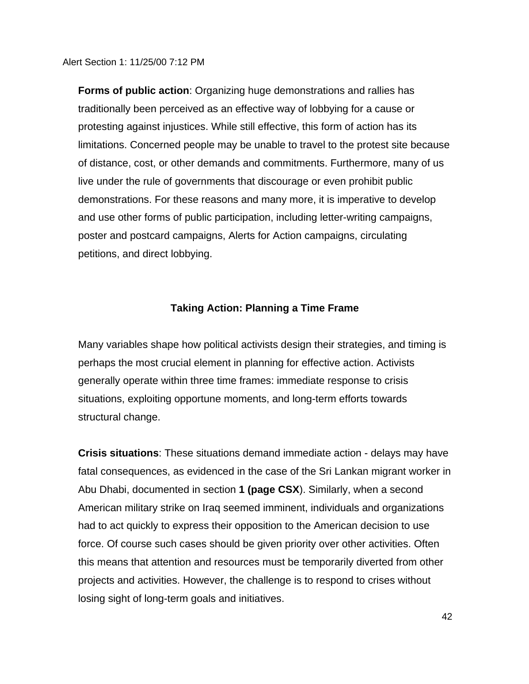**Forms of public action**: Organizing huge demonstrations and rallies has traditionally been perceived as an effective way of lobbying for a cause or protesting against injustices. While still effective, this form of action has its limitations. Concerned people may be unable to travel to the protest site because of distance, cost, or other demands and commitments. Furthermore, many of us live under the rule of governments that discourage or even prohibit public demonstrations. For these reasons and many more, it is imperative to develop and use other forms of public participation, including letter-writing campaigns, poster and postcard campaigns, Alerts for Action campaigns, circulating petitions, and direct lobbying.

### **Taking Action: Planning a Time Frame**

Many variables shape how political activists design their strategies, and timing is perhaps the most crucial element in planning for effective action. Activists generally operate within three time frames: immediate response to crisis situations, exploiting opportune moments, and long-term efforts towards structural change.

**Crisis situations**: These situations demand immediate action - delays may have fatal consequences, as evidenced in the case of the Sri Lankan migrant worker in Abu Dhabi, documented in section **1 (page CSX**). Similarly, when a second American military strike on Iraq seemed imminent, individuals and organizations had to act quickly to express their opposition to the American decision to use force. Of course such cases should be given priority over other activities. Often this means that attention and resources must be temporarily diverted from other projects and activities. However, the challenge is to respond to crises without losing sight of long-term goals and initiatives.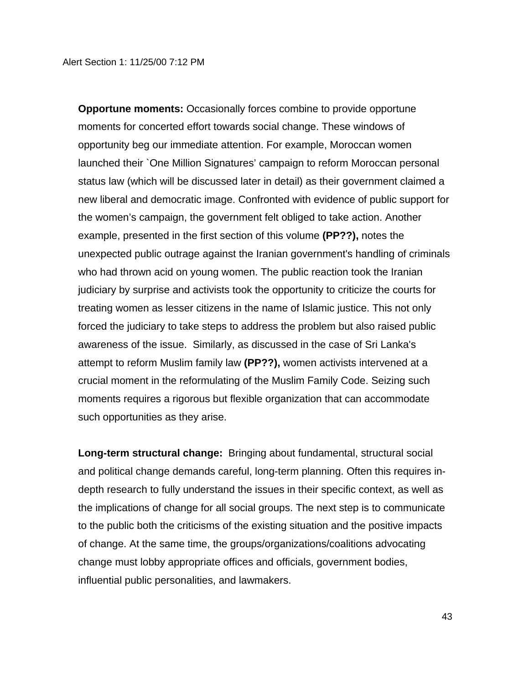**Opportune moments:** Occasionally forces combine to provide opportune moments for concerted effort towards social change. These windows of opportunity beg our immediate attention. For example, Moroccan women launched their `One Million Signatures' campaign to reform Moroccan personal status law (which will be discussed later in detail) as their government claimed a new liberal and democratic image. Confronted with evidence of public support for the women's campaign, the government felt obliged to take action. Another example, presented in the first section of this volume **(PP??),** notes the unexpected public outrage against the Iranian government's handling of criminals who had thrown acid on young women. The public reaction took the Iranian judiciary by surprise and activists took the opportunity to criticize the courts for treating women as lesser citizens in the name of Islamic justice. This not only forced the judiciary to take steps to address the problem but also raised public awareness of the issue.Similarly, as discussed in the case of Sri Lanka's attempt to reform Muslim family law **(PP??),** women activists intervened at a crucial moment in the reformulating of the Muslim Family Code. Seizing such moments requires a rigorous but flexible organization that can accommodate such opportunities as they arise.

**Long-term structural change:** Bringing about fundamental, structural social and political change demands careful, long-term planning. Often this requires indepth research to fully understand the issues in their specific context, as well as the implications of change for all social groups. The next step is to communicate to the public both the criticisms of the existing situation and the positive impacts of change. At the same time, the groups/organizations/coalitions advocating change must lobby appropriate offices and officials, government bodies, influential public personalities, and lawmakers.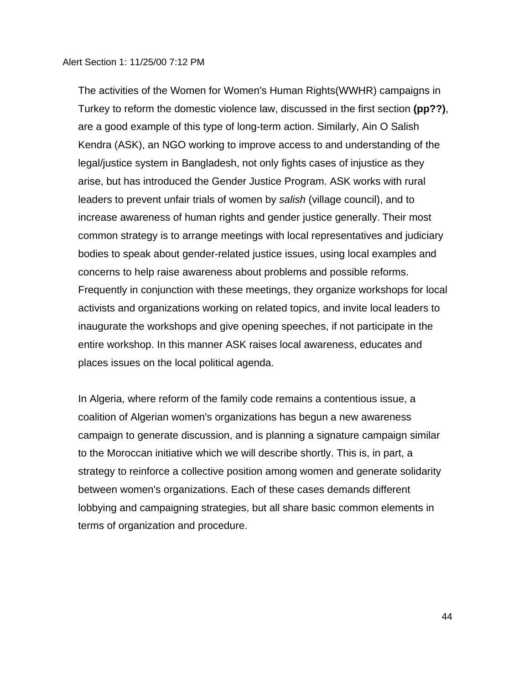The activities of the Women for Women's Human Rights(WWHR) campaigns in Turkey to reform the domestic violence law, discussed in the first section **(pp??)**, are a good example of this type of long-term action. Similarly, Ain O Salish Kendra (ASK), an NGO working to improve access to and understanding of the legal/justice system in Bangladesh, not only fights cases of injustice as they arise, but has introduced the Gender Justice Program. ASK works with rural leaders to prevent unfair trials of women by *salish* (village council), and to increase awareness of human rights and gender justice generally. Their most common strategy is to arrange meetings with local representatives and judiciary bodies to speak about gender-related justice issues, using local examples and concerns to help raise awareness about problems and possible reforms. Frequently in conjunction with these meetings, they organize workshops for local activists and organizations working on related topics, and invite local leaders to inaugurate the workshops and give opening speeches, if not participate in the entire workshop. In this manner ASK raises local awareness, educates and places issues on the local political agenda.

In Algeria, where reform of the family code remains a contentious issue, a coalition of Algerian women's organizations has begun a new awareness campaign to generate discussion, and is planning a signature campaign similar to the Moroccan initiative which we will describe shortly. This is, in part, a strategy to reinforce a collective position among women and generate solidarity between women's organizations. Each of these cases demands different lobbying and campaigning strategies, but all share basic common elements in terms of organization and procedure.

44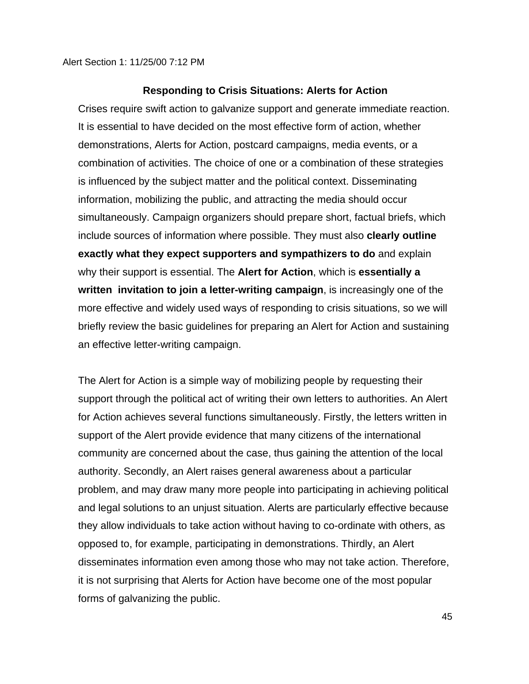#### **Responding to Crisis Situations: Alerts for Action**

Crises require swift action to galvanize support and generate immediate reaction. It is essential to have decided on the most effective form of action, whether demonstrations, Alerts for Action, postcard campaigns, media events, or a combination of activities. The choice of one or a combination of these strategies is influenced by the subject matter and the political context. Disseminating information, mobilizing the public, and attracting the media should occur simultaneously. Campaign organizers should prepare short, factual briefs, which include sources of information where possible. They must also **clearly outline exactly what they expect supporters and sympathizers to do** and explain why their support is essential. The **Alert for Action**, which is **essentially a written invitation to join a letter-writing campaign**, is increasingly one of the more effective and widely used ways of responding to crisis situations, so we will briefly review the basic guidelines for preparing an Alert for Action and sustaining an effective letter-writing campaign.

The Alert for Action is a simple way of mobilizing people by requesting their support through the political act of writing their own letters to authorities. An Alert for Action achieves several functions simultaneously. Firstly, the letters written in support of the Alert provide evidence that many citizens of the international community are concerned about the case, thus gaining the attention of the local authority. Secondly, an Alert raises general awareness about a particular problem, and may draw many more people into participating in achieving political and legal solutions to an unjust situation. Alerts are particularly effective because they allow individuals to take action without having to co-ordinate with others, as opposed to, for example, participating in demonstrations. Thirdly, an Alert disseminates information even among those who may not take action. Therefore, it is not surprising that Alerts for Action have become one of the most popular forms of galvanizing the public.

45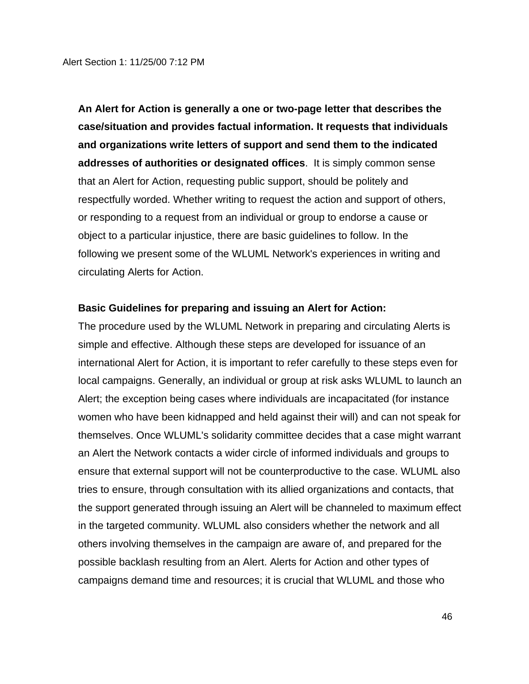**An Alert for Action is generally a one or two-page letter that describes the case/situation and provides factual information. It requests that individuals and organizations write letters of support and send them to the indicated addresses of authorities or designated offices**. It is simply common sense that an Alert for Action, requesting public support, should be politely and respectfully worded. Whether writing to request the action and support of others, or responding to a request from an individual or group to endorse a cause or object to a particular injustice, there are basic guidelines to follow. In the following we present some of the WLUML Network's experiences in writing and circulating Alerts for Action.

#### **Basic Guidelines for preparing and issuing an Alert for Action:**

The procedure used by the WLUML Network in preparing and circulating Alerts is simple and effective. Although these steps are developed for issuance of an international Alert for Action, it is important to refer carefully to these steps even for local campaigns. Generally, an individual or group at risk asks WLUML to launch an Alert; the exception being cases where individuals are incapacitated (for instance women who have been kidnapped and held against their will) and can not speak for themselves. Once WLUML's solidarity committee decides that a case might warrant an Alert the Network contacts a wider circle of informed individuals and groups to ensure that external support will not be counterproductive to the case. WLUML also tries to ensure, through consultation with its allied organizations and contacts, that the support generated through issuing an Alert will be channeled to maximum effect in the targeted community. WLUML also considers whether the network and all others involving themselves in the campaign are aware of, and prepared for the possible backlash resulting from an Alert. Alerts for Action and other types of campaigns demand time and resources; it is crucial that WLUML and those who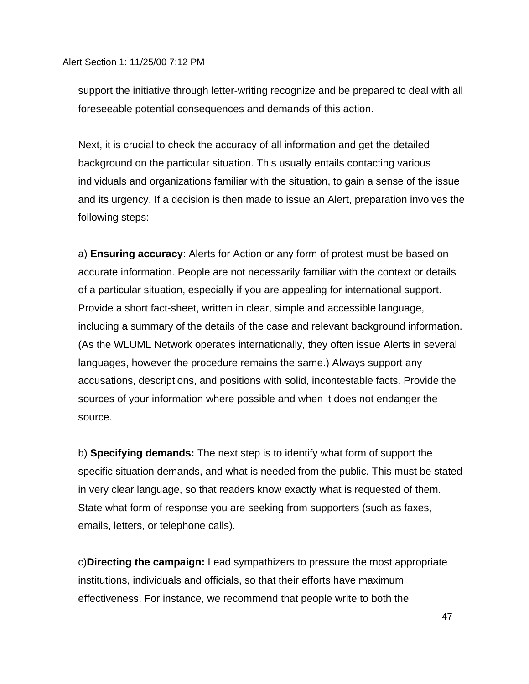support the initiative through letter-writing recognize and be prepared to deal with all foreseeable potential consequences and demands of this action.

Next, it is crucial to check the accuracy of all information and get the detailed background on the particular situation. This usually entails contacting various individuals and organizations familiar with the situation, to gain a sense of the issue and its urgency. If a decision is then made to issue an Alert, preparation involves the following steps:

a) **Ensuring accuracy**: Alerts for Action or any form of protest must be based on accurate information. People are not necessarily familiar with the context or details of a particular situation, especially if you are appealing for international support. Provide a short fact-sheet, written in clear, simple and accessible language, including a summary of the details of the case and relevant background information. (As the WLUML Network operates internationally, they often issue Alerts in several languages, however the procedure remains the same.) Always support any accusations, descriptions, and positions with solid, incontestable facts. Provide the sources of your information where possible and when it does not endanger the source.

b) **Specifying demands:** The next step is to identify what form of support the specific situation demands, and what is needed from the public. This must be stated in very clear language, so that readers know exactly what is requested of them. State what form of response you are seeking from supporters (such as faxes, emails, letters, or telephone calls).

c)**Directing the campaign:** Lead sympathizers to pressure the most appropriate institutions, individuals and officials, so that their efforts have maximum effectiveness. For instance, we recommend that people write to both the

47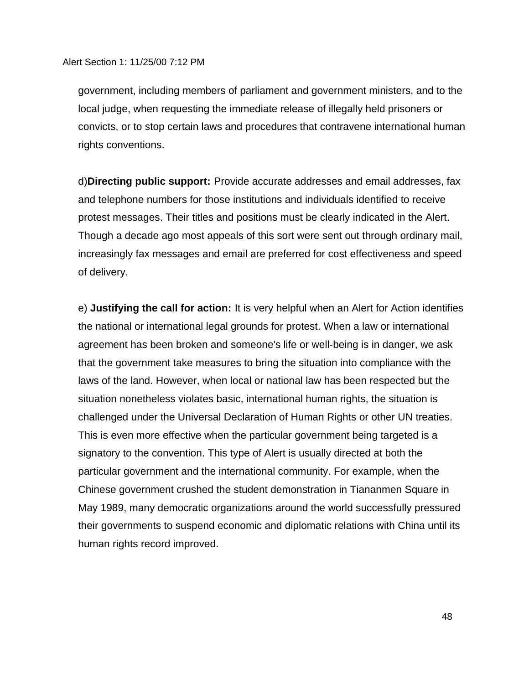government, including members of parliament and government ministers, and to the local judge, when requesting the immediate release of illegally held prisoners or convicts, or to stop certain laws and procedures that contravene international human rights conventions.

d)**Directing public support:** Provide accurate addresses and email addresses, fax and telephone numbers for those institutions and individuals identified to receive protest messages. Their titles and positions must be clearly indicated in the Alert. Though a decade ago most appeals of this sort were sent out through ordinary mail, increasingly fax messages and email are preferred for cost effectiveness and speed of delivery.

e) **Justifying the call for action:** It is very helpful when an Alert for Action identifies the national or international legal grounds for protest. When a law or international agreement has been broken and someone's life or well-being is in danger, we ask that the government take measures to bring the situation into compliance with the laws of the land. However, when local or national law has been respected but the situation nonetheless violates basic, international human rights, the situation is challenged under the Universal Declaration of Human Rights or other UN treaties. This is even more effective when the particular government being targeted is a signatory to the convention. This type of Alert is usually directed at both the particular government and the international community. For example, when the Chinese government crushed the student demonstration in Tiananmen Square in May 1989, many democratic organizations around the world successfully pressured their governments to suspend economic and diplomatic relations with China until its human rights record improved.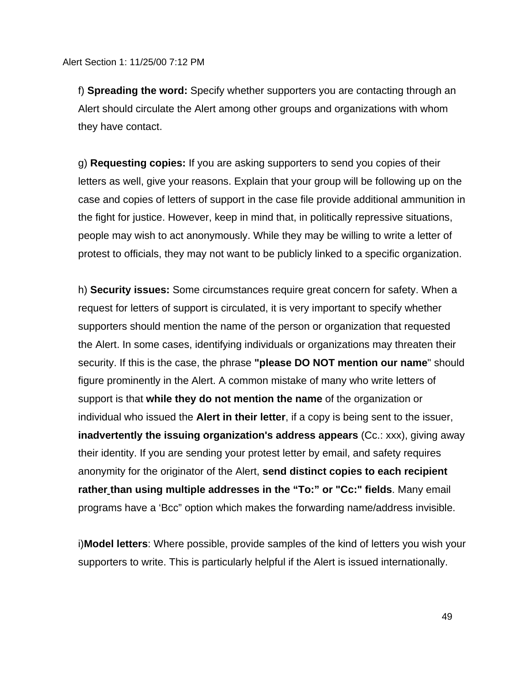f) **Spreading the word:** Specify whether supporters you are contacting through an Alert should circulate the Alert among other groups and organizations with whom they have contact.

g) **Requesting copies:** If you are asking supporters to send you copies of their letters as well, give your reasons. Explain that your group will be following up on the case and copies of letters of support in the case file provide additional ammunition in the fight for justice. However, keep in mind that, in politically repressive situations, people may wish to act anonymously. While they may be willing to write a letter of protest to officials, they may not want to be publicly linked to a specific organization.

h) **Security issues:** Some circumstances require great concern for safety. When a request for letters of support is circulated, it is very important to specify whether supporters should mention the name of the person or organization that requested the Alert. In some cases, identifying individuals or organizations may threaten their security. If this is the case, the phrase **"please DO NOT mention our name**" should figure prominently in the Alert. A common mistake of many who write letters of support is that **while they do not mention the name** of the organization or individual who issued the **Alert in their letter**, if a copy is being sent to the issuer, **inadvertently the issuing organization's address appears** (Cc.: xxx), giving away their identity. If you are sending your protest letter by email, and safety requires anonymity for the originator of the Alert, **send distinct copies to each recipient rather than using multiple addresses in the "To:" or "Cc:" fields**. Many email programs have a 'Bcc" option which makes the forwarding name/address invisible.

i)**Model letters**: Where possible, provide samples of the kind of letters you wish your supporters to write. This is particularly helpful if the Alert is issued internationally.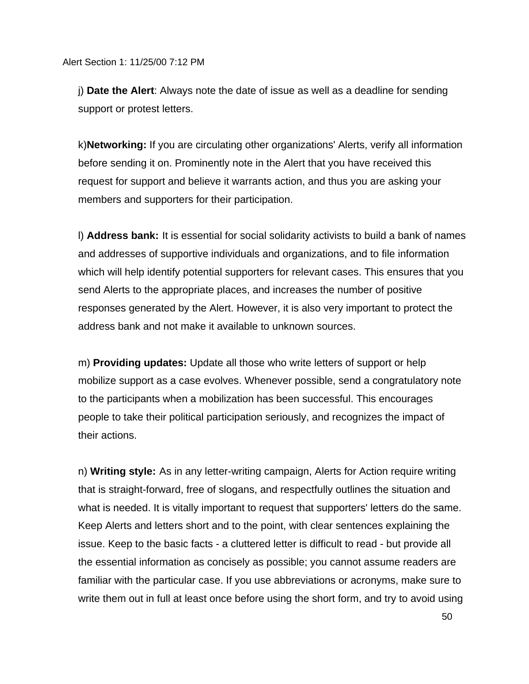j) **Date the Alert**: Always note the date of issue as well as a deadline for sending support or protest letters.

k)**Networking:** If you are circulating other organizations' Alerts, verify all information before sending it on. Prominently note in the Alert that you have received this request for support and believe it warrants action, and thus you are asking your members and supporters for their participation.

l) **Address bank:** It is essential for social solidarity activists to build a bank of names and addresses of supportive individuals and organizations, and to file information which will help identify potential supporters for relevant cases. This ensures that you send Alerts to the appropriate places, and increases the number of positive responses generated by the Alert. However, it is also very important to protect the address bank and not make it available to unknown sources.

m) **Providing updates:** Update all those who write letters of support or help mobilize support as a case evolves. Whenever possible, send a congratulatory note to the participants when a mobilization has been successful. This encourages people to take their political participation seriously, and recognizes the impact of their actions.

n) **Writing style:** As in any letter-writing campaign, Alerts for Action require writing that is straight-forward, free of slogans, and respectfully outlines the situation and what is needed. It is vitally important to request that supporters' letters do the same. Keep Alerts and letters short and to the point, with clear sentences explaining the issue. Keep to the basic facts - a cluttered letter is difficult to read - but provide all the essential information as concisely as possible; you cannot assume readers are familiar with the particular case. If you use abbreviations or acronyms, make sure to write them out in full at least once before using the short form, and try to avoid using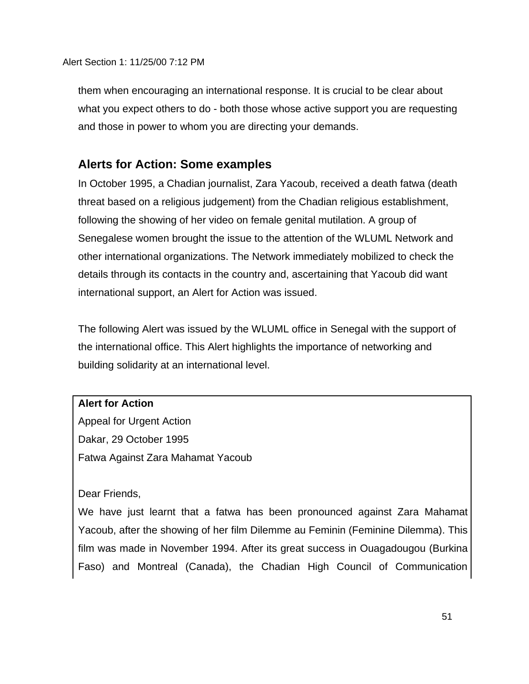them when encouraging an international response. It is crucial to be clear about what you expect others to do - both those whose active support you are requesting and those in power to whom you are directing your demands.

# **Alerts for Action: Some examples**

In October 1995, a Chadian journalist, Zara Yacoub, received a death fatwa (death threat based on a religious judgement) from the Chadian religious establishment, following the showing of her video on female genital mutilation. A group of Senegalese women brought the issue to the attention of the WLUML Network and other international organizations. The Network immediately mobilized to check the details through its contacts in the country and, ascertaining that Yacoub did want international support, an Alert for Action was issued.

The following Alert was issued by the WLUML office in Senegal with the support of the international office. This Alert highlights the importance of networking and building solidarity at an international level.

### **Alert for Action**

Appeal for Urgent Action Dakar, 29 October 1995 Fatwa Against Zara Mahamat Yacoub

Dear Friends,

We have just learnt that a fatwa has been pronounced against Zara Mahamat Yacoub, after the showing of her film Dilemme au Feminin (Feminine Dilemma). This film was made in November 1994. After its great success in Ouagadougou (Burkina Faso) and Montreal (Canada), the Chadian High Council of Communication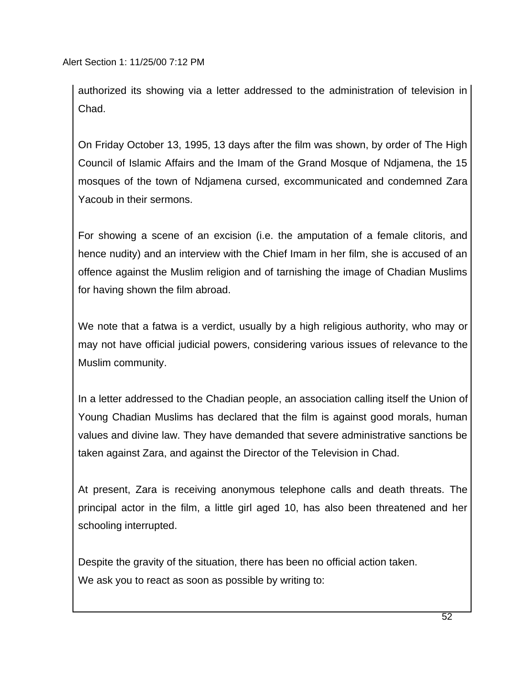authorized its showing via a letter addressed to the administration of television in Chad.

On Friday October 13, 1995, 13 days after the film was shown, by order of The High Council of Islamic Affairs and the Imam of the Grand Mosque of Ndjamena, the 15 mosques of the town of Ndjamena cursed, excommunicated and condemned Zara Yacoub in their sermons.

For showing a scene of an excision (i.e. the amputation of a female clitoris, and hence nudity) and an interview with the Chief Imam in her film, she is accused of an offence against the Muslim religion and of tarnishing the image of Chadian Muslims for having shown the film abroad.

We note that a fatwa is a verdict, usually by a high religious authority, who may or may not have official judicial powers, considering various issues of relevance to the Muslim community.

In a letter addressed to the Chadian people, an association calling itself the Union of Young Chadian Muslims has declared that the film is against good morals, human values and divine law. They have demanded that severe administrative sanctions be taken against Zara, and against the Director of the Television in Chad.

At present, Zara is receiving anonymous telephone calls and death threats. The principal actor in the film, a little girl aged 10, has also been threatened and her schooling interrupted.

Despite the gravity of the situation, there has been no official action taken. We ask you to react as soon as possible by writing to: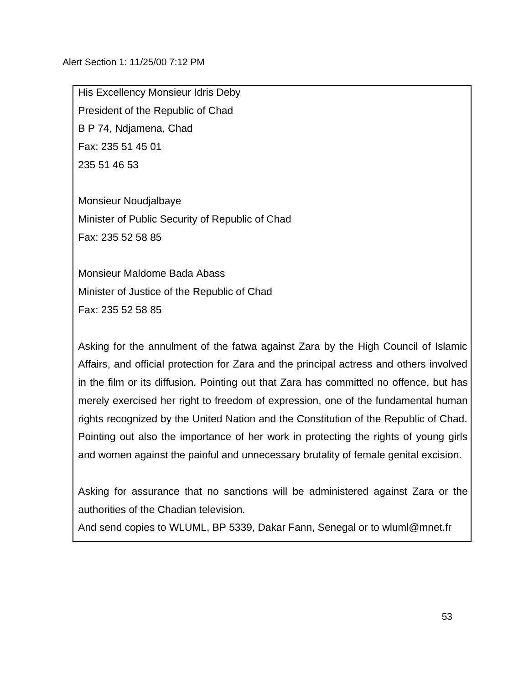His Excellency Monsieur Idris Deby President of the Republic of Chad B P 74, Ndjamena, Chad Fax: 235 51 45 01 235 51 46 53

Monsieur Noudjalbaye Minister of Public Security of Republic of Chad Fax: 235 52 58 85

Monsieur Maldome Bada Abass Minister of Justice of the Republic of Chad Fax: 235 52 58 85

Asking for the annulment of the fatwa against Zara by the High Council of Islamic Affairs, and official protection for Zara and the principal actress and others involved in the film or its diffusion. Pointing out that Zara has committed no offence, but has merely exercised her right to freedom of expression, one of the fundamental human rights recognized by the United Nation and the Constitution of the Republic of Chad. Pointing out also the importance of her work in protecting the rights of young girls and women against the painful and unnecessary brutality of female genital excision.

Asking for assurance that no sanctions will be administered against Zara or the authorities of the Chadian television.

And send copies to WLUML, BP 5339, Dakar Fann, Senegal or to wluml@mnet.fr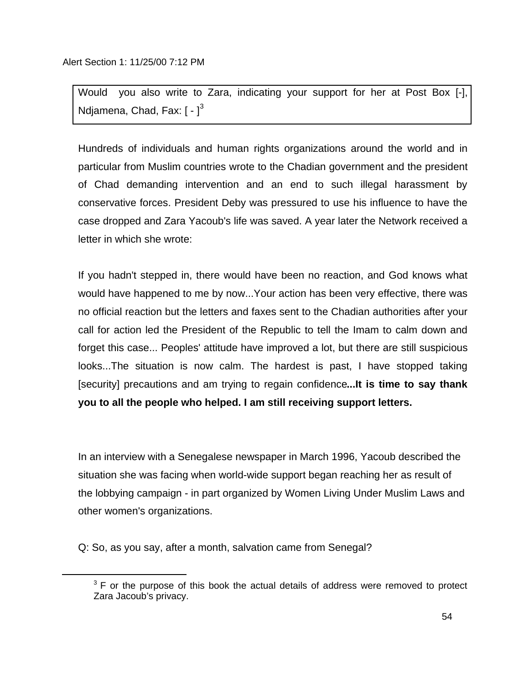Would you also write to Zara, indicating your support for her at Post Box [-], Ndjamena, Chad, Fax:  $\lceil - \rceil^3$ 

Hundreds of individuals and human rights organizations around the world and in particular from Muslim countries wrote to the Chadian government and the president of Chad demanding intervention and an end to such illegal harassment by conservative forces. President Deby was pressured to use his influence to have the case dropped and Zara Yacoub's life was saved. A year later the Network received a letter in which she wrote:

If you hadn't stepped in, there would have been no reaction, and God knows what would have happened to me by now...Your action has been very effective, there was no official reaction but the letters and faxes sent to the Chadian authorities after your call for action led the President of the Republic to tell the Imam to calm down and forget this case... Peoples' attitude have improved a lot, but there are still suspicious looks...The situation is now calm. The hardest is past, I have stopped taking [security] precautions and am trying to regain confidence**...It is time to say thank you to all the people who helped. I am still receiving support letters.**

In an interview with a Senegalese newspaper in March 1996, Yacoub described the situation she was facing when world-wide support began reaching her as result of the lobbying campaign - in part organized by Women Living Under Muslim Laws and other women's organizations.

Q: So, as you say, after a month, salvation came from Senegal?

i<br>L

 $3$  F or the purpose of this book the actual details of address were removed to protect Zara Jacoub's privacy.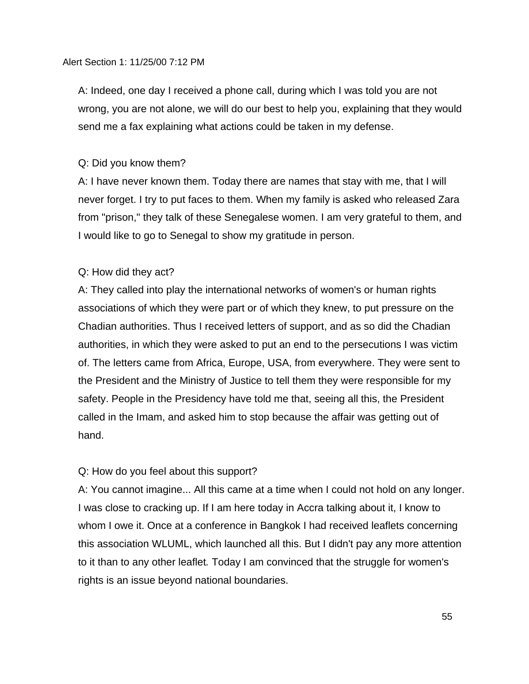A: Indeed, one day I received a phone call, during which I was told you are not wrong, you are not alone, we will do our best to help you, explaining that they would send me a fax explaining what actions could be taken in my defense.

### Q: Did you know them?

A: I have never known them. Today there are names that stay with me, that I will never forget. I try to put faces to them. When my family is asked who released Zara from "prison," they talk of these Senegalese women. I am very grateful to them, and I would like to go to Senegal to show my gratitude in person.

### Q: How did they act?

A: They called into play the international networks of women's or human rights associations of which they were part or of which they knew, to put pressure on the Chadian authorities. Thus I received letters of support, and as so did the Chadian authorities, in which they were asked to put an end to the persecutions I was victim of. The letters came from Africa, Europe, USA, from everywhere. They were sent to the President and the Ministry of Justice to tell them they were responsible for my safety. People in the Presidency have told me that, seeing all this, the President called in the Imam, and asked him to stop because the affair was getting out of hand.

### Q: How do you feel about this support?

A: You cannot imagine... All this came at a time when I could not hold on any longer. I was close to cracking up. If I am here today in Accra talking about it, I know to whom I owe it. Once at a conference in Bangkok I had received leaflets concerning this association WLUML, which launched all this. But I didn't pay any more attention to it than to any other leaflet*.* Today I am convinced that the struggle for women's rights is an issue beyond national boundaries.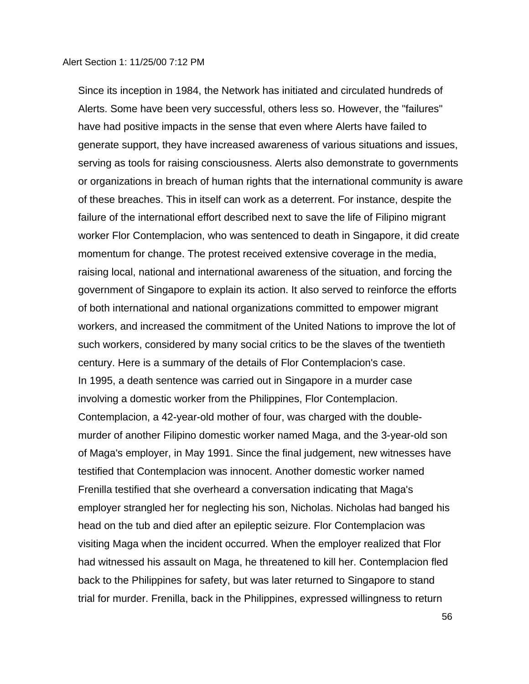Since its inception in 1984, the Network has initiated and circulated hundreds of Alerts. Some have been very successful, others less so. However, the "failures" have had positive impacts in the sense that even where Alerts have failed to generate support, they have increased awareness of various situations and issues, serving as tools for raising consciousness. Alerts also demonstrate to governments or organizations in breach of human rights that the international community is aware of these breaches. This in itself can work as a deterrent. For instance, despite the failure of the international effort described next to save the life of Filipino migrant worker Flor Contemplacion, who was sentenced to death in Singapore, it did create momentum for change. The protest received extensive coverage in the media, raising local, national and international awareness of the situation, and forcing the government of Singapore to explain its action. It also served to reinforce the efforts of both international and national organizations committed to empower migrant workers, and increased the commitment of the United Nations to improve the lot of such workers, considered by many social critics to be the slaves of the twentieth century. Here is a summary of the details of Flor Contemplacion's case. In 1995, a death sentence was carried out in Singapore in a murder case involving a domestic worker from the Philippines, Flor Contemplacion. Contemplacion, a 42-year-old mother of four, was charged with the doublemurder of another Filipino domestic worker named Maga, and the 3-year-old son of Maga's employer, in May 1991. Since the final judgement, new witnesses have testified that Contemplacion was innocent. Another domestic worker named Frenilla testified that she overheard a conversation indicating that Maga's employer strangled her for neglecting his son, Nicholas. Nicholas had banged his head on the tub and died after an epileptic seizure. Flor Contemplacion was visiting Maga when the incident occurred. When the employer realized that Flor had witnessed his assault on Maga, he threatened to kill her. Contemplacion fled back to the Philippines for safety, but was later returned to Singapore to stand trial for murder. Frenilla, back in the Philippines, expressed willingness to return

56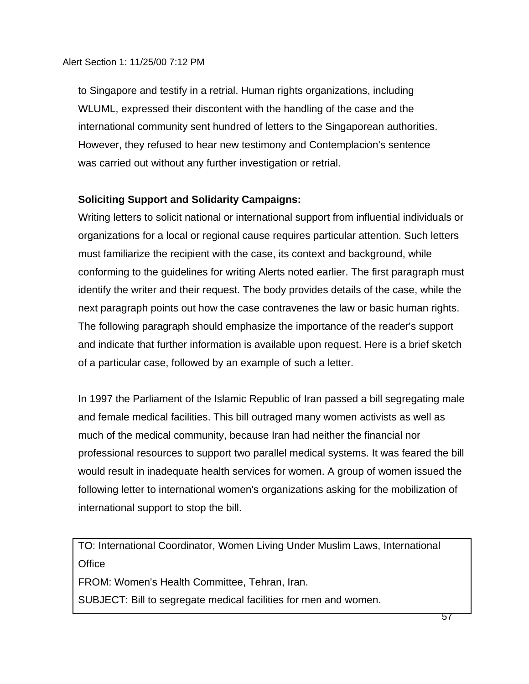to Singapore and testify in a retrial. Human rights organizations, including WLUML, expressed their discontent with the handling of the case and the international community sent hundred of letters to the Singaporean authorities. However, they refused to hear new testimony and Contemplacion's sentence was carried out without any further investigation or retrial.

## **Soliciting Support and Solidarity Campaigns:**

Writing letters to solicit national or international support from influential individuals or organizations for a local or regional cause requires particular attention. Such letters must familiarize the recipient with the case, its context and background, while conforming to the guidelines for writing Alerts noted earlier. The first paragraph must identify the writer and their request. The body provides details of the case, while the next paragraph points out how the case contravenes the law or basic human rights. The following paragraph should emphasize the importance of the reader's support and indicate that further information is available upon request. Here is a brief sketch of a particular case, followed by an example of such a letter.

In 1997 the Parliament of the Islamic Republic of Iran passed a bill segregating male and female medical facilities. This bill outraged many women activists as well as much of the medical community, because Iran had neither the financial nor professional resources to support two parallel medical systems. It was feared the bill would result in inadequate health services for women. A group of women issued the following letter to international women's organizations asking for the mobilization of international support to stop the bill.

TO: International Coordinator, Women Living Under Muslim Laws, International **Office** 

FROM: Women's Health Committee, Tehran, Iran.

SUBJECT: Bill to segregate medical facilities for men and women.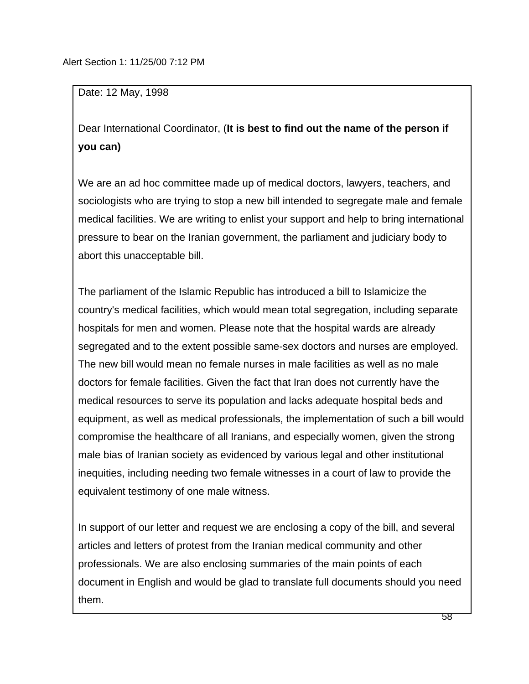Date: 12 May, 1998

Dear International Coordinator, (**It is best to find out the name of the person if you can)**

We are an ad hoc committee made up of medical doctors, lawyers, teachers, and sociologists who are trying to stop a new bill intended to segregate male and female medical facilities. We are writing to enlist your support and help to bring international pressure to bear on the Iranian government, the parliament and judiciary body to abort this unacceptable bill.

The parliament of the Islamic Republic has introduced a bill to Islamicize the country's medical facilities, which would mean total segregation, including separate hospitals for men and women. Please note that the hospital wards are already segregated and to the extent possible same-sex doctors and nurses are employed. The new bill would mean no female nurses in male facilities as well as no male doctors for female facilities. Given the fact that Iran does not currently have the medical resources to serve its population and lacks adequate hospital beds and equipment, as well as medical professionals, the implementation of such a bill would compromise the healthcare of all Iranians, and especially women, given the strong male bias of Iranian society as evidenced by various legal and other institutional inequities, including needing two female witnesses in a court of law to provide the equivalent testimony of one male witness.

In support of our letter and request we are enclosing a copy of the bill, and several articles and letters of protest from the Iranian medical community and other professionals. We are also enclosing summaries of the main points of each document in English and would be glad to translate full documents should you need them.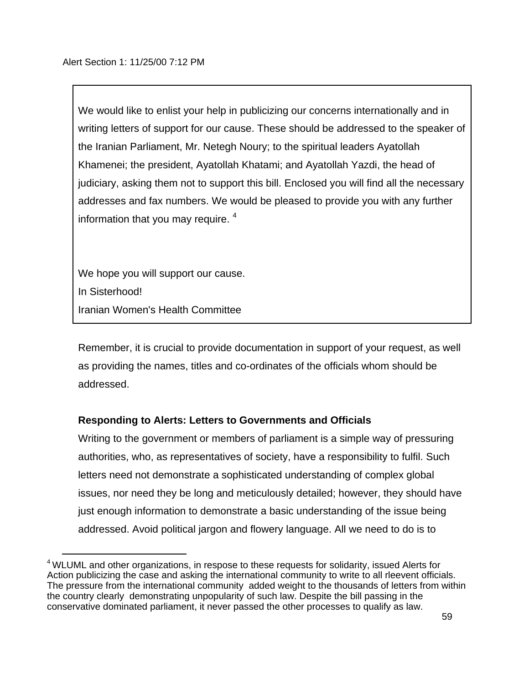We would like to enlist your help in publicizing our concerns internationally and in writing letters of support for our cause. These should be addressed to the speaker of the Iranian Parliament, Mr. Netegh Noury; to the spiritual leaders Ayatollah Khamenei; the president, Ayatollah Khatami; and Ayatollah Yazdi, the head of judiciary, asking them not to support this bill. Enclosed you will find all the necessary addresses and fax numbers. We would be pleased to provide you with any further information that you may require.  $4$ 

We hope you will support our cause. In Sisterhood! Iranian Women's Health Committee

i<br>L

Remember, it is crucial to provide documentation in support of your request, as well as providing the names, titles and co-ordinates of the officials whom should be addressed.

## **Responding to Alerts: Letters to Governments and Officials**

Writing to the government or members of parliament is a simple way of pressuring authorities, who, as representatives of society, have a responsibility to fulfil. Such letters need not demonstrate a sophisticated understanding of complex global issues, nor need they be long and meticulously detailed; however, they should have just enough information to demonstrate a basic understanding of the issue being addressed. Avoid political jargon and flowery language. All we need to do is to

<sup>&</sup>lt;sup>4</sup> WLUML and other organizations, in respose to these requests for solidarity, issued Alerts for Action publicizing the case and asking the international community to write to all rleevent officials. The pressure from the international community added weight to the thousands of letters from within the country clearly demonstrating unpopularity of such law. Despite the bill passing in the conservative dominated parliament, it never passed the other processes to qualify as law.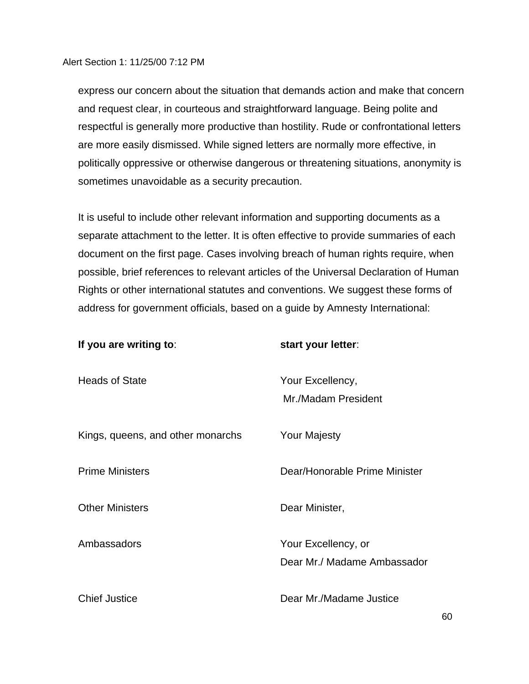express our concern about the situation that demands action and make that concern and request clear, in courteous and straightforward language. Being polite and respectful is generally more productive than hostility. Rude or confrontational letters are more easily dismissed. While signed letters are normally more effective, in politically oppressive or otherwise dangerous or threatening situations, anonymity is sometimes unavoidable as a security precaution.

It is useful to include other relevant information and supporting documents as a separate attachment to the letter. It is often effective to provide summaries of each document on the first page. Cases involving breach of human rights require, when possible, brief references to relevant articles of the Universal Declaration of Human Rights or other international statutes and conventions. We suggest these forms of address for government officials, based on a guide by Amnesty International:

| If you are writing to:            | start your letter:                                 |
|-----------------------------------|----------------------------------------------------|
| <b>Heads of State</b>             | Your Excellency,<br>Mr./Madam President            |
| Kings, queens, and other monarchs | <b>Your Majesty</b>                                |
| <b>Prime Ministers</b>            | Dear/Honorable Prime Minister                      |
| <b>Other Ministers</b>            | Dear Minister,                                     |
| Ambassadors                       | Your Excellency, or<br>Dear Mr./ Madame Ambassador |
| <b>Chief Justice</b>              | Dear Mr./Madame Justice                            |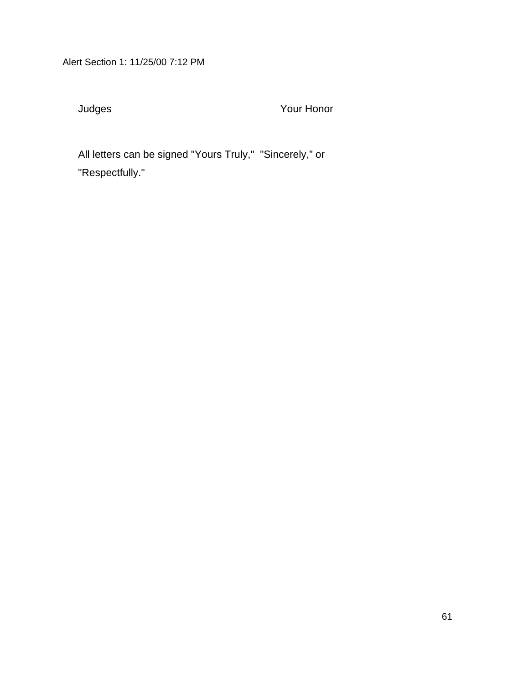Judges Your Honor

All letters can be signed "Yours Truly," "Sincerely," or "Respectfully."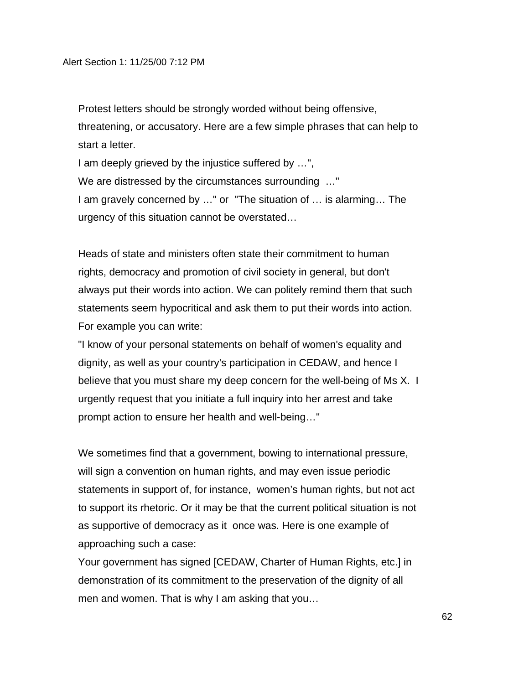Protest letters should be strongly worded without being offensive, threatening, or accusatory. Here are a few simple phrases that can help to start a letter.

I am deeply grieved by the injustice suffered by …", We are distressed by the circumstances surrounding …" I am gravely concerned by …" or "The situation of … is alarming… The urgency of this situation cannot be overstated…

Heads of state and ministers often state their commitment to human rights, democracy and promotion of civil society in general, but don't always put their words into action. We can politely remind them that such statements seem hypocritical and ask them to put their words into action. For example you can write:

"I know of your personal statements on behalf of women's equality and dignity, as well as your country's participation in CEDAW, and hence I believe that you must share my deep concern for the well-being of Ms X. I urgently request that you initiate a full inquiry into her arrest and take prompt action to ensure her health and well-being…"

We sometimes find that a government, bowing to international pressure, will sign a convention on human rights, and may even issue periodic statements in support of, for instance, women's human rights, but not act to support its rhetoric. Or it may be that the current political situation is not as supportive of democracy as it once was. Here is one example of approaching such a case:

Your government has signed [CEDAW, Charter of Human Rights, etc.] in demonstration of its commitment to the preservation of the dignity of all men and women. That is why I am asking that you…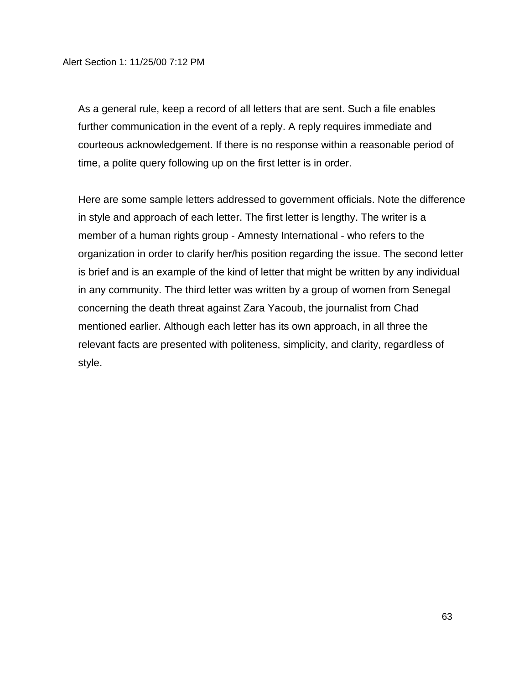As a general rule, keep a record of all letters that are sent. Such a file enables further communication in the event of a reply. A reply requires immediate and courteous acknowledgement. If there is no response within a reasonable period of time, a polite query following up on the first letter is in order.

Here are some sample letters addressed to government officials. Note the difference in style and approach of each letter. The first letter is lengthy. The writer is a member of a human rights group - Amnesty International - who refers to the organization in order to clarify her/his position regarding the issue. The second letter is brief and is an example of the kind of letter that might be written by any individual in any community. The third letter was written by a group of women from Senegal concerning the death threat against Zara Yacoub, the journalist from Chad mentioned earlier. Although each letter has its own approach, in all three the relevant facts are presented with politeness, simplicity, and clarity, regardless of style.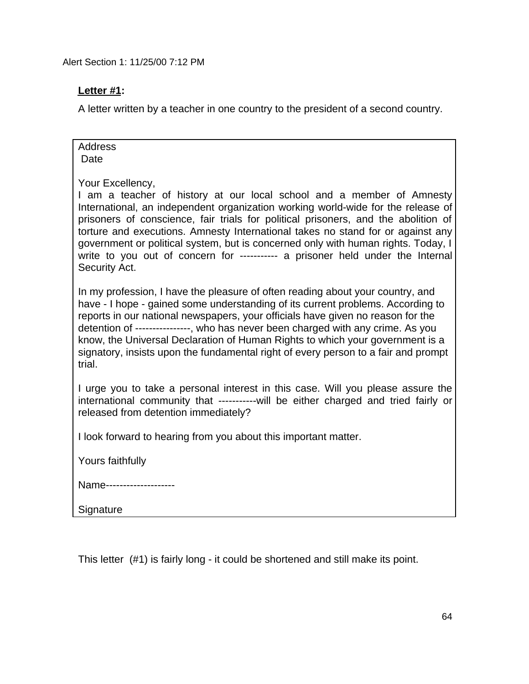## **Letter #1:**

A letter written by a teacher in one country to the president of a second country.

| <b>Address</b><br>Date                                                                                                                                                                                                                                                                                                                                                                                                                                                                                                                        |
|-----------------------------------------------------------------------------------------------------------------------------------------------------------------------------------------------------------------------------------------------------------------------------------------------------------------------------------------------------------------------------------------------------------------------------------------------------------------------------------------------------------------------------------------------|
| Your Excellency,<br>I am a teacher of history at our local school and a member of Amnesty<br>International, an independent organization working world-wide for the release of<br>prisoners of conscience, fair trials for political prisoners, and the abolition of<br>torture and executions. Amnesty International takes no stand for or against any<br>government or political system, but is concerned only with human rights. Today, I<br>write to you out of concern for ---------- a prisoner held under the Internal<br>Security Act. |
| In my profession, I have the pleasure of often reading about your country, and<br>have - I hope - gained some understanding of its current problems. According to<br>reports in our national newspapers, your officials have given no reason for the<br>detention of ---------------, who has never been charged with any crime. As you<br>know, the Universal Declaration of Human Rights to which your government is a<br>signatory, insists upon the fundamental right of every person to a fair and prompt<br>trial.                      |
| I urge you to take a personal interest in this case. Will you please assure the<br>international community that ------------will be either charged and tried fairly or<br>released from detention immediately?                                                                                                                                                                                                                                                                                                                                |
| I look forward to hearing from you about this important matter.                                                                                                                                                                                                                                                                                                                                                                                                                                                                               |
| Yours faithfully                                                                                                                                                                                                                                                                                                                                                                                                                                                                                                                              |
| Name-------------------                                                                                                                                                                                                                                                                                                                                                                                                                                                                                                                       |
| Signature                                                                                                                                                                                                                                                                                                                                                                                                                                                                                                                                     |

This letter (#1) is fairly long - it could be shortened and still make its point.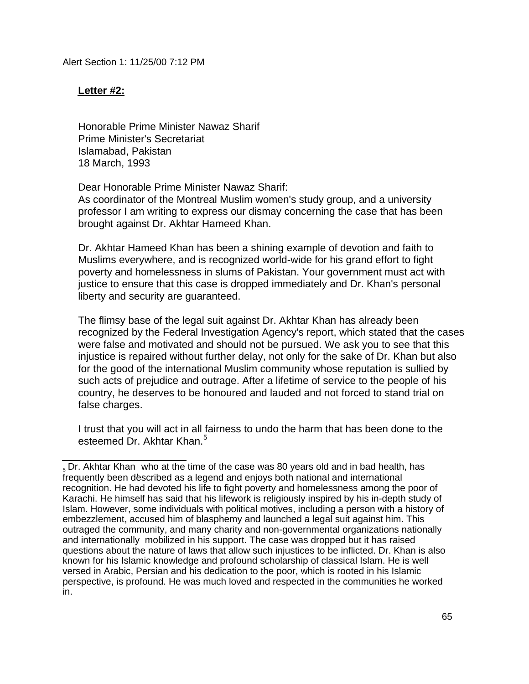### **Letter #2:**

Honorable Prime Minister Nawaz Sharif Prime Minister's Secretariat Islamabad, Pakistan 18 March, 1993

Dear Honorable Prime Minister Nawaz Sharif:

As coordinator of the Montreal Muslim women's study group, and a university professor I am writing to express our dismay concerning the case that has been brought against Dr. Akhtar Hameed Khan.

Dr. Akhtar Hameed Khan has been a shining example of devotion and faith to Muslims everywhere, and is recognized world-wide for his grand effort to fight poverty and homelessness in slums of Pakistan. Your government must act with justice to ensure that this case is dropped immediately and Dr. Khan's personal liberty and security are guaranteed.

The flimsy base of the legal suit against Dr. Akhtar Khan has already been recognized by the Federal Investigation Agency's report, which stated that the cases were false and motivated and should not be pursued. We ask you to see that this injustice is repaired without further delay, not only for the sake of Dr. Khan but also for the good of the international Muslim community whose reputation is sullied by such acts of prejudice and outrage. After a lifetime of service to the people of his country, he deserves to be honoured and lauded and not forced to stand trial on false charges.

I trust that you will act in all fairness to undo the harm that has been done to the esteemed Dr. Akhtar Khan.<sup>5</sup>

l.  $_5$  Dr. Akhtar Khan who at the time of the case was 80 years old and in bad health, has s Dr. Annan Miam who at the time of the case was 60 years old and in bad health<br>frequently been described as a legend and enjoys both national and international recognition. He had devoted his life to fight poverty and homelessness among the poor of Karachi. He himself has said that his lifework is religiously inspired by his in-depth study of Islam. However, some individuals with political motives, including a person with a history of embezzlement, accused him of blasphemy and launched a legal suit against him. This outraged the community, and many charity and non-governmental organizations nationally and internationally mobilized in his support. The case was dropped but it has raised questions about the nature of laws that allow such injustices to be inflicted. Dr. Khan is also known for his Islamic knowledge and profound scholarship of classical Islam. He is well versed in Arabic, Persian and his dedication to the poor, which is rooted in his Islamic perspective, is profound. He was much loved and respected in the communities he worked in.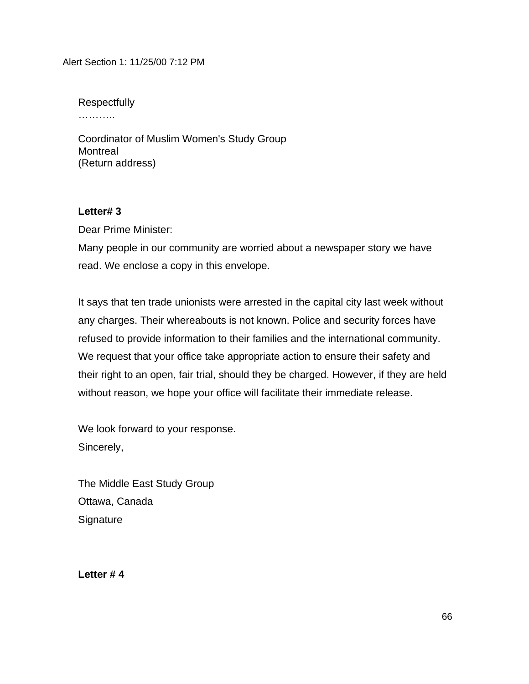Respectfully …………

Coordinator of Muslim Women's Study Group Montreal (Return address)

## **Letter# 3**

Dear Prime Minister:

Many people in our community are worried about a newspaper story we have read. We enclose a copy in this envelope.

It says that ten trade unionists were arrested in the capital city last week without any charges. Their whereabouts is not known. Police and security forces have refused to provide information to their families and the international community. We request that your office take appropriate action to ensure their safety and their right to an open, fair trial, should they be charged. However, if they are held without reason, we hope your office will facilitate their immediate release.

We look forward to your response. Sincerely,

The Middle East Study Group Ottawa, Canada **Signature** 

**Letter # 4**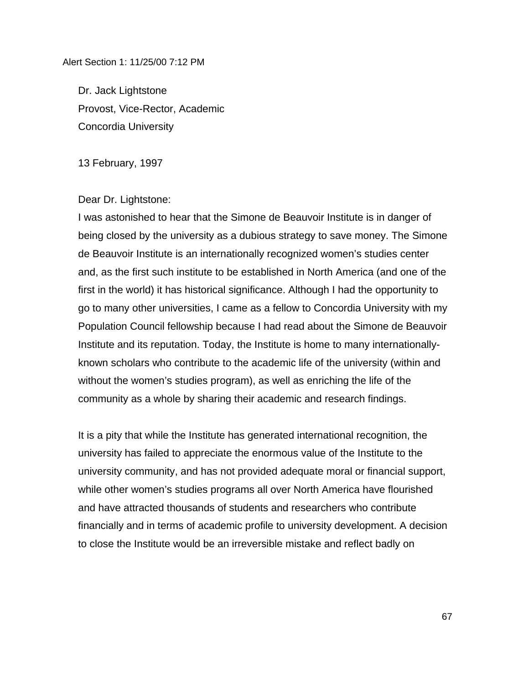Dr. Jack Lightstone Provost, Vice-Rector, Academic Concordia University

13 February, 1997

Dear Dr. Lightstone:

I was astonished to hear that the Simone de Beauvoir Institute is in danger of being closed by the university as a dubious strategy to save money. The Simone de Beauvoir Institute is an internationally recognized women's studies center and, as the first such institute to be established in North America (and one of the first in the world) it has historical significance. Although I had the opportunity to go to many other universities, I came as a fellow to Concordia University with my Population Council fellowship because I had read about the Simone de Beauvoir Institute and its reputation. Today, the Institute is home to many internationallyknown scholars who contribute to the academic life of the university (within and without the women's studies program), as well as enriching the life of the community as a whole by sharing their academic and research findings.

It is a pity that while the Institute has generated international recognition, the university has failed to appreciate the enormous value of the Institute to the university community, and has not provided adequate moral or financial support, while other women's studies programs all over North America have flourished and have attracted thousands of students and researchers who contribute financially and in terms of academic profile to university development. A decision to close the Institute would be an irreversible mistake and reflect badly on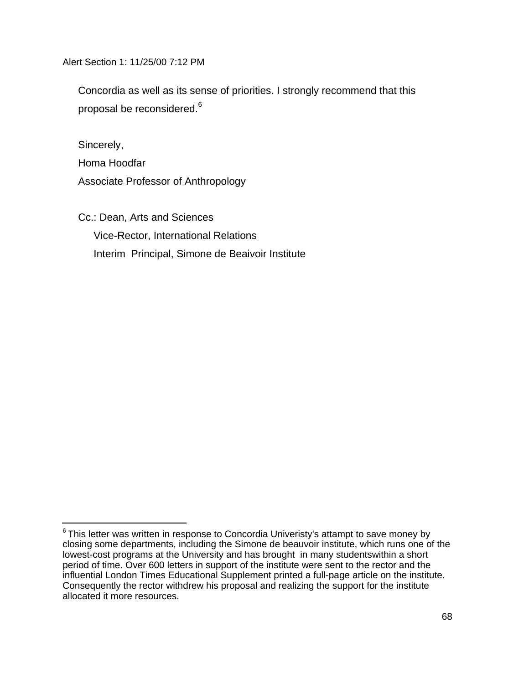Concordia as well as its sense of priorities. I strongly recommend that this proposal be reconsidered.<sup>6</sup>

Sincerely,

i<br>L

Homa Hoodfar Associate Professor of Anthropology

Cc.: Dean, Arts and Sciences Vice-Rector, International Relations Interim Principal, Simone de Beaivoir Institute

 $^6$ This letter was written in response to Concordia Univeristy's attampt to save money by closing some departments, including the Simone de beauvoir institute, which runs one of the lowest-cost programs at the University and has brought in many studentswithin a short period of time. Over 600 letters in support of the institute were sent to the rector and the influential London Times Educational Supplement printed a full-page article on the institute. Consequently the rector withdrew his proposal and realizing the support for the institute allocated it more resources.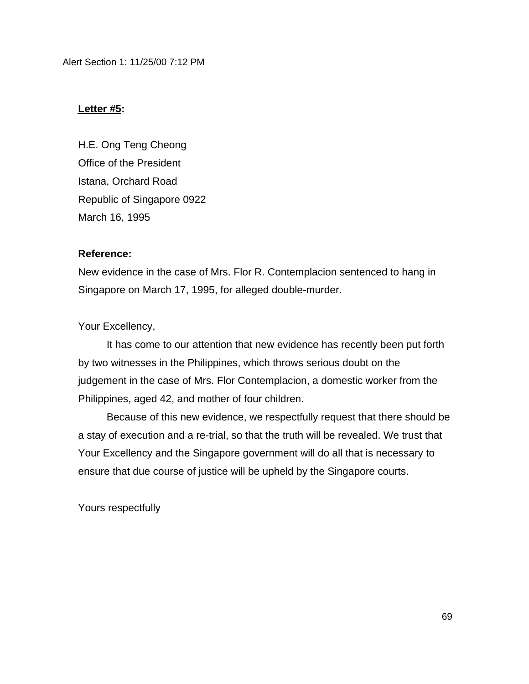### **Letter #5:**

H.E. Ong Teng Cheong Office of the President Istana, Orchard Road Republic of Singapore 0922 March 16, 1995

### **Reference:**

New evidence in the case of Mrs. Flor R. Contemplacion sentenced to hang in Singapore on March 17, 1995, for alleged double-murder.

#### Your Excellency,

It has come to our attention that new evidence has recently been put forth by two witnesses in the Philippines, which throws serious doubt on the judgement in the case of Mrs. Flor Contemplacion, a domestic worker from the Philippines, aged 42, and mother of four children.

Because of this new evidence, we respectfully request that there should be a stay of execution and a re-trial, so that the truth will be revealed. We trust that Your Excellency and the Singapore government will do all that is necessary to ensure that due course of justice will be upheld by the Singapore courts.

Yours respectfully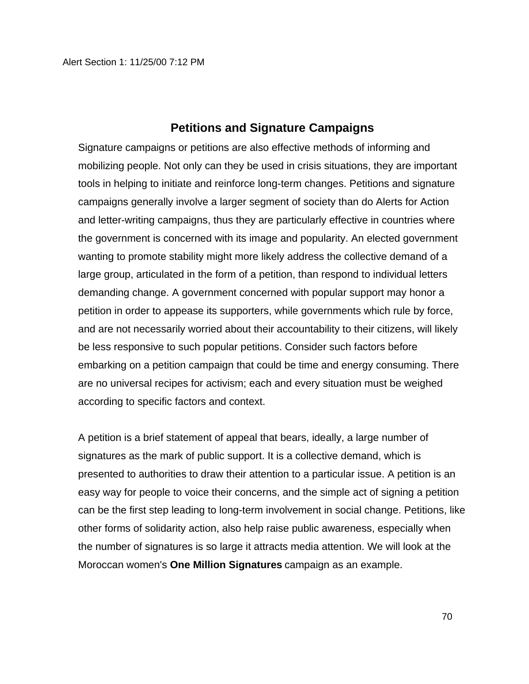## **Petitions and Signature Campaigns**

Signature campaigns or petitions are also effective methods of informing and mobilizing people. Not only can they be used in crisis situations, they are important tools in helping to initiate and reinforce long-term changes. Petitions and signature campaigns generally involve a larger segment of society than do Alerts for Action and letter-writing campaigns, thus they are particularly effective in countries where the government is concerned with its image and popularity. An elected government wanting to promote stability might more likely address the collective demand of a large group, articulated in the form of a petition, than respond to individual letters demanding change. A government concerned with popular support may honor a petition in order to appease its supporters, while governments which rule by force, and are not necessarily worried about their accountability to their citizens, will likely be less responsive to such popular petitions. Consider such factors before embarking on a petition campaign that could be time and energy consuming. There are no universal recipes for activism; each and every situation must be weighed according to specific factors and context.

A petition is a brief statement of appeal that bears, ideally, a large number of signatures as the mark of public support. It is a collective demand, which is presented to authorities to draw their attention to a particular issue. A petition is an easy way for people to voice their concerns, and the simple act of signing a petition can be the first step leading to long-term involvement in social change. Petitions, like other forms of solidarity action, also help raise public awareness, especially when the number of signatures is so large it attracts media attention. We will look at the Moroccan women's **One Million Signatures** campaign as an example.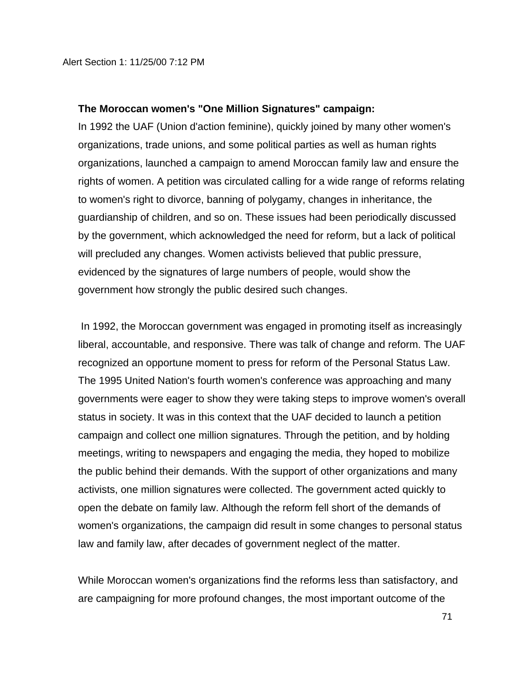#### **The Moroccan women's "One Million Signatures" campaign:**

In 1992 the UAF (Union d'action feminine), quickly joined by many other women's organizations, trade unions, and some political parties as well as human rights organizations, launched a campaign to amend Moroccan family law and ensure the rights of women. A petition was circulated calling for a wide range of reforms relating to women's right to divorce, banning of polygamy, changes in inheritance, the guardianship of children, and so on. These issues had been periodically discussed by the government, which acknowledged the need for reform, but a lack of political will precluded any changes. Women activists believed that public pressure, evidenced by the signatures of large numbers of people, would show the government how strongly the public desired such changes.

 In 1992, the Moroccan government was engaged in promoting itself as increasingly liberal, accountable, and responsive. There was talk of change and reform. The UAF recognized an opportune moment to press for reform of the Personal Status Law. The 1995 United Nation's fourth women's conference was approaching and many governments were eager to show they were taking steps to improve women's overall status in society. It was in this context that the UAF decided to launch a petition campaign and collect one million signatures. Through the petition, and by holding meetings, writing to newspapers and engaging the media, they hoped to mobilize the public behind their demands. With the support of other organizations and many activists, one million signatures were collected. The government acted quickly to open the debate on family law. Although the reform fell short of the demands of women's organizations, the campaign did result in some changes to personal status law and family law, after decades of government neglect of the matter.

While Moroccan women's organizations find the reforms less than satisfactory, and are campaigning for more profound changes, the most important outcome of the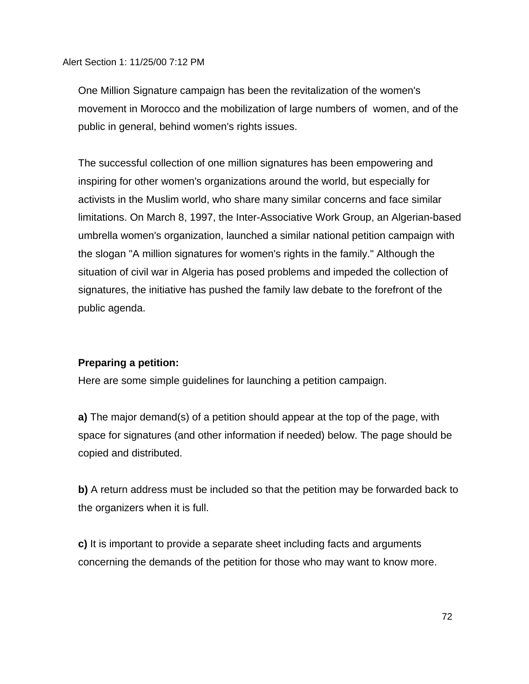One Million Signature campaign has been the revitalization of the women's movement in Morocco and the mobilization of large numbers of women, and of the public in general, behind women's rights issues.

The successful collection of one million signatures has been empowering and inspiring for other women's organizations around the world, but especially for activists in the Muslim world, who share many similar concerns and face similar limitations. On March 8, 1997, the Inter-Associative Work Group, an Algerian-based umbrella women's organization, launched a similar national petition campaign with the slogan "A million signatures for women's rights in the family." Although the situation of civil war in Algeria has posed problems and impeded the collection of signatures, the initiative has pushed the family law debate to the forefront of the public agenda.

## **Preparing a petition:**

Here are some simple guidelines for launching a petition campaign.

**a)** The major demand(s) of a petition should appear at the top of the page, with space for signatures (and other information if needed) below. The page should be copied and distributed.

**b)** A return address must be included so that the petition may be forwarded back to the organizers when it is full.

**c)** It is important to provide a separate sheet including facts and arguments concerning the demands of the petition for those who may want to know more.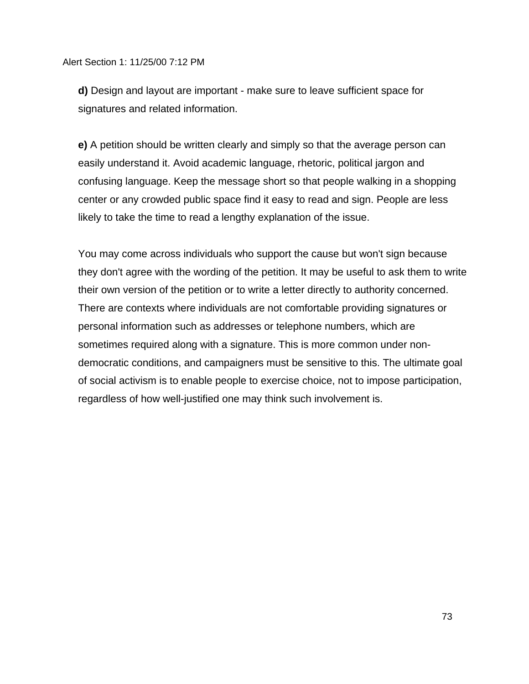**d)** Design and layout are important - make sure to leave sufficient space for signatures and related information.

**e)** A petition should be written clearly and simply so that the average person can easily understand it. Avoid academic language, rhetoric, political jargon and confusing language. Keep the message short so that people walking in a shopping center or any crowded public space find it easy to read and sign. People are less likely to take the time to read a lengthy explanation of the issue.

You may come across individuals who support the cause but won't sign because they don't agree with the wording of the petition. It may be useful to ask them to write their own version of the petition or to write a letter directly to authority concerned. There are contexts where individuals are not comfortable providing signatures or personal information such as addresses or telephone numbers, which are sometimes required along with a signature. This is more common under nondemocratic conditions, and campaigners must be sensitive to this. The ultimate goal of social activism is to enable people to exercise choice, not to impose participation, regardless of how well-justified one may think such involvement is.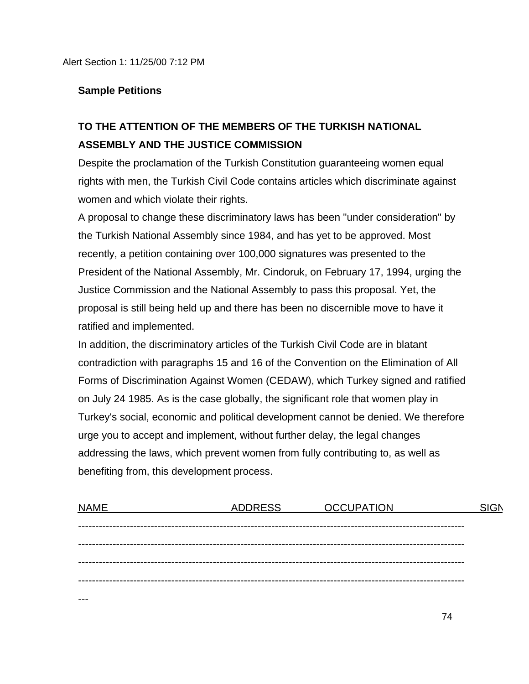### **Sample Petitions**

---

# **TO THE ATTENTION OF THE MEMBERS OF THE TURKISH NATIONAL ASSEMBLY AND THE JUSTICE COMMISSION**

Despite the proclamation of the Turkish Constitution guaranteeing women equal rights with men, the Turkish Civil Code contains articles which discriminate against women and which violate their rights.

A proposal to change these discriminatory laws has been "under consideration" by the Turkish National Assembly since 1984, and has yet to be approved. Most recently, a petition containing over 100,000 signatures was presented to the President of the National Assembly, Mr. Cindoruk, on February 17, 1994, urging the Justice Commission and the National Assembly to pass this proposal. Yet, the proposal is still being held up and there has been no discernible move to have it ratified and implemented.

In addition, the discriminatory articles of the Turkish Civil Code are in blatant contradiction with paragraphs 15 and 16 of the Convention on the Elimination of All Forms of Discrimination Against Women (CEDAW), which Turkey signed and ratified on July 24 1985. As is the case globally, the significant role that women play in Turkey's social, economic and political development cannot be denied. We therefore urge you to accept and implement, without further delay, the legal changes addressing the laws, which prevent women from fully contributing to, as well as benefiting from, this development process.

| <b>NAME</b> | <b>ADDRESS</b> | <b>OCCUPATION</b> | <b>SIGN</b> |
|-------------|----------------|-------------------|-------------|
|             |                |                   |             |
|             |                |                   |             |
|             |                |                   |             |
|             |                |                   |             |
|             |                |                   |             |

74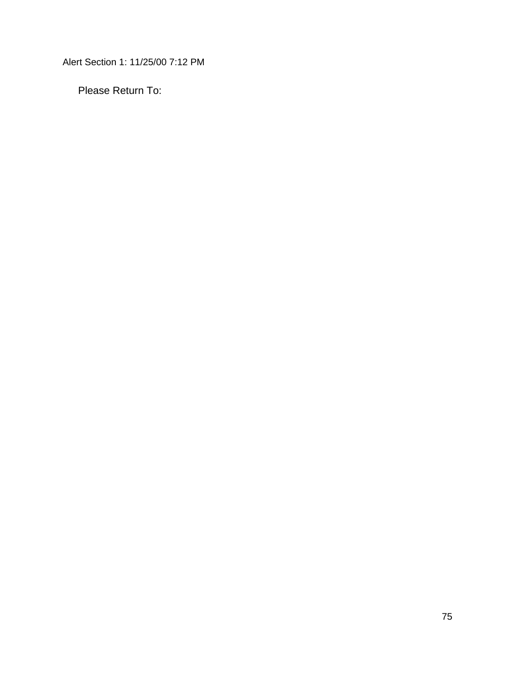Please Return To: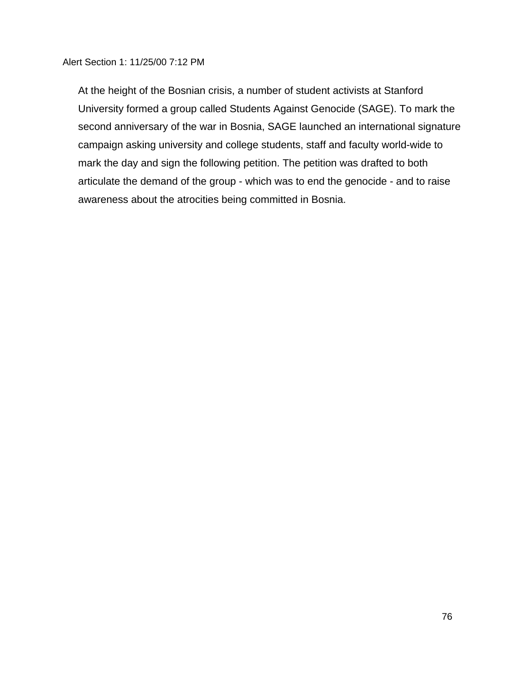At the height of the Bosnian crisis, a number of student activists at Stanford University formed a group called Students Against Genocide (SAGE). To mark the second anniversary of the war in Bosnia, SAGE launched an international signature campaign asking university and college students, staff and faculty world-wide to mark the day and sign the following petition. The petition was drafted to both articulate the demand of the group - which was to end the genocide - and to raise awareness about the atrocities being committed in Bosnia.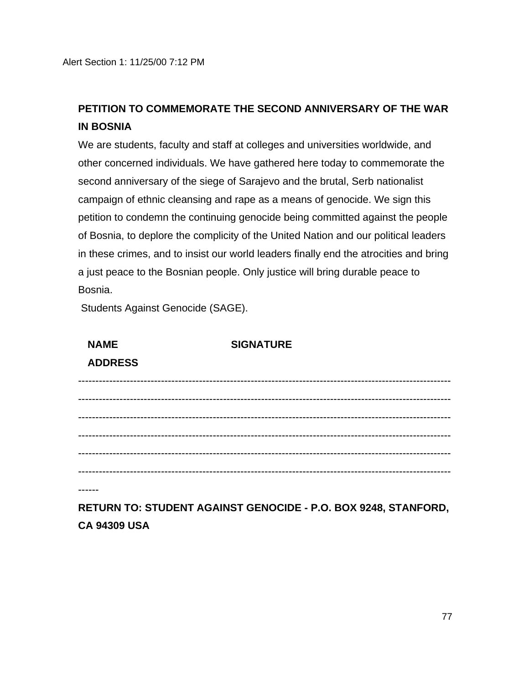# **PETITION TO COMMEMORATE THE SECOND ANNIVERSARY OF THE WAR IN BOSNIA**

We are students, faculty and staff at colleges and universities worldwide, and other concerned individuals. We have gathered here today to commemorate the second anniversary of the siege of Sarajevo and the brutal, Serb nationalist campaign of ethnic cleansing and rape as a means of genocide. We sign this petition to condemn the continuing genocide being committed against the people of Bosnia, to deplore the complicity of the United Nation and our political leaders in these crimes, and to insist our world leaders finally end the atrocities and bring a just peace to the Bosnian people. Only justice will bring durable peace to Bosnia.

Students Against Genocide (SAGE).

| <b>NAME</b>                   | <b>SIGNATURE</b> |  |
|-------------------------------|------------------|--|
| <b>ADDRESS</b>                |                  |  |
| ----------------------------- |                  |  |
|                               |                  |  |
|                               |                  |  |
|                               |                  |  |
|                               |                  |  |
|                               |                  |  |

------

**RETURN TO: STUDENT AGAINST GENOCIDE - P.O. BOX 9248, STANFORD, CA 94309 USA**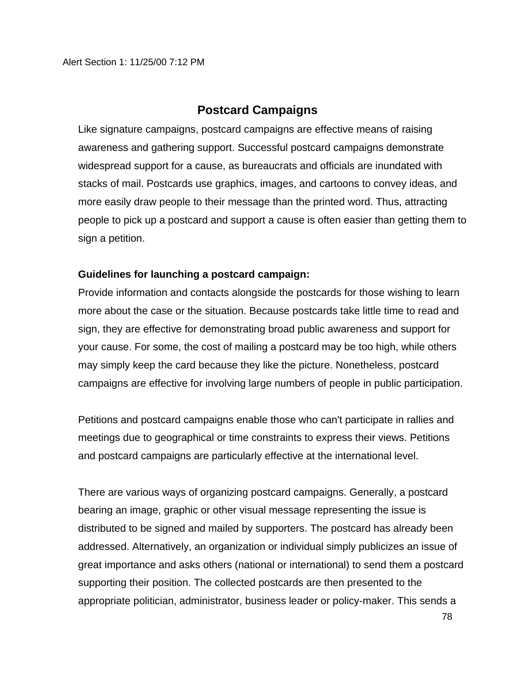## **Postcard Campaigns**

Like signature campaigns, postcard campaigns are effective means of raising awareness and gathering support. Successful postcard campaigns demonstrate widespread support for a cause, as bureaucrats and officials are inundated with stacks of mail. Postcards use graphics, images, and cartoons to convey ideas, and more easily draw people to their message than the printed word. Thus, attracting people to pick up a postcard and support a cause is often easier than getting them to sign a petition.

### **Guidelines for launching a postcard campaign:**

Provide information and contacts alongside the postcards for those wishing to learn more about the case or the situation. Because postcards take little time to read and sign, they are effective for demonstrating broad public awareness and support for your cause. For some, the cost of mailing a postcard may be too high, while others may simply keep the card because they like the picture. Nonetheless, postcard campaigns are effective for involving large numbers of people in public participation.

Petitions and postcard campaigns enable those who can't participate in rallies and meetings due to geographical or time constraints to express their views. Petitions and postcard campaigns are particularly effective at the international level.

There are various ways of organizing postcard campaigns. Generally, a postcard bearing an image, graphic or other visual message representing the issue is distributed to be signed and mailed by supporters. The postcard has already been addressed. Alternatively, an organization or individual simply publicizes an issue of great importance and asks others (national or international) to send them a postcard supporting their position. The collected postcards are then presented to the appropriate politician, administrator, business leader or policy-maker. This sends a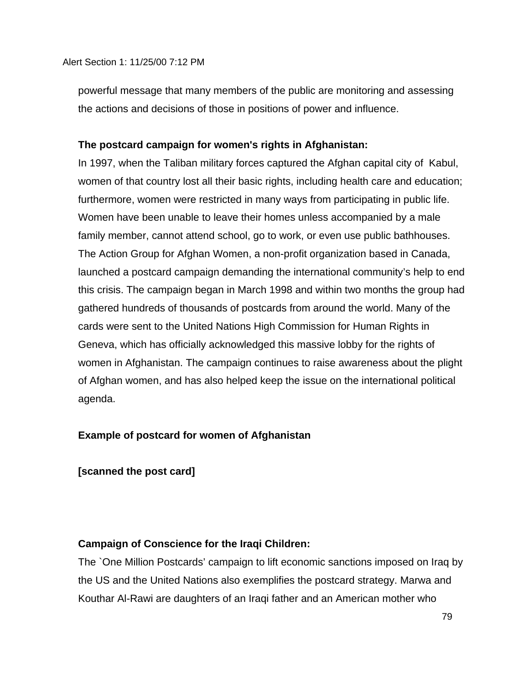powerful message that many members of the public are monitoring and assessing the actions and decisions of those in positions of power and influence.

### **The postcard campaign for women's rights in Afghanistan:**

In 1997, when the Taliban military forces captured the Afghan capital city of Kabul, women of that country lost all their basic rights, including health care and education; furthermore, women were restricted in many ways from participating in public life. Women have been unable to leave their homes unless accompanied by a male family member, cannot attend school, go to work, or even use public bathhouses. The Action Group for Afghan Women, a non-profit organization based in Canada, launched a postcard campaign demanding the international community's help to end this crisis. The campaign began in March 1998 and within two months the group had gathered hundreds of thousands of postcards from around the world. Many of the cards were sent to the United Nations High Commission for Human Rights in Geneva, which has officially acknowledged this massive lobby for the rights of women in Afghanistan. The campaign continues to raise awareness about the plight of Afghan women, and has also helped keep the issue on the international political agenda.

## **Example of postcard for women of Afghanistan**

### **[scanned the post card]**

### **Campaign of Conscience for the Iraqi Children:**

The `One Million Postcards' campaign to lift economic sanctions imposed on Iraq by the US and the United Nations also exemplifies the postcard strategy. Marwa and Kouthar Al-Rawi are daughters of an Iraqi father and an American mother who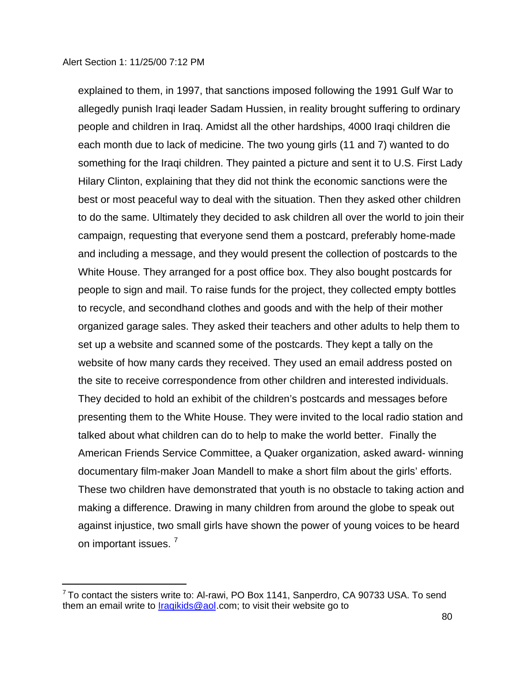explained to them, in 1997, that sanctions imposed following the 1991 Gulf War to allegedly punish Iraqi leader Sadam Hussien, in reality brought suffering to ordinary people and children in Iraq. Amidst all the other hardships, 4000 Iraqi children die each month due to lack of medicine. The two young girls (11 and 7) wanted to do something for the Iraqi children. They painted a picture and sent it to U.S. First Lady Hilary Clinton, explaining that they did not think the economic sanctions were the best or most peaceful way to deal with the situation. Then they asked other children to do the same. Ultimately they decided to ask children all over the world to join their campaign, requesting that everyone send them a postcard, preferably home-made and including a message, and they would present the collection of postcards to the White House. They arranged for a post office box. They also bought postcards for people to sign and mail. To raise funds for the project, they collected empty bottles to recycle, and secondhand clothes and goods and with the help of their mother organized garage sales. They asked their teachers and other adults to help them to set up a website and scanned some of the postcards. They kept a tally on the website of how many cards they received. They used an email address posted on the site to receive correspondence from other children and interested individuals. They decided to hold an exhibit of the children's postcards and messages before presenting them to the White House. They were invited to the local radio station and talked about what children can do to help to make the world better. Finally the American Friends Service Committee, a Quaker organization, asked award- winning documentary film-maker Joan Mandell to make a short film about the girls' efforts. These two children have demonstrated that youth is no obstacle to taking action and making a difference. Drawing in many children from around the globe to speak out against injustice, two small girls have shown the power of young voices to be heard on important issues.<sup>7</sup>

 7 To contact the sisters write to: Al-rawi, PO Box 1141, Sanperdro, CA 90733 USA. To send them an email write to  $Iraqikids@aol.com$ ; to visit their website go to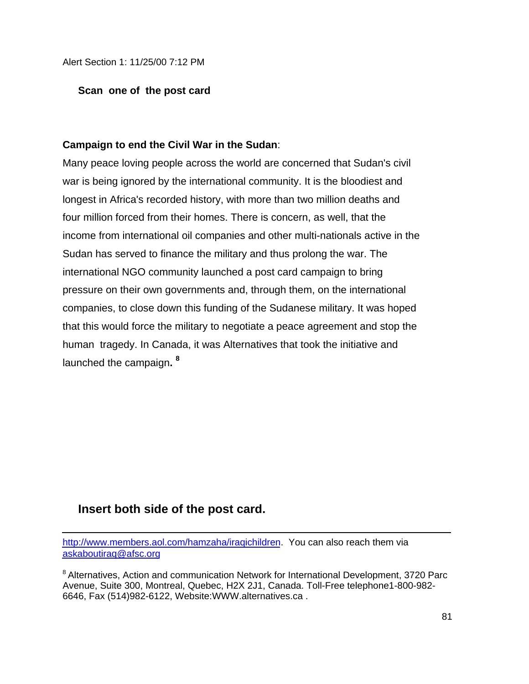### **Scan one of the post card**

### **Campaign to end the Civil War in the Sudan**:

Many peace loving people across the world are concerned that Sudan's civil war is being ignored by the international community. It is the bloodiest and longest in Africa's recorded history, with more than two million deaths and four million forced from their homes. There is concern, as well, that the income from international oil companies and other multi-nationals active in the Sudan has served to finance the military and thus prolong the war. The international NGO community launched a post card campaign to bring pressure on their own governments and, through them, on the international companies, to close down this funding of the Sudanese military. It was hoped that this would force the military to negotiate a peace agreement and stop the human tragedy. In Canada, it was Alternatives that took the initiative and launched the campaign**. 8**

## **Insert both side of the post card.**

ī

http://www.members.aol.com/hamzaha/iraqichildren. You can also reach them via askaboutiraq@afsc.org

<sup>8</sup> Alternatives, Action and communication Network for International Development, 3720 Parc Avenue, Suite 300, Montreal, Quebec, H2X 2J1, Canada. Toll-Free telephone1-800-982- 6646, Fax (514)982-6122, Website:WWW.alternatives.ca .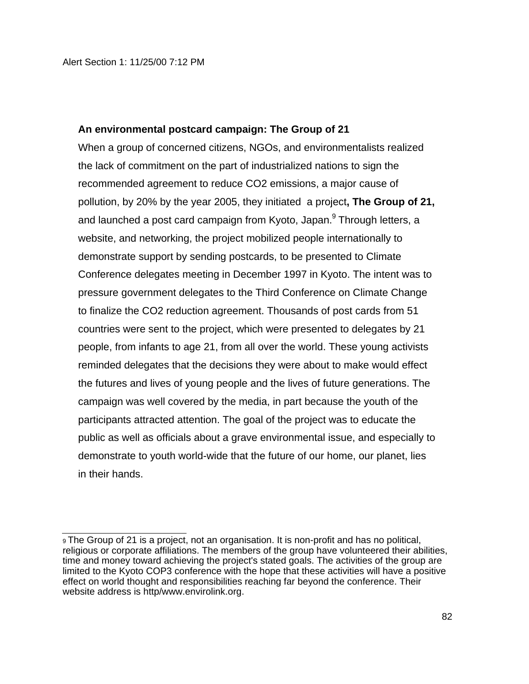### **An environmental postcard campaign: The Group of 21**

When a group of concerned citizens, NGOs, and environmentalists realized the lack of commitment on the part of industrialized nations to sign the recommended agreement to reduce CO2 emissions, a major cause of pollution, by 20% by the year 2005, they initiated a project**, The Group of 21,** and launched a post card campaign from Kyoto, Japan.<sup>9</sup> Through letters, a website, and networking, the project mobilized people internationally to demonstrate support by sending postcards, to be presented to Climate Conference delegates meeting in December 1997 in Kyoto. The intent was to pressure government delegates to the Third Conference on Climate Change to finalize the CO2 reduction agreement. Thousands of post cards from 51 countries were sent to the project, which were presented to delegates by 21 people, from infants to age 21, from all over the world. These young activists reminded delegates that the decisions they were about to make would effect the futures and lives of young people and the lives of future generations. The campaign was well covered by the media, in part because the youth of the participants attracted attention. The goal of the project was to educate the public as well as officials about a grave environmental issue, and especially to demonstrate to youth world-wide that the future of our home, our planet, lies in their hands.

J. <sup>9</sup> The Group of 21 is a project, not an organisation. It is non-profit and has no political, religious or corporate affiliations. The members of the group have volunteered their abilities, time and money toward achieving the project's stated goals. The activities of the group are limited to the Kyoto COP3 conference with the hope that these activities will have a positive effect on world thought and responsibilities reaching far beyond the conference. Their website address is http/www.envirolink.org.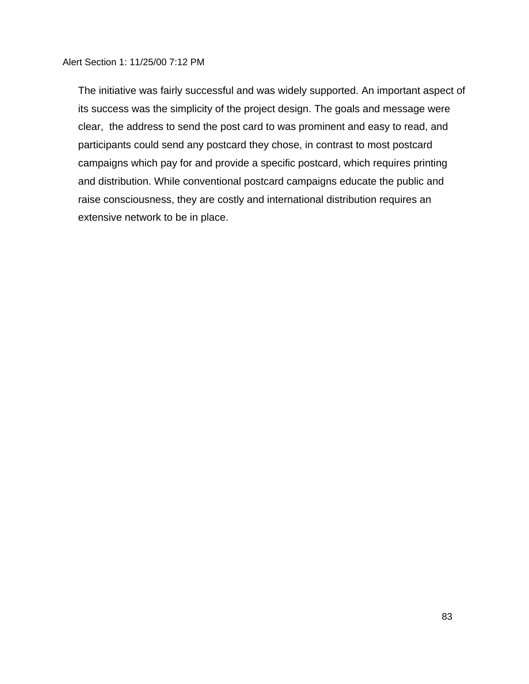The initiative was fairly successful and was widely supported. An important aspect of its success was the simplicity of the project design. The goals and message were clear, the address to send the post card to was prominent and easy to read, and participants could send any postcard they chose, in contrast to most postcard campaigns which pay for and provide a specific postcard, which requires printing and distribution. While conventional postcard campaigns educate the public and raise consciousness, they are costly and international distribution requires an extensive network to be in place.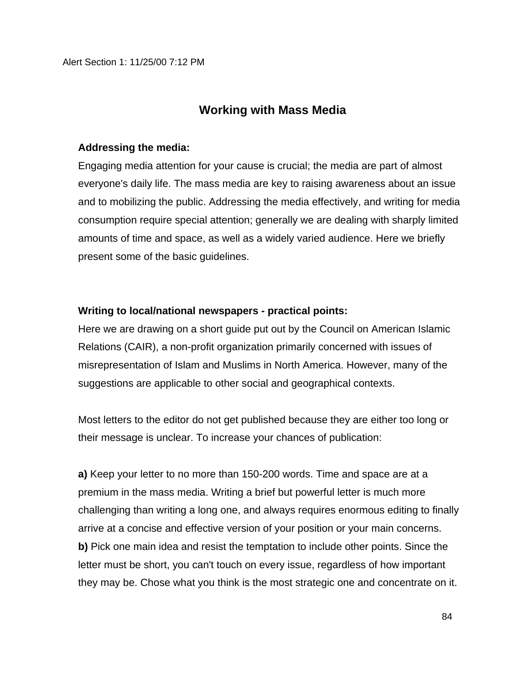## **Working with Mass Media**

### **Addressing the media:**

Engaging media attention for your cause is crucial; the media are part of almost everyone's daily life. The mass media are key to raising awareness about an issue and to mobilizing the public. Addressing the media effectively, and writing for media consumption require special attention; generally we are dealing with sharply limited amounts of time and space, as well as a widely varied audience. Here we briefly present some of the basic guidelines.

### **Writing to local/national newspapers - practical points:**

Here we are drawing on a short guide put out by the Council on American Islamic Relations (CAIR), a non-profit organization primarily concerned with issues of misrepresentation of Islam and Muslims in North America. However, many of the suggestions are applicable to other social and geographical contexts.

Most letters to the editor do not get published because they are either too long or their message is unclear. To increase your chances of publication:

**a)** Keep your letter to no more than 150-200 words. Time and space are at a premium in the mass media. Writing a brief but powerful letter is much more challenging than writing a long one, and always requires enormous editing to finally arrive at a concise and effective version of your position or your main concerns. **b)** Pick one main idea and resist the temptation to include other points. Since the letter must be short, you can't touch on every issue, regardless of how important they may be. Chose what you think is the most strategic one and concentrate on it.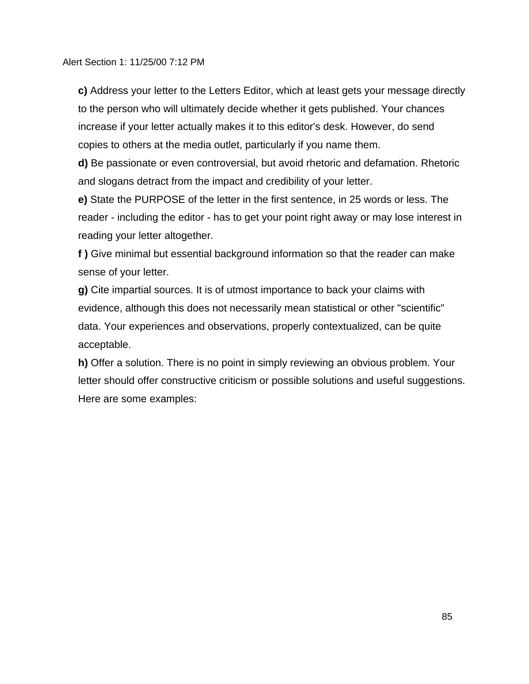**c)** Address your letter to the Letters Editor, which at least gets your message directly to the person who will ultimately decide whether it gets published. Your chances increase if your letter actually makes it to this editor's desk. However, do send copies to others at the media outlet, particularly if you name them.

**d)** Be passionate or even controversial, but avoid rhetoric and defamation. Rhetoric and slogans detract from the impact and credibility of your letter.

**e)** State the PURPOSE of the letter in the first sentence, in 25 words or less. The reader - including the editor - has to get your point right away or may lose interest in reading your letter altogether.

**f )** Give minimal but essential background information so that the reader can make sense of your letter.

**g)** Cite impartial sources. It is of utmost importance to back your claims with evidence, although this does not necessarily mean statistical or other "scientific" data. Your experiences and observations, properly contextualized, can be quite acceptable.

**h)** Offer a solution. There is no point in simply reviewing an obvious problem. Your letter should offer constructive criticism or possible solutions and useful suggestions. Here are some examples: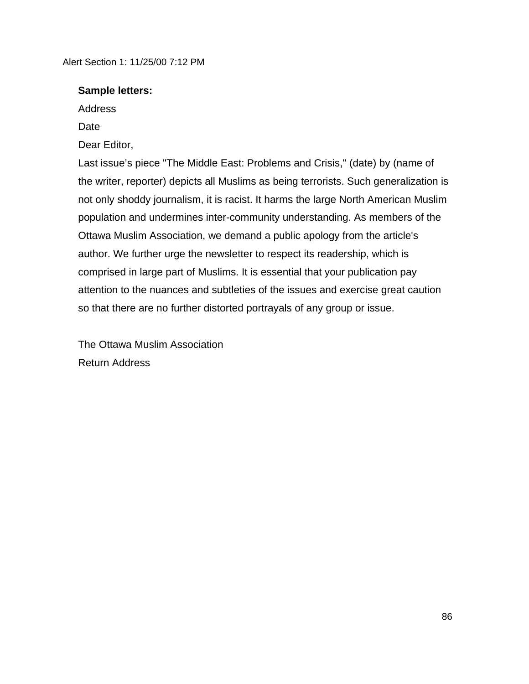### **Sample letters:**

Address

Date

Dear Editor,

Last issue's piece "The Middle East: Problems and Crisis," (date) by (name of the writer, reporter) depicts all Muslims as being terrorists. Such generalization is not only shoddy journalism, it is racist. It harms the large North American Muslim population and undermines inter-community understanding. As members of the Ottawa Muslim Association, we demand a public apology from the article's author. We further urge the newsletter to respect its readership, which is comprised in large part of Muslims. It is essential that your publication pay attention to the nuances and subtleties of the issues and exercise great caution so that there are no further distorted portrayals of any group or issue.

The Ottawa Muslim Association Return Address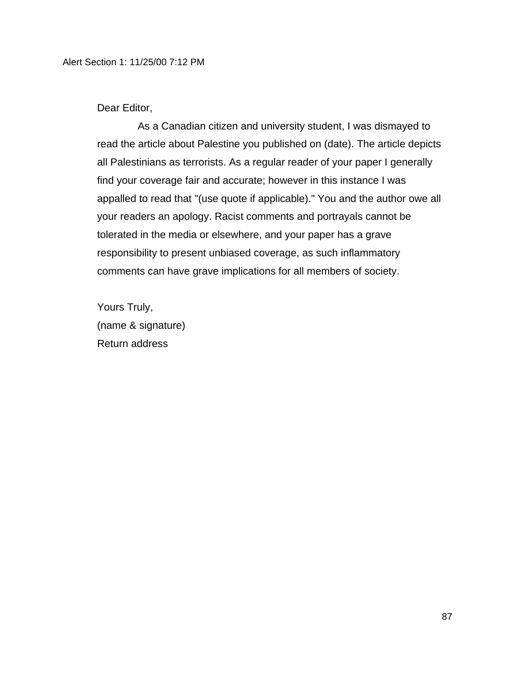Dear Editor,

As a Canadian citizen and university student, I was dismayed to read the article about Palestine you published on (date). The article depicts all Palestinians as terrorists. As a regular reader of your paper I generally find your coverage fair and accurate; however in this instance I was appalled to read that "(use quote if applicable)." You and the author owe all your readers an apology. Racist comments and portrayals cannot be tolerated in the media or elsewhere, and your paper has a grave responsibility to present unbiased coverage, as such inflammatory comments can have grave implications for all members of society.

Yours Truly, (name & signature) Return address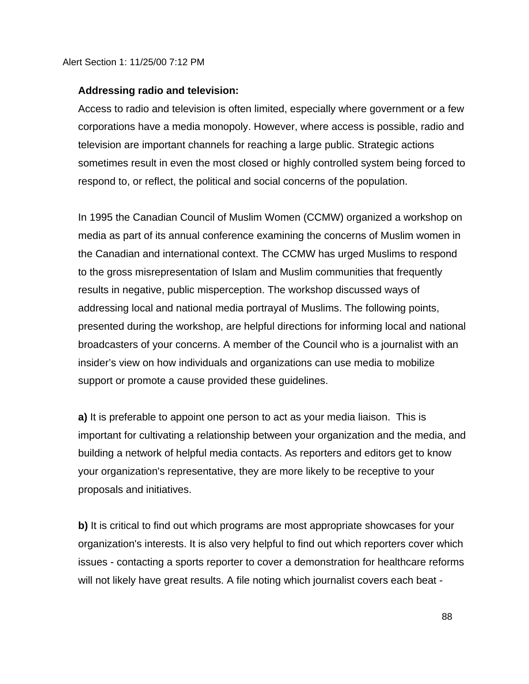### **Addressing radio and television:**

Access to radio and television is often limited, especially where government or a few corporations have a media monopoly. However, where access is possible, radio and television are important channels for reaching a large public. Strategic actions sometimes result in even the most closed or highly controlled system being forced to respond to, or reflect, the political and social concerns of the population.

In 1995 the Canadian Council of Muslim Women (CCMW) organized a workshop on media as part of its annual conference examining the concerns of Muslim women in the Canadian and international context. The CCMW has urged Muslims to respond to the gross misrepresentation of Islam and Muslim communities that frequently results in negative, public misperception. The workshop discussed ways of addressing local and national media portrayal of Muslims. The following points, presented during the workshop, are helpful directions for informing local and national broadcasters of your concerns. A member of the Council who is a journalist with an insider's view on how individuals and organizations can use media to mobilize support or promote a cause provided these guidelines.

**a)** It is preferable to appoint one person to act as your media liaison. This is important for cultivating a relationship between your organization and the media, and building a network of helpful media contacts. As reporters and editors get to know your organization's representative, they are more likely to be receptive to your proposals and initiatives.

**b)** It is critical to find out which programs are most appropriate showcases for your organization's interests. It is also very helpful to find out which reporters cover which issues - contacting a sports reporter to cover a demonstration for healthcare reforms will not likely have great results. A file noting which journalist covers each beat -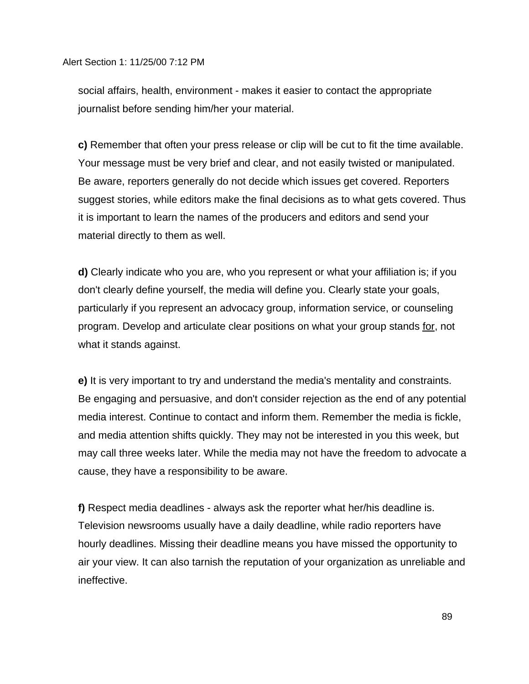social affairs, health, environment - makes it easier to contact the appropriate journalist before sending him/her your material.

**c)** Remember that often your press release or clip will be cut to fit the time available. Your message must be very brief and clear, and not easily twisted or manipulated. Be aware, reporters generally do not decide which issues get covered. Reporters suggest stories, while editors make the final decisions as to what gets covered. Thus it is important to learn the names of the producers and editors and send your material directly to them as well.

**d)** Clearly indicate who you are, who you represent or what your affiliation is; if you don't clearly define yourself, the media will define you. Clearly state your goals, particularly if you represent an advocacy group, information service, or counseling program. Develop and articulate clear positions on what your group stands for, not what it stands against.

**e)** It is very important to try and understand the media's mentality and constraints. Be engaging and persuasive, and don't consider rejection as the end of any potential media interest. Continue to contact and inform them. Remember the media is fickle, and media attention shifts quickly. They may not be interested in you this week, but may call three weeks later. While the media may not have the freedom to advocate a cause, they have a responsibility to be aware.

**f)** Respect media deadlines - always ask the reporter what her/his deadline is. Television newsrooms usually have a daily deadline, while radio reporters have hourly deadlines. Missing their deadline means you have missed the opportunity to air your view. It can also tarnish the reputation of your organization as unreliable and ineffective.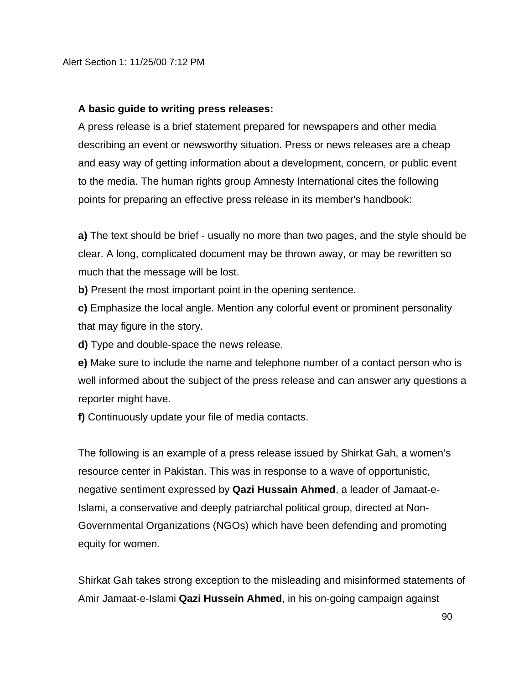### **A basic guide to writing press releases:**

A press release is a brief statement prepared for newspapers and other media describing an event or newsworthy situation. Press or news releases are a cheap and easy way of getting information about a development, concern, or public event to the media. The human rights group Amnesty International cites the following points for preparing an effective press release in its member's handbook:

**a)** The text should be brief - usually no more than two pages, and the style should be clear. A long, complicated document may be thrown away, or may be rewritten so much that the message will be lost.

**b)** Present the most important point in the opening sentence.

**c)** Emphasize the local angle. Mention any colorful event or prominent personality that may figure in the story.

**d)** Type and double-space the news release.

**e)** Make sure to include the name and telephone number of a contact person who is well informed about the subject of the press release and can answer any questions a reporter might have.

**f)** Continuously update your file of media contacts.

The following is an example of a press release issued by Shirkat Gah, a women's resource center in Pakistan. This was in response to a wave of opportunistic, negative sentiment expressed by **Qazi Hussain Ahmed**, a leader of Jamaat-e-Islami, a conservative and deeply patriarchal political group, directed at Non-Governmental Organizations (NGOs) which have been defending and promoting equity for women.

Shirkat Gah takes strong exception to the misleading and misinformed statements of Amir Jamaat-e-Islami **Qazi Hussein Ahmed**, in his on-going campaign against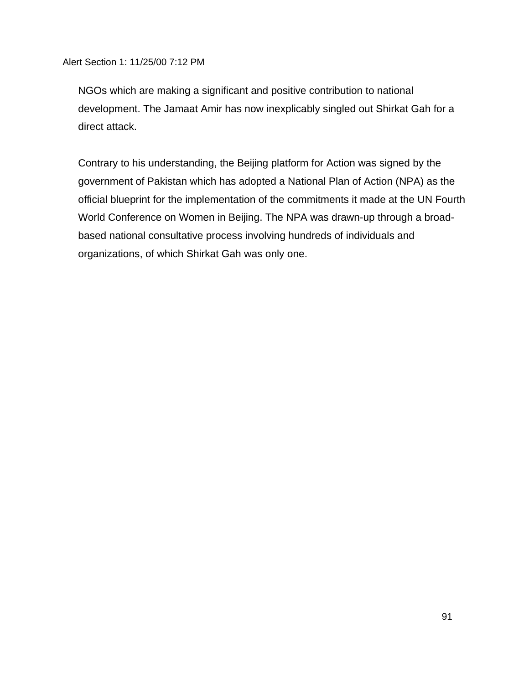NGOs which are making a significant and positive contribution to national development. The Jamaat Amir has now inexplicably singled out Shirkat Gah for a direct attack.

Contrary to his understanding, the Beijing platform for Action was signed by the government of Pakistan which has adopted a National Plan of Action (NPA) as the official blueprint for the implementation of the commitments it made at the UN Fourth World Conference on Women in Beijing. The NPA was drawn-up through a broadbased national consultative process involving hundreds of individuals and organizations, of which Shirkat Gah was only one.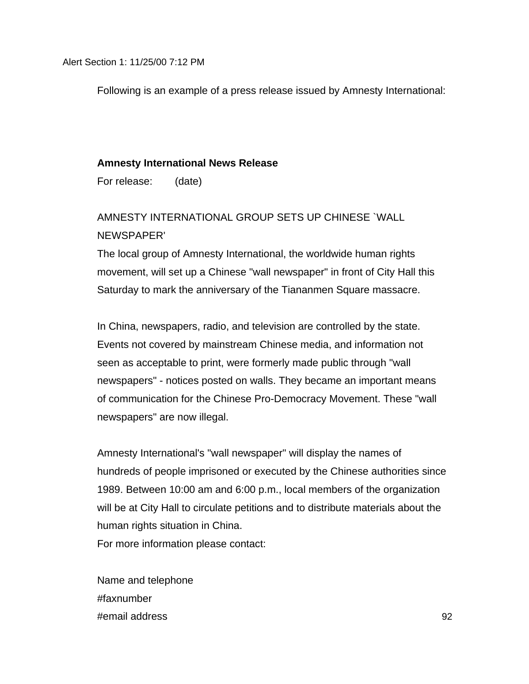Following is an example of a press release issued by Amnesty International:

#### **Amnesty International News Release**

For release: (date)

# AMNESTY INTERNATIONAL GROUP SETS UP CHINESE `WALL NEWSPAPER'

The local group of Amnesty International, the worldwide human rights movement, will set up a Chinese "wall newspaper" in front of City Hall this Saturday to mark the anniversary of the Tiananmen Square massacre.

In China, newspapers, radio, and television are controlled by the state. Events not covered by mainstream Chinese media, and information not seen as acceptable to print, were formerly made public through "wall newspapers" - notices posted on walls. They became an important means of communication for the Chinese Pro-Democracy Movement. These "wall newspapers" are now illegal.

Amnesty International's "wall newspaper" will display the names of hundreds of people imprisoned or executed by the Chinese authorities since 1989. Between 10:00 am and 6:00 p.m., local members of the organization will be at City Hall to circulate petitions and to distribute materials about the human rights situation in China.

For more information please contact:

Name and telephone #faxnumber #email address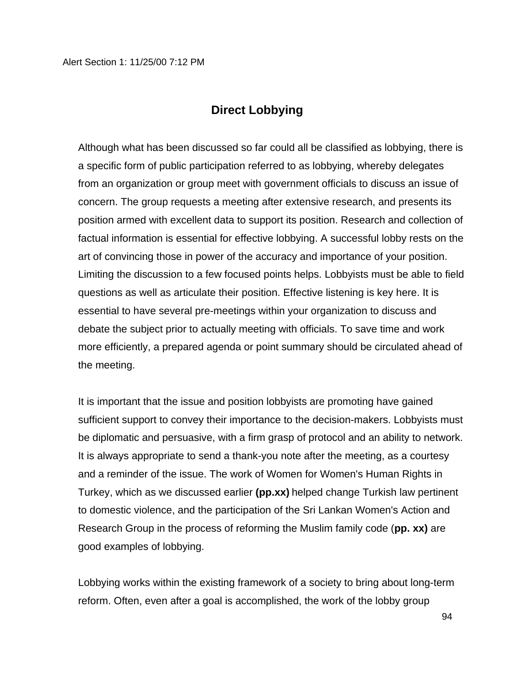## **Direct Lobbying**

Although what has been discussed so far could all be classified as lobbying, there is a specific form of public participation referred to as lobbying, whereby delegates from an organization or group meet with government officials to discuss an issue of concern. The group requests a meeting after extensive research, and presents its position armed with excellent data to support its position. Research and collection of factual information is essential for effective lobbying. A successful lobby rests on the art of convincing those in power of the accuracy and importance of your position. Limiting the discussion to a few focused points helps. Lobbyists must be able to field questions as well as articulate their position. Effective listening is key here. It is essential to have several pre-meetings within your organization to discuss and debate the subject prior to actually meeting with officials. To save time and work more efficiently, a prepared agenda or point summary should be circulated ahead of the meeting.

It is important that the issue and position lobbyists are promoting have gained sufficient support to convey their importance to the decision-makers. Lobbyists must be diplomatic and persuasive, with a firm grasp of protocol and an ability to network. It is always appropriate to send a thank-you note after the meeting, as a courtesy and a reminder of the issue. The work of Women for Women's Human Rights in Turkey, which as we discussed earlier **(pp.xx)** helped change Turkish law pertinent to domestic violence, and the participation of the Sri Lankan Women's Action and Research Group in the process of reforming the Muslim family code (**pp. xx)** are good examples of lobbying.

Lobbying works within the existing framework of a society to bring about long-term reform. Often, even after a goal is accomplished, the work of the lobby group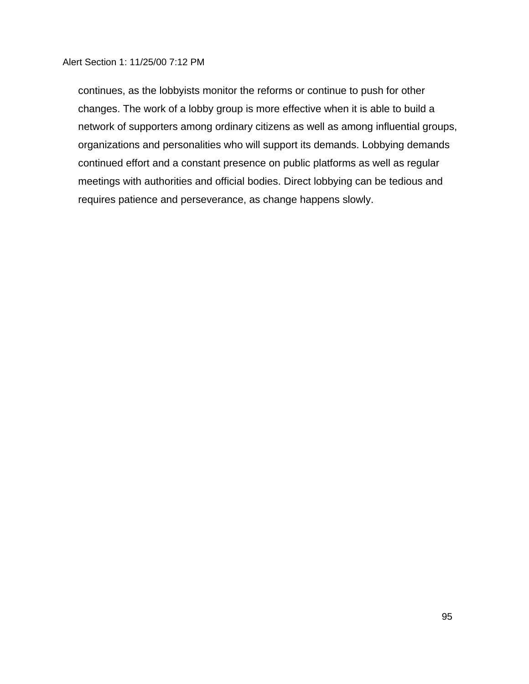continues, as the lobbyists monitor the reforms or continue to push for other changes. The work of a lobby group is more effective when it is able to build a network of supporters among ordinary citizens as well as among influential groups, organizations and personalities who will support its demands. Lobbying demands continued effort and a constant presence on public platforms as well as regular meetings with authorities and official bodies. Direct lobbying can be tedious and requires patience and perseverance, as change happens slowly.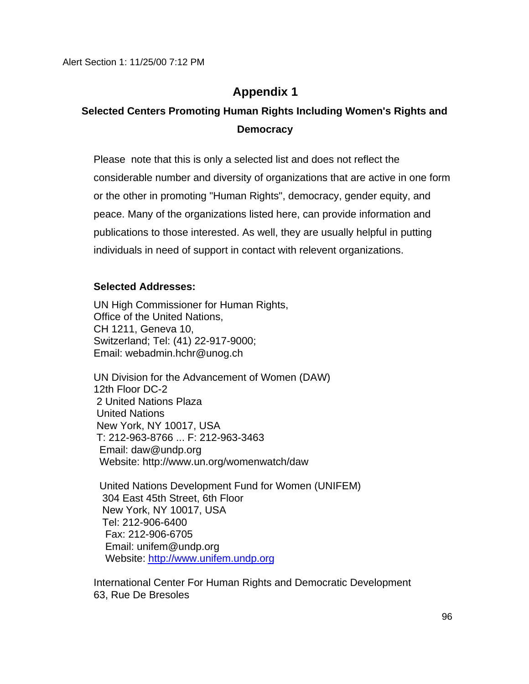# **Appendix 1**

# **Selected Centers Promoting Human Rights Including Women's Rights and Democracy**

Please note that this is only a selected list and does not reflect the considerable number and diversity of organizations that are active in one form or the other in promoting "Human Rights", democracy, gender equity, and peace. Many of the organizations listed here, can provide information and publications to those interested. As well, they are usually helpful in putting individuals in need of support in contact with relevent organizations.

### **Selected Addresses:**

UN High Commissioner for Human Rights, Office of the United Nations, CH 1211, Geneva 10, Switzerland; Tel: (41) 22-917-9000; Email: webadmin.hchr@unog.ch

UN Division for the Advancement of Women (DAW) 12th Floor DC-2 2 United Nations Plaza United Nations New York, NY 10017, USA T: 212-963-8766 ... F: 212-963-3463 Email: daw@undp.org Website: http://www.un.org/womenwatch/daw

 United Nations Development Fund for Women (UNIFEM) 304 East 45th Street, 6th Floor New York, NY 10017, USA Tel: 212-906-6400 Fax: 212-906-6705 Email: unifem@undp.org Website: http://www.unifem.undp.org

International Center For Human Rights and Democratic Development 63, Rue De Bresoles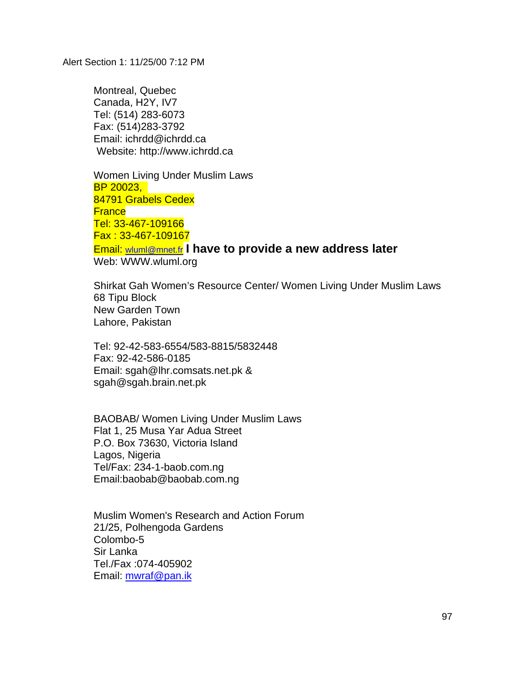Montreal, Quebec Canada, H2Y, IV7 Tel: (514) 283-6073 Fax: (514)283-3792 Email: ichrdd@ichrdd.ca Website: http://www.ichrdd.ca

Women Living Under Muslim Laws BP 20023, 84791 Grabels Cedex **France** Tel: 33-467-109166 Fax : 33-467-109167 Email: wluml@mnet.fr **I have to provide a new address later** Web: WWW.wluml.org

Shirkat Gah Women's Resource Center/ Women Living Under Muslim Laws 68 Tipu Block New Garden Town Lahore, Pakistan

Tel: 92-42-583-6554/583-8815/5832448 Fax: 92-42-586-0185 Email: sgah@lhr.comsats.net.pk & sgah@sgah.brain.net.pk

BAOBAB/ Women Living Under Muslim Laws Flat 1, 25 Musa Yar Adua Street P.O. Box 73630, Victoria Island Lagos, Nigeria Tel/Fax: 234-1-baob.com.ng Email:baobab@baobab.com.ng

Muslim Women's Research and Action Forum 21/25, Polhengoda Gardens Colombo-5 Sir Lanka Tel./Fax :074-405902 Email: mwraf@pan.ik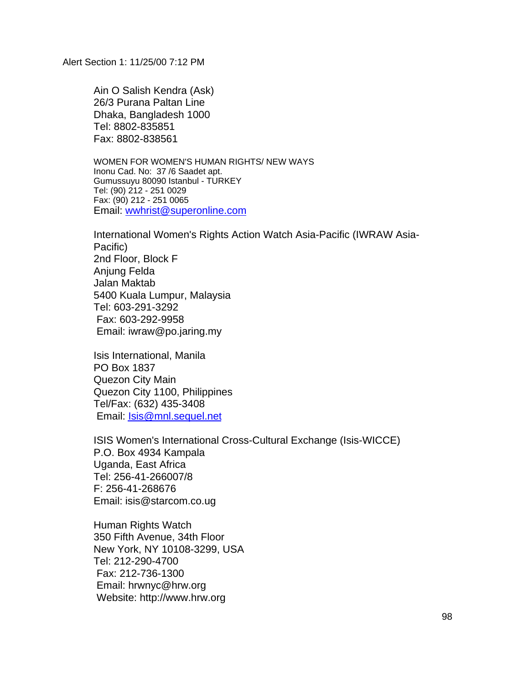Ain O Salish Kendra (Ask) 26/3 Purana Paltan Line Dhaka, Bangladesh 1000 Tel: 8802-835851 Fax: 8802-838561

WOMEN FOR WOMEN'S HUMAN RIGHTS/ NEW WAYS Inonu Cad. No: 37 /6 Saadet apt. Gumussuyu 80090 Istanbul - TURKEY Tel: (90) 212 - 251 0029 Fax: (90) 212 - 251 0065 Email: wwhrist@superonline.com

International Women's Rights Action Watch Asia-Pacific (IWRAW Asia-Pacific) 2nd Floor, Block F Anjung Felda Jalan Maktab 5400 Kuala Lumpur, Malaysia Tel: 603-291-3292 Fax: 603-292-9958 Email: iwraw@po.jaring.my

Isis International, Manila PO Box 1837 Quezon City Main Quezon City 1100, Philippines Tel/Fax: (632) 435-3408 Email: Isis@mnl.sequel.net

ISIS Women's International Cross-Cultural Exchange (Isis-WICCE) P.O. Box 4934 Kampala Uganda, East Africa Tel: 256-41-266007/8 F: 256-41-268676 Email: isis@starcom.co.ug

Human Rights Watch 350 Fifth Avenue, 34th Floor New York, NY 10108-3299, USA Tel: 212-290-4700 Fax: 212-736-1300 Email: hrwnyc@hrw.org Website: http://www.hrw.org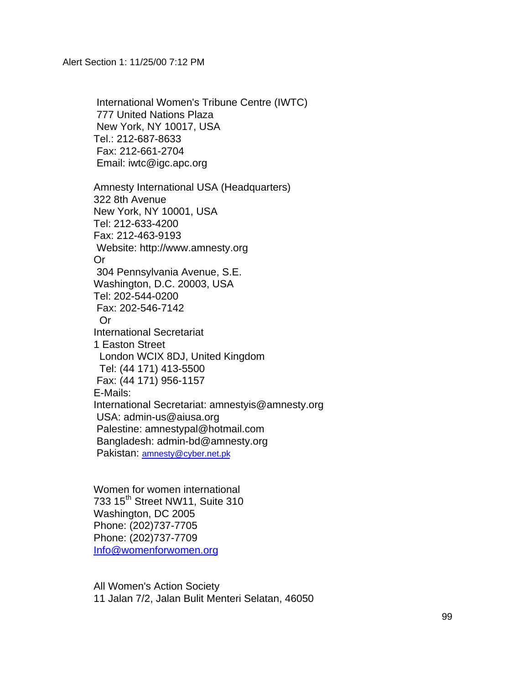International Women's Tribune Centre (IWTC) 777 United Nations Plaza New York, NY 10017, USA Tel.: 212-687-8633 Fax: 212-661-2704 Email: iwtc@igc.apc.org

Amnesty International USA (Headquarters) 322 8th Avenue New York, NY 10001, USA Tel: 212-633-4200 Fax: 212-463-9193 Website: http://www.amnesty.org Or 304 Pennsylvania Avenue, S.E. Washington, D.C. 20003, USA Tel: 202-544-0200 Fax: 202-546-7142 Or International Secretariat 1 Easton Street London WCIX 8DJ, United Kingdom Tel: (44 171) 413-5500 Fax: (44 171) 956-1157 E-Mails: International Secretariat: amnestyis@amnesty.org USA: admin-us@aiusa.org Palestine: amnestypal@hotmail.com Bangladesh: admin-bd@amnesty.org Pakistan: amnesty@cyber.net.pk

Women for women international 733 15<sup>th</sup> Street NW11, Suite 310 Washington, DC 2005 Phone: (202)737-7705 Phone: (202)737-7709 Info@womenforwomen.org

All Women's Action Society 11 Jalan 7/2, Jalan Bulit Menteri Selatan, 46050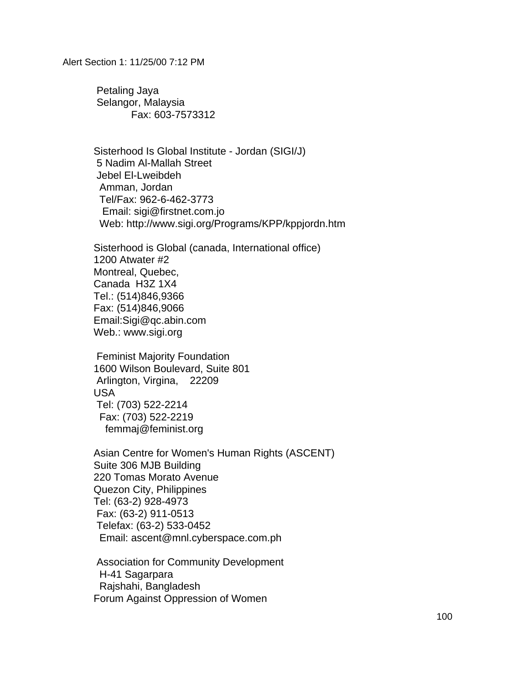Petaling Jaya Selangor, Malaysia Fax: 603-7573312

Sisterhood Is Global Institute - Jordan (SIGI/J) 5 Nadim Al-Mallah Street Jebel El-Lweibdeh Amman, Jordan Tel/Fax: 962-6-462-3773 Email: sigi@firstnet.com.jo Web: http://www.sigi.org/Programs/KPP/kppjordn.htm

Sisterhood is Global (canada, International office) 1200 Atwater #2 Montreal, Quebec, Canada H3Z 1X4 Tel.: (514)846,9366 Fax: (514)846,9066 Email:Sigi@qc.abin.com Web.: www.sigi.org

 Feminist Majority Foundation 1600 Wilson Boulevard, Suite 801 Arlington, Virgina, 22209 USA Tel: (703) 522-2214 Fax: (703) 522-2219 femmaj@feminist.org

Asian Centre for Women's Human Rights (ASCENT) Suite 306 MJB Building 220 Tomas Morato Avenue Quezon City, Philippines Tel: (63-2) 928-4973 Fax: (63-2) 911-0513 Telefax: (63-2) 533-0452 Email: ascent@mnl.cyberspace.com.ph

 Association for Community Development H-41 Sagarpara Rajshahi, Bangladesh Forum Against Oppression of Women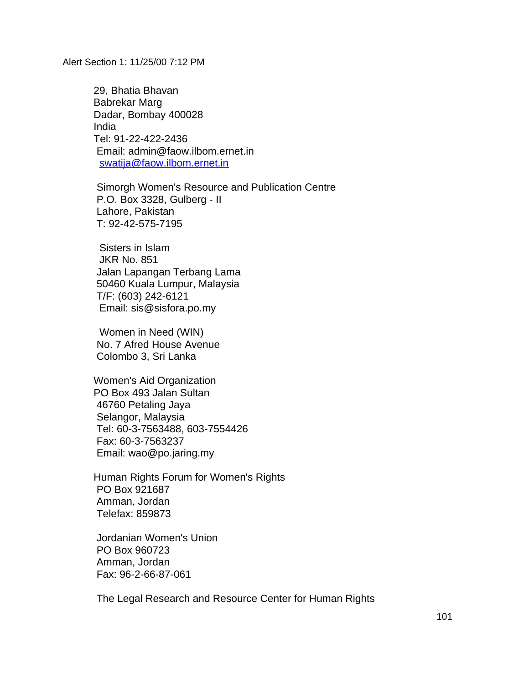29, Bhatia Bhavan Babrekar Marg Dadar, Bombay 400028 India Tel: 91-22-422-2436 Email: admin@faow.ilbom.ernet.in swatija@faow.ilbom.ernet.in

 Simorgh Women's Resource and Publication Centre P.O. Box 3328, Gulberg - II Lahore, Pakistan T: 92-42-575-7195

 Sisters in Islam JKR No. 851 Jalan Lapangan Terbang Lama 50460 Kuala Lumpur, Malaysia T/F: (603) 242-6121 Email: sis@sisfora.po.my

 Women in Need (WIN) No. 7 Afred House Avenue Colombo 3, Sri Lanka

Women's Aid Organization PO Box 493 Jalan Sultan 46760 Petaling Jaya Selangor, Malaysia Tel: 60-3-7563488, 603-7554426 Fax: 60-3-7563237 Email: wao@po.jaring.my

Human Rights Forum for Women's Rights PO Box 921687 Amman, Jordan Telefax: 859873

 Jordanian Women's Union PO Box 960723 Amman, Jordan Fax: 96-2-66-87-061

The Legal Research and Resource Center for Human Rights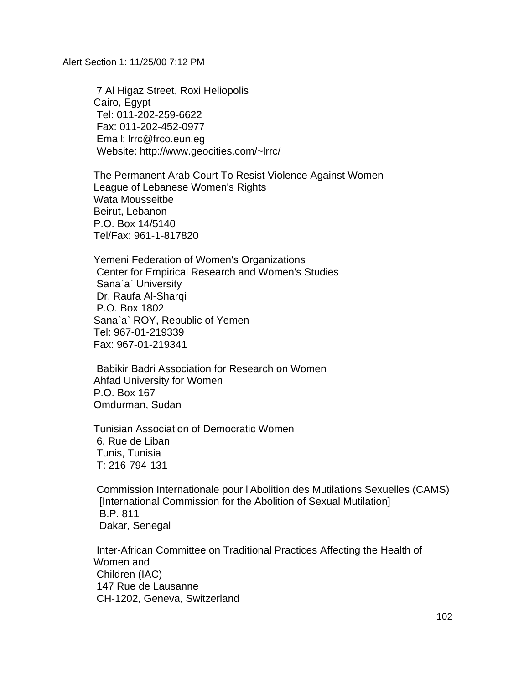7 Al Higaz Street, Roxi Heliopolis Cairo, Egypt Tel: 011-202-259-6622 Fax: 011-202-452-0977 Email: lrrc@frco.eun.eg Website: http://www.geocities.com/~lrrc/

The Permanent Arab Court To Resist Violence Against Women League of Lebanese Women's Rights Wata Mousseitbe Beirut, Lebanon P.O. Box 14/5140 Tel/Fax: 961-1-817820

Yemeni Federation of Women's Organizations Center for Empirical Research and Women's Studies Sana`a` University Dr. Raufa Al-Sharqi P.O. Box 1802 Sana`a` ROY, Republic of Yemen Tel: 967-01-219339 Fax: 967-01-219341

 Babikir Badri Association for Research on Women Ahfad University for Women P.O. Box 167 Omdurman, Sudan

Tunisian Association of Democratic Women 6, Rue de Liban Tunis, Tunisia T: 216-794-131

 Commission Internationale pour l'Abolition des Mutilations Sexuelles (CAMS) [International Commission for the Abolition of Sexual Mutilation] B.P. 811 Dakar, Senegal

 Inter-African Committee on Traditional Practices Affecting the Health of Women and Children (IAC) 147 Rue de Lausanne CH-1202, Geneva, Switzerland